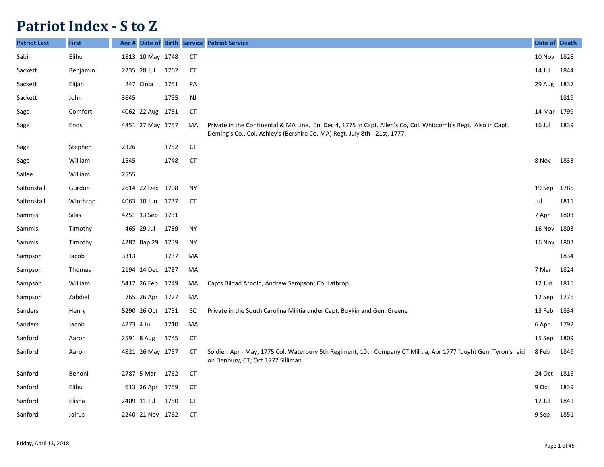## **Patriot Index - S to Z**

| <b>Patriot Last</b> | <b>First</b> | Anc#       | Date of Birth    |      |           | <b>Service Patriot Service</b>                                                                                                                                                               | Date of     | <b>Death</b> |
|---------------------|--------------|------------|------------------|------|-----------|----------------------------------------------------------------------------------------------------------------------------------------------------------------------------------------------|-------------|--------------|
| Sabin               | Elihu        |            | 1813 10 May 1748 |      | <b>CT</b> |                                                                                                                                                                                              | 10 Nov 1828 |              |
| Sackett             | Benjamin     |            | 2235 28 Jul      | 1762 | CT        |                                                                                                                                                                                              | 14 Jul      | 1844         |
| Sackett             | Elijah       |            | 247 Circa        | 1751 | PA        |                                                                                                                                                                                              | 29 Aug      | 1837         |
| Sackett             | John         | 3645       |                  | 1755 | <b>NJ</b> |                                                                                                                                                                                              |             | 1819         |
| Sage                | Comfort      |            | 4062 22 Aug 1731 |      | CT        |                                                                                                                                                                                              | 14 Mar 1799 |              |
| Sage                | Enos         |            | 4851 27 May 1757 |      | MA        | Private in the Continental & MA Line. Enl Dec 4, 1775 in Capt. Allen's Co, Col. Whitcomb's Regt. Also in Capt.<br>Deming's Co., Col. Ashley's (Bershire Co. MA) Regt. July 8th - 21st, 1777. | 16 Jul      | 1839         |
| Sage                | Stephen      | 2326       |                  | 1752 | <b>CT</b> |                                                                                                                                                                                              |             |              |
| Sage                | William      | 1545       |                  | 1748 | <b>CT</b> |                                                                                                                                                                                              | 8 Nov       | 1833         |
| Sallee              | William      | 2555       |                  |      |           |                                                                                                                                                                                              |             |              |
| Saltonstall         | Gurdon       |            | 2614 22 Dec 1708 |      | <b>NY</b> |                                                                                                                                                                                              | 19 Sep      | 1785         |
| Saltonstall         | Winthrop     |            | 4063 10 Jun 1737 |      | СT        |                                                                                                                                                                                              | Jul         | 1811         |
| Sammis              | Silas        |            | 4251 13 Sep 1731 |      |           |                                                                                                                                                                                              | 7 Apr       | 1803         |
| Sammis              | Timothy      |            | 465 29 Jul       | 1739 | <b>NY</b> |                                                                                                                                                                                              | 16 Nov 1803 |              |
| Sammis              | Timothy      |            | 4287 Bap 29 1739 |      | <b>NY</b> |                                                                                                                                                                                              | 16 Nov      | 1803         |
| Sampson             | Jacob        | 3313       |                  | 1737 | MA        |                                                                                                                                                                                              |             | 1834         |
| Sampson             | Thomas       |            | 2194 14 Dec 1737 |      | MA        |                                                                                                                                                                                              | 7 Mar       | 1824         |
| Sampson             | William      |            | 5417 26 Feb 1749 |      | MA        | Capts Bildad Arnold, Andrew Sampson; Col Lathrop.                                                                                                                                            | 12 Jun      | 1815         |
| Sampson             | Zabdiel      |            | 765 26 Apr 1727  |      | MA        |                                                                                                                                                                                              | 12 Sep      | 1776         |
| Sanders             | Henry        |            | 5290 26 Oct 1751 |      | <b>SC</b> | Private in the South Carolina Militia under Capt. Boykin and Gen. Greene                                                                                                                     | 13 Feb      | 1834         |
| Sanders             | Jacob        | 4273 4 Jul |                  | 1710 | MA        |                                                                                                                                                                                              | 6 Apr       | 1792         |
| Sanford             | Aaron        |            | 2591 8 Aug       | 1745 | CТ        |                                                                                                                                                                                              | 15 Sep      | 1809         |
| Sanford             | Aaron        |            | 4821 26 May 1757 |      | СT        | Soldier: Apr - May, 1775 Col. Waterbury 5th Regiment, 10th Company CT Militia; Apr 1777 fought Gen. Tyron's raid<br>on Danbury, CT; Oct 1777 Silliman.                                       | 8 Feb       | 1849         |
| Sanford             | Benoni       |            | 2787 5 Mar       | 1762 | CT        |                                                                                                                                                                                              | 24 Oct      | 1816         |
| Sanford             | Elihu        |            | 613 26 Apr 1759  |      | CT        |                                                                                                                                                                                              | 9 Oct       | 1839         |
| Sanford             | Elisha       |            | 2409 11 Jul      | 1750 | СT        |                                                                                                                                                                                              | 12 Jul      | 1841         |
| Sanford             | Jairus       |            | 2240 21 Nov 1762 |      | CT        |                                                                                                                                                                                              | 9 Sep       | 1851         |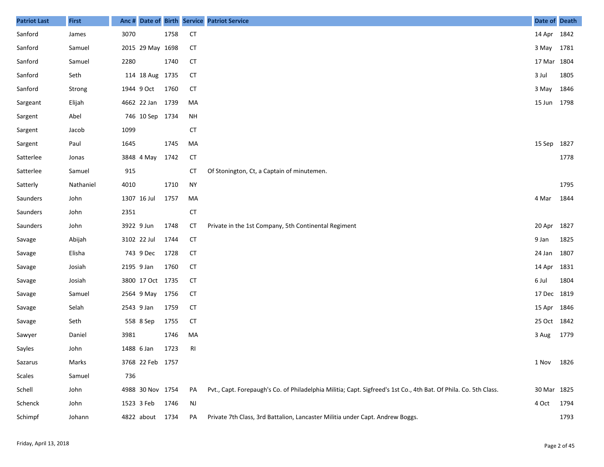| <b>Patriot Last</b> | <b>First</b> |             |                  |      |           | Anc # Date of Birth Service Patriot Service                                                                      | Date of Death |      |
|---------------------|--------------|-------------|------------------|------|-----------|------------------------------------------------------------------------------------------------------------------|---------------|------|
| Sanford             | James        | 3070        |                  | 1758 | CT        |                                                                                                                  | 14 Apr 1842   |      |
| Sanford             | Samuel       |             | 2015 29 May 1698 |      | <b>CT</b> |                                                                                                                  | 3 May 1781    |      |
| Sanford             | Samuel       | 2280        |                  | 1740 | <b>CT</b> |                                                                                                                  | 17 Mar 1804   |      |
| Sanford             | Seth         |             | 114 18 Aug 1735  |      | <b>CT</b> |                                                                                                                  | 3 Jul         | 1805 |
| Sanford             | Strong       | 1944 9 Oct  |                  | 1760 | <b>CT</b> |                                                                                                                  | 3 May         | 1846 |
| Sargeant            | Elijah       |             | 4662 22 Jan 1739 |      | MA        |                                                                                                                  | 15 Jun 1798   |      |
| Sargent             | Abel         |             | 746 10 Sep 1734  |      | NH        |                                                                                                                  |               |      |
| Sargent             | Jacob        | 1099        |                  |      | <b>CT</b> |                                                                                                                  |               |      |
| Sargent             | Paul         | 1645        |                  | 1745 | MA        |                                                                                                                  | 15 Sep 1827   |      |
| Satterlee           | Jonas        |             | 3848 4 May       | 1742 | <b>CT</b> |                                                                                                                  |               | 1778 |
| Satterlee           | Samuel       | 915         |                  |      | <b>CT</b> | Of Stonington, Ct, a Captain of minutemen.                                                                       |               |      |
| Satterly            | Nathaniel    | 4010        |                  | 1710 | <b>NY</b> |                                                                                                                  |               | 1795 |
| Saunders            | John         | 1307 16 Jul |                  | 1757 | MA        |                                                                                                                  | 4 Mar         | 1844 |
| Saunders            | John         | 2351        |                  |      | <b>CT</b> |                                                                                                                  |               |      |
| Saunders            | John         | 3922 9 Jun  |                  | 1748 | <b>CT</b> | Private in the 1st Company, 5th Continental Regiment                                                             | 20 Apr 1827   |      |
| Savage              | Abijah       | 3102 22 Jul |                  | 1744 | <b>CT</b> |                                                                                                                  | 9 Jan         | 1825 |
| Savage              | Elisha       |             | 743 9 Dec        | 1728 | <b>CT</b> |                                                                                                                  | 24 Jan        | 1807 |
| Savage              | Josiah       | 2195 9 Jan  |                  | 1760 | <b>CT</b> |                                                                                                                  | 14 Apr 1831   |      |
| Savage              | Josiah       |             | 3800 17 Oct 1735 |      | <b>CT</b> |                                                                                                                  | 6 Jul         | 1804 |
| Savage              | Samuel       |             | 2564 9 May       | 1756 | <b>CT</b> |                                                                                                                  | 17 Dec 1819   |      |
| Savage              | Selah        | 2543 9 Jan  |                  | 1759 | <b>CT</b> |                                                                                                                  | 15 Apr 1846   |      |
| Savage              | Seth         |             | 558 8 Sep        | 1755 | <b>CT</b> |                                                                                                                  | 25 Oct 1842   |      |
| Sawyer              | Daniel       | 3981        |                  | 1746 | MA        |                                                                                                                  | 3 Aug         | 1779 |
| Sayles              | John         | 1488 6 Jan  |                  | 1723 | RI        |                                                                                                                  |               |      |
| Sazarus             | Marks        |             | 3768 22 Feb 1757 |      |           |                                                                                                                  | 1 Nov 1826    |      |
| Scales              | Samuel       | 736         |                  |      |           |                                                                                                                  |               |      |
| Schell              | John         |             | 4988 30 Nov 1754 |      | PA        | Pvt., Capt. Forepaugh's Co. of Philadelphia Militia; Capt. Sigfreed's 1st Co., 4th Bat. Of Phila. Co. 5th Class. | 30 Mar 1825   |      |
| Schenck             | John         | 1523 3 Feb  |                  | 1746 | <b>NJ</b> |                                                                                                                  | 4 Oct         | 1794 |
| Schimpf             | Johann       |             | 4822 about 1734  |      | PA        | Private 7th Class, 3rd Battalion, Lancaster Militia under Capt. Andrew Boggs.                                    |               | 1793 |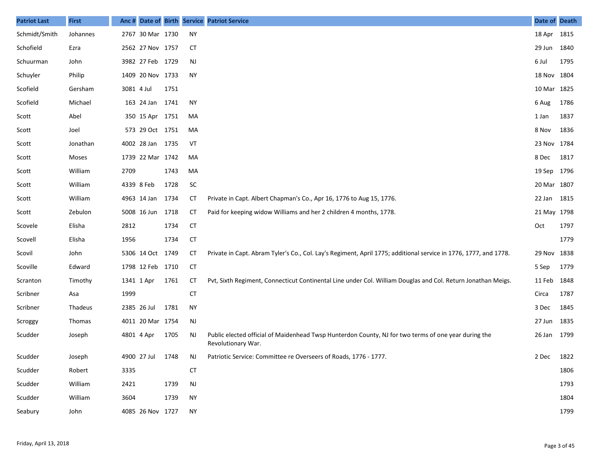| <b>Patriot Last</b> | <b>First</b>  | Anc#       |                  |      |           | Date of Birth Service Patriot Service                                                                                      | Date of Death |      |
|---------------------|---------------|------------|------------------|------|-----------|----------------------------------------------------------------------------------------------------------------------------|---------------|------|
| Schmidt/Smith       | Johannes      |            | 2767 30 Mar 1730 |      | <b>NY</b> |                                                                                                                            | 18 Apr 1815   |      |
| Schofield           | Ezra          |            | 2562 27 Nov 1757 |      | CТ        |                                                                                                                            | 29 Jun        | 1840 |
| Schuurman           | John          |            | 3982 27 Feb 1729 |      | NJ        |                                                                                                                            | 6 Jul         | 1795 |
| Schuyler            | Philip        |            | 1409 20 Nov 1733 |      | ΝY        |                                                                                                                            | 18 Nov 1804   |      |
| Scofield            | Gersham       | 3081 4 Jul |                  | 1751 |           |                                                                                                                            | 10 Mar 1825   |      |
| Scofield            | Michael       |            | 163 24 Jan 1741  |      | <b>NY</b> |                                                                                                                            | 6 Aug         | 1786 |
| Scott               | Abel          |            | 350 15 Apr 1751  |      | MA        |                                                                                                                            | 1 Jan         | 1837 |
| Scott               | Joel          |            | 573 29 Oct 1751  |      | MA        |                                                                                                                            | 8 Nov         | 1836 |
| Scott               | Jonathan      |            | 4002 28 Jan 1735 |      | VT        |                                                                                                                            | 23 Nov 1784   |      |
| Scott               | Moses         |            | 1739 22 Mar 1742 |      | MA        |                                                                                                                            | 8 Dec         | 1817 |
| Scott               | William       | 2709       |                  | 1743 | MA        |                                                                                                                            | 19 Sep        | 1796 |
| Scott               | William       |            | 4339 8 Feb       | 1728 | SC        |                                                                                                                            | 20 Mar        | 1807 |
| Scott               | William       |            | 4963 14 Jan      | 1734 | СT        | Private in Capt. Albert Chapman's Co., Apr 16, 1776 to Aug 15, 1776.                                                       | 22 Jan        | 1815 |
| Scott               | Zebulon       |            | 5008 16 Jun 1718 |      | СT        | Paid for keeping widow Williams and her 2 children 4 months, 1778.                                                         | 21 May 1798   |      |
| Scovele             | Elisha        | 2812       |                  | 1734 | <b>CT</b> |                                                                                                                            | Oct           | 1797 |
| Scovell             | Elisha        | 1956       |                  | 1734 | <b>CT</b> |                                                                                                                            |               | 1779 |
| Scovil              | John          |            | 5306 14 Oct 1749 |      | СT        | Private in Capt. Abram Tyler's Co., Col. Lay's Regiment, April 1775; additional service in 1776, 1777, and 1778.           | 29 Nov        | 1838 |
| Scoville            | Edward        |            | 1798 12 Feb 1710 |      | CT        |                                                                                                                            | 5 Sep         | 1779 |
| Scranton            | Timothy       |            | 1341 1 Apr       | 1761 | СT        | Pvt, Sixth Regiment, Connecticut Continental Line under Col. William Douglas and Col. Return Jonathan Meigs.               | 11 Feb        | 1848 |
| Scribner            | Asa           | 1999       |                  |      | <b>CT</b> |                                                                                                                            | Circa         | 1787 |
| Scribner            | Thadeus       |            | 2385 26 Jul      | 1781 | <b>NY</b> |                                                                                                                            | 3 Dec         | 1845 |
| Scroggy             | <b>Thomas</b> |            | 4011 20 Mar 1754 |      | NJ        |                                                                                                                            | 27 Jun        | 1835 |
| Scudder             | Joseph        |            | 4801 4 Apr       | 1705 | NJ        | Public elected official of Maidenhead Twsp Hunterdon County, NJ for two terms of one year during the<br>Revolutionary War. | 26 Jan        | 1799 |
| Scudder             | Joseph        |            | 4900 27 Jul      | 1748 | NJ        | Patriotic Service: Committee re Overseers of Roads, 1776 - 1777.                                                           | 2 Dec         | 1822 |
| Scudder             | Robert        | 3335       |                  |      | <b>CT</b> |                                                                                                                            |               | 1806 |
| Scudder             | William       | 2421       |                  | 1739 | <b>NJ</b> |                                                                                                                            |               | 1793 |
| Scudder             | William       | 3604       |                  | 1739 | <b>NY</b> |                                                                                                                            |               | 1804 |
| Seabury             | John          |            | 4085 26 Nov 1727 |      | <b>NY</b> |                                                                                                                            |               | 1799 |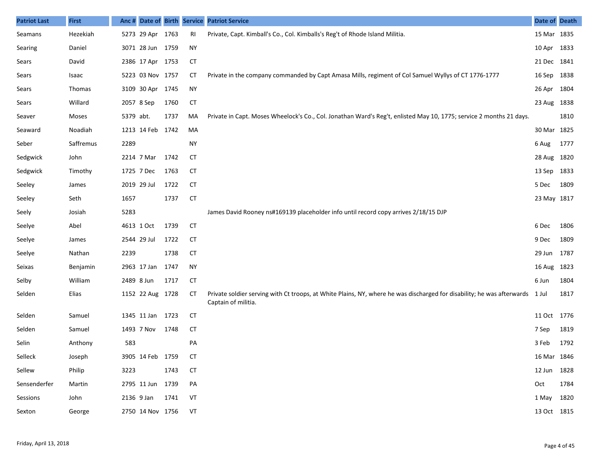| <b>Patriot Last</b> | <b>First</b> | Anc #     |                  |      |           | Date of Birth Service Patriot Service                                                                                                               | Date of Death |      |
|---------------------|--------------|-----------|------------------|------|-----------|-----------------------------------------------------------------------------------------------------------------------------------------------------|---------------|------|
| Seamans             | Hezekiah     |           | 5273 29 Apr 1763 |      | RI        | Private, Capt. Kimball's Co., Col. Kimballs's Reg't of Rhode Island Militia.                                                                        | 15 Mar 1835   |      |
| Searing             | Daniel       |           | 3071 28 Jun 1759 |      | <b>NY</b> |                                                                                                                                                     | 10 Apr 1833   |      |
| Sears               | David        |           | 2386 17 Apr 1753 |      | <b>CT</b> |                                                                                                                                                     | 21 Dec 1841   |      |
| Sears               | Isaac        |           | 5223 03 Nov 1757 |      | СT        | Private in the company commanded by Capt Amasa Mills, regiment of Col Samuel Wyllys of CT 1776-1777                                                 | 16 Sep 1838   |      |
| Sears               | Thomas       |           | 3109 30 Apr 1745 |      | <b>NY</b> |                                                                                                                                                     | 26 Apr 1804   |      |
| Sears               | Willard      |           | 2057 8 Sep       | 1760 | <b>CT</b> |                                                                                                                                                     | 23 Aug 1838   |      |
| Seaver              | Moses        | 5379 abt. |                  | 1737 | MA        | Private in Capt. Moses Wheelock's Co., Col. Jonathan Ward's Reg't, enlisted May 10, 1775; service 2 months 21 days.                                 |               | 1810 |
| Seaward             | Noadiah      |           | 1213 14 Feb 1742 |      | MA        |                                                                                                                                                     | 30 Mar 1825   |      |
| Seber               | Saffremus    | 2289      |                  |      | <b>NY</b> |                                                                                                                                                     | 6 Aug 1777    |      |
| Sedgwick            | John         |           | 2214 7 Mar 1742  |      | <b>CT</b> |                                                                                                                                                     | 28 Aug 1820   |      |
| Sedgwick            | Timothy      |           | 1725 7 Dec       | 1763 | <b>CT</b> |                                                                                                                                                     | 13 Sep 1833   |      |
| Seeley              | James        |           | 2019 29 Jul      | 1722 | <b>CT</b> |                                                                                                                                                     | 5 Dec 1809    |      |
| Seeley              | Seth         | 1657      |                  | 1737 | <b>CT</b> |                                                                                                                                                     | 23 May 1817   |      |
| Seely               | Josiah       | 5283      |                  |      |           | James David Rooney ns#169139 placeholder info until record copy arrives 2/18/15 DJP                                                                 |               |      |
| Seelye              | Abel         |           | 4613 1 Oct       | 1739 | <b>CT</b> |                                                                                                                                                     | 6 Dec         | 1806 |
| Seelye              | James        |           | 2544 29 Jul      | 1722 | <b>CT</b> |                                                                                                                                                     | 9 Dec         | 1809 |
| Seelye              | Nathan       | 2239      |                  | 1738 | <b>CT</b> |                                                                                                                                                     | 29 Jun 1787   |      |
| Seixas              | Benjamin     |           | 2963 17 Jan      | 1747 | <b>NY</b> |                                                                                                                                                     | 16 Aug 1823   |      |
| Selby               | William      |           | 2489 8 Jun       | 1717 | <b>CT</b> |                                                                                                                                                     | 6 Jun         | 1804 |
| Selden              | Elias        |           | 1152 22 Aug 1728 |      | CТ        | Private soldier serving with Ct troops, at White Plains, NY, where he was discharged for disability; he was afterwards 1 Jul<br>Captain of militia. |               | 1817 |
| Selden              | Samuel       |           | 1345 11 Jan 1723 |      | <b>CT</b> |                                                                                                                                                     | 11 Oct 1776   |      |
| Selden              | Samuel       |           | 1493 7 Nov       | 1748 | CТ        |                                                                                                                                                     | 7 Sep         | 1819 |
| Selin               | Anthony      | 583       |                  |      | PA        |                                                                                                                                                     | 3 Feb         | 1792 |
| Selleck             | Joseph       |           | 3905 14 Feb 1759 |      | <b>CT</b> |                                                                                                                                                     | 16 Mar 1846   |      |
| Sellew              | Philip       | 3223      |                  | 1743 | <b>CT</b> |                                                                                                                                                     | 12 Jun 1828   |      |
| Sensenderfer        | Martin       |           | 2795 11 Jun 1739 |      | PA        |                                                                                                                                                     | Oct           | 1784 |
| Sessions            | John         |           | 2136 9 Jan 1741  |      | VT        |                                                                                                                                                     | 1 May 1820    |      |
| Sexton              | George       |           | 2750 14 Nov 1756 |      | VT        |                                                                                                                                                     | 13 Oct 1815   |      |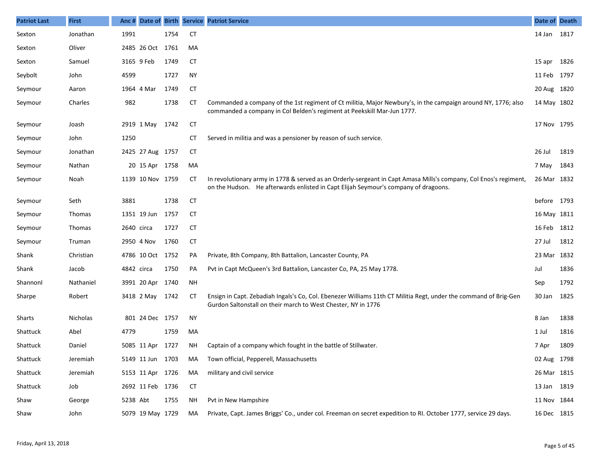| <b>Patriot Last</b> | <b>First</b>  | Anc #      |                  |      |           | Date of Birth Service Patriot Service                                                                                                                                                                    | Date of Death |      |
|---------------------|---------------|------------|------------------|------|-----------|----------------------------------------------------------------------------------------------------------------------------------------------------------------------------------------------------------|---------------|------|
| Sexton              | Jonathan      | 1991       |                  | 1754 | <b>CT</b> |                                                                                                                                                                                                          | 14 Jan 1817   |      |
| Sexton              | Oliver        |            | 2485 26 Oct 1761 |      | MA        |                                                                                                                                                                                                          |               |      |
| Sexton              | Samuel        | 3165 9 Feb |                  | 1749 | <b>CT</b> |                                                                                                                                                                                                          | 15 apr 1826   |      |
| Seybolt             | John          | 4599       |                  | 1727 | <b>NY</b> |                                                                                                                                                                                                          | 11 Feb 1797   |      |
| Seymour             | Aaron         |            | 1964 4 Mar       | 1749 | <b>CT</b> |                                                                                                                                                                                                          | 20 Aug 1820   |      |
| Seymour             | Charles       | 982        |                  | 1738 | <b>CT</b> | Commanded a company of the 1st regiment of Ct militia, Major Newbury's, in the campaign around NY, 1776; also<br>commanded a company in Col Belden's regiment at Peekskill Mar-Jun 1777.                 | 14 May 1802   |      |
| Seymour             | Joash         |            | 2919 1 May       | 1742 | <b>CT</b> |                                                                                                                                                                                                          | 17 Nov 1795   |      |
| Seymour             | John          | 1250       |                  |      | CТ        | Served in militia and was a pensioner by reason of such service.                                                                                                                                         |               |      |
| Seymour             | Jonathan      |            | 2425 27 Aug 1757 |      | <b>CT</b> |                                                                                                                                                                                                          | 26 Jul        | 1819 |
| Seymour             | Nathan        |            | 20 15 Apr 1758   |      | MA        |                                                                                                                                                                                                          | 7 May 1843    |      |
| Seymour             | Noah          |            | 1139 10 Nov 1759 |      | CТ        | In revolutionary army in 1778 & served as an Orderly-sergeant in Capt Amasa Mills's company, Col Enos's regiment,<br>on the Hudson. He afterwards enlisted in Capt Elijah Seymour's company of dragoons. | 26 Mar 1832   |      |
| Seymour             | Seth          | 3881       |                  | 1738 | <b>CT</b> |                                                                                                                                                                                                          | before 1793   |      |
| Seymour             | Thomas        |            | 1351 19 Jun      | 1757 | <b>CT</b> |                                                                                                                                                                                                          | 16 May 1811   |      |
| Seymour             | <b>Thomas</b> | 2640 circa |                  | 1727 | <b>CT</b> |                                                                                                                                                                                                          | 16 Feb 1812   |      |
| Seymour             | Truman        |            | 2950 4 Nov       | 1760 | <b>CT</b> |                                                                                                                                                                                                          | 27 Jul        | 1812 |
| Shank               | Christian     |            | 4786 10 Oct 1752 |      | PA        | Private, 8th Company, 8th Battalion, Lancaster County, PA                                                                                                                                                | 23 Mar 1832   |      |
| Shank               | Jacob         | 4842 circa |                  | 1750 | PA        | Pvt in Capt McQueen's 3rd Battalion, Lancaster Co, PA, 25 May 1778.                                                                                                                                      | Jul           | 1836 |
| Shannonl            | Nathaniel     |            | 3991 20 Apr      | 1740 | <b>NH</b> |                                                                                                                                                                                                          | Sep           | 1792 |
| Sharpe              | Robert        |            | 3418 2 May       | 1742 | CТ        | Ensign in Capt. Zebadiah Ingals's Co, Col. Ebenezer Williams 11th CT Militia Regt, under the command of Brig-Gen<br>Gurdon Saltonstall on their march to West Chester, NY in 1776                        | 30 Jan        | 1825 |
| Sharts              | Nicholas      |            | 801 24 Dec 1757  |      | <b>NY</b> |                                                                                                                                                                                                          | 8 Jan         | 1838 |
| Shattuck            | Abel          | 4779       |                  | 1759 | MA        |                                                                                                                                                                                                          | 1 Jul         | 1816 |
| Shattuck            | Daniel        |            | 5085 11 Apr      | 1727 | <b>NH</b> | Captain of a company which fought in the battle of Stillwater.                                                                                                                                           | 7 Apr         | 1809 |
| Shattuck            | Jeremiah      |            | 5149 11 Jun 1703 |      | MA        | Town official, Pepperell, Massachusetts                                                                                                                                                                  | 02 Aug 1798   |      |
| Shattuck            | Jeremiah      |            | 5153 11 Apr 1726 |      | MA        | military and civil service                                                                                                                                                                               | 26 Mar 1815   |      |
| Shattuck            | Job           |            | 2692 11 Feb 1736 |      | <b>CT</b> |                                                                                                                                                                                                          | 13 Jan 1819   |      |
| Shaw                | George        | 5238 Abt   |                  | 1755 | ΝH        | Pvt in New Hampshire                                                                                                                                                                                     | 11 Nov 1844   |      |
| Shaw                | John          |            | 5079 19 May 1729 |      | MA        | Private, Capt. James Briggs' Co., under col. Freeman on secret expedition to RI. October 1777, service 29 days.                                                                                          | 16 Dec 1815   |      |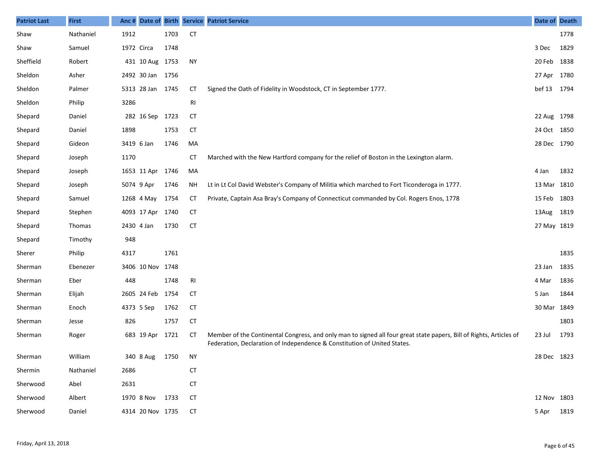| <b>Patriot Last</b> | <b>First</b> | Anc #      |                  |      |           | Date of Birth Service Patriot Service                                                                                                                                                           | Date of Death |      |
|---------------------|--------------|------------|------------------|------|-----------|-------------------------------------------------------------------------------------------------------------------------------------------------------------------------------------------------|---------------|------|
| Shaw                | Nathaniel    | 1912       |                  | 1703 | <b>CT</b> |                                                                                                                                                                                                 |               | 1778 |
| Shaw                | Samuel       | 1972 Circa |                  | 1748 |           |                                                                                                                                                                                                 | 3 Dec         | 1829 |
| Sheffield           | Robert       |            | 431 10 Aug 1753  |      | NY        |                                                                                                                                                                                                 | 20 Feb        | 1838 |
| Sheldon             | Asher        |            | 2492 30 Jan 1756 |      |           |                                                                                                                                                                                                 | 27 Apr 1780   |      |
| Sheldon             | Palmer       |            | 5313 28 Jan      | 1745 | CТ        | Signed the Oath of Fidelity in Woodstock, CT in September 1777.                                                                                                                                 | bef 13        | 1794 |
| Sheldon             | Philip       | 3286       |                  |      | RI        |                                                                                                                                                                                                 |               |      |
| Shepard             | Daniel       |            | 282 16 Sep 1723  |      | <b>CT</b> |                                                                                                                                                                                                 | 22 Aug 1798   |      |
| Shepard             | Daniel       | 1898       |                  | 1753 | <b>CT</b> |                                                                                                                                                                                                 | 24 Oct 1850   |      |
| Shepard             | Gideon       | 3419 6 Jan |                  | 1746 | MA        |                                                                                                                                                                                                 | 28 Dec 1790   |      |
| Shepard             | Joseph       | 1170       |                  |      | CТ        | Marched with the New Hartford company for the relief of Boston in the Lexington alarm.                                                                                                          |               |      |
| Shepard             | Joseph       |            | 1653 11 Apr 1746 |      | MA        |                                                                                                                                                                                                 | 4 Jan         | 1832 |
| Shepard             | Joseph       | 5074 9 Apr |                  | 1746 | ΝH        | Lt in Lt Col David Webster's Company of Militia which marched to Fort Ticonderoga in 1777.                                                                                                      | 13 Mar 1810   |      |
| Shepard             | Samuel       |            | 1268 4 May       | 1754 | СT        | Private, Captain Asa Bray's Company of Connecticut commanded by Col. Rogers Enos, 1778                                                                                                          | 15 Feb        | 1803 |
| Shepard             | Stephen      |            | 4093 17 Apr      | 1740 | <b>CT</b> |                                                                                                                                                                                                 | 13Aug         | 1819 |
| Shepard             | Thomas       | 2430 4 Jan |                  | 1730 | <b>CT</b> |                                                                                                                                                                                                 | 27 May 1819   |      |
| Shepard             | Timothy      | 948        |                  |      |           |                                                                                                                                                                                                 |               |      |
| Sherer              | Philip       | 4317       |                  | 1761 |           |                                                                                                                                                                                                 |               | 1835 |
| Sherman             | Ebenezer     |            | 3406 10 Nov 1748 |      |           |                                                                                                                                                                                                 | 23 Jan        | 1835 |
| Sherman             | Eber         | 448        |                  | 1748 | RI        |                                                                                                                                                                                                 | 4 Mar         | 1836 |
| Sherman             | Elijah       |            | 2605 24 Feb 1754 |      | CТ        |                                                                                                                                                                                                 | 5 Jan         | 1844 |
| Sherman             | Enoch        | 4373 5 Sep |                  | 1762 | <b>CT</b> |                                                                                                                                                                                                 | 30 Mar 1849   |      |
| Sherman             | Jesse        | 826        |                  | 1757 | <b>CT</b> |                                                                                                                                                                                                 |               | 1803 |
| Sherman             | Roger        |            | 683 19 Apr       | 1721 | СT        | Member of the Continental Congress, and only man to signed all four great state papers, Bill of Rights, Articles of<br>Federation, Declaration of Independence & Constitution of United States. | 23 Jul        | 1793 |
| Sherman             | William      |            | 340 8 Aug 1750   |      | NY        |                                                                                                                                                                                                 | 28 Dec 1823   |      |
| Shermin             | Nathaniel    | 2686       |                  |      | <b>CT</b> |                                                                                                                                                                                                 |               |      |
| Sherwood            | Abel         | 2631       |                  |      | CT        |                                                                                                                                                                                                 |               |      |
| Sherwood            | Albert       |            | 1970 8 Nov 1733  |      | <b>CT</b> |                                                                                                                                                                                                 | 12 Nov 1803   |      |
| Sherwood            | Daniel       |            | 4314 20 Nov 1735 |      | CT        |                                                                                                                                                                                                 | 5 Apr 1819    |      |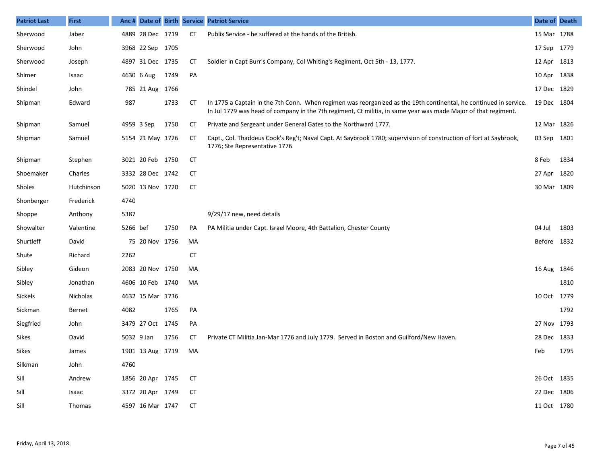| <b>Patriot Last</b> | <b>First</b> | Anc#     |                  |      |           | Date of Birth Service Patriot Service                                                                                                                                                                                               | Date of Death |      |
|---------------------|--------------|----------|------------------|------|-----------|-------------------------------------------------------------------------------------------------------------------------------------------------------------------------------------------------------------------------------------|---------------|------|
| Sherwood            | Jabez        |          | 4889 28 Dec 1719 |      | <b>CT</b> | Publix Service - he suffered at the hands of the British.                                                                                                                                                                           | 15 Mar 1788   |      |
| Sherwood            | John         |          | 3968 22 Sep 1705 |      |           |                                                                                                                                                                                                                                     | 17 Sep 1779   |      |
| Sherwood            | Joseph       |          | 4897 31 Dec 1735 |      | <b>CT</b> | Soldier in Capt Burr's Company, Col Whiting's Regiment, Oct 5th - 13, 1777.                                                                                                                                                         | 12 Apr        | 1813 |
| Shimer              | Isaac        |          | 4630 6 Aug       | 1749 | PA        |                                                                                                                                                                                                                                     | 10 Apr        | 1838 |
| Shindel             | John         |          | 785 21 Aug 1766  |      |           |                                                                                                                                                                                                                                     | 17 Dec 1829   |      |
| Shipman             | Edward       | 987      |                  | 1733 | <b>CT</b> | In 1775 a Captain in the 7th Conn. When regimen was reorganized as the 19th continental, he continued in service.<br>In Jul 1779 was head of company in the 7th regiment, Ct militia, in same year was made Major of that regiment. | 19 Dec 1804   |      |
| Shipman             | Samuel       |          | 4959 3 Sep       | 1750 | CТ        | Private and Sergeant under General Gates to the Northward 1777.                                                                                                                                                                     | 12 Mar 1826   |      |
| Shipman             | Samuel       |          | 5154 21 May 1726 |      | <b>CT</b> | Capt., Col. Thaddeus Cook's Reg't; Naval Capt. At Saybrook 1780; supervision of construction of fort at Saybrook,<br>1776; Ste Representative 1776                                                                                  | 03 Sep        | 1801 |
| Shipman             | Stephen      |          | 3021 20 Feb 1750 |      | СT        |                                                                                                                                                                                                                                     | 8 Feb         | 1834 |
| Shoemaker           | Charles      |          | 3332 28 Dec 1742 |      | СT        |                                                                                                                                                                                                                                     | 27 Apr        | 1820 |
| Sholes              | Hutchinson   |          | 5020 13 Nov 1720 |      | СT        |                                                                                                                                                                                                                                     | 30 Mar 1809   |      |
| Shonberger          | Frederick    | 4740     |                  |      |           |                                                                                                                                                                                                                                     |               |      |
| Shoppe              | Anthony      | 5387     |                  |      |           | 9/29/17 new, need details                                                                                                                                                                                                           |               |      |
| Showalter           | Valentine    | 5266 bef |                  | 1750 | PA        | PA Militia under Capt. Israel Moore, 4th Battalion, Chester County                                                                                                                                                                  | 04 Jul        | 1803 |
| Shurtleff           | David        |          | 75 20 Nov 1756   |      | MA        |                                                                                                                                                                                                                                     | Before 1832   |      |
| Shute               | Richard      | 2262     |                  |      | <b>CT</b> |                                                                                                                                                                                                                                     |               |      |
| Sibley              | Gideon       |          | 2083 20 Nov 1750 |      | MA        |                                                                                                                                                                                                                                     | 16 Aug 1846   |      |
| Sibley              | Jonathan     |          | 4606 10 Feb 1740 |      | MA        |                                                                                                                                                                                                                                     |               | 1810 |
| Sickels             | Nicholas     |          | 4632 15 Mar 1736 |      |           |                                                                                                                                                                                                                                     | 10 Oct 1779   |      |
| Sickman             | Bernet       | 4082     |                  | 1765 | PA        |                                                                                                                                                                                                                                     |               | 1792 |
| Siegfried           | John         |          | 3479 27 Oct 1745 |      | PA        |                                                                                                                                                                                                                                     | 27 Nov 1793   |      |
| Sikes               | David        |          | 5032 9 Jan       | 1756 | CТ        | Private CT Militia Jan-Mar 1776 and July 1779. Served in Boston and Guilford/New Haven.                                                                                                                                             | 28 Dec 1833   |      |
| <b>Sikes</b>        | James        |          | 1901 13 Aug 1719 |      | MA        |                                                                                                                                                                                                                                     | Feb           | 1795 |
| Silkman             | John         | 4760     |                  |      |           |                                                                                                                                                                                                                                     |               |      |
| Sill                | Andrew       |          | 1856 20 Apr 1745 |      | СT        |                                                                                                                                                                                                                                     | 26 Oct 1835   |      |
| Sill                | Isaac        |          | 3372 20 Apr 1749 |      | <b>CT</b> |                                                                                                                                                                                                                                     | 22 Dec 1806   |      |
| Sill                | Thomas       |          | 4597 16 Mar 1747 |      | СT        |                                                                                                                                                                                                                                     | 11 Oct 1780   |      |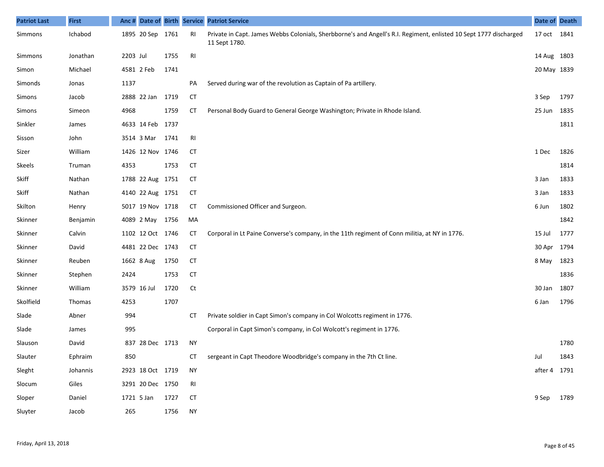| <b>Patriot Last</b> | <b>First</b> | Anc#     |                  |      |                                    | Date of Birth Service Patriot Service                                                                                              | Date of Death |      |
|---------------------|--------------|----------|------------------|------|------------------------------------|------------------------------------------------------------------------------------------------------------------------------------|---------------|------|
| Simmons             | Ichabod      |          | 1895 20 Sep      | 1761 | RI                                 | Private in Capt. James Webbs Colonials, Sherbborne's and Angell's R.I. Regiment, enlisted 10 Sept 1777 discharged<br>11 Sept 1780. | 17 oct 1841   |      |
| Simmons             | Jonathan     | 2203 Jul |                  | 1755 | R <sub>l</sub>                     |                                                                                                                                    | 14 Aug 1803   |      |
| Simon               | Michael      |          | 4581 2 Feb       | 1741 |                                    |                                                                                                                                    | 20 May 1839   |      |
| Simonds             | Jonas        | 1137     |                  |      | PА                                 | Served during war of the revolution as Captain of Pa artillery.                                                                    |               |      |
| Simons              | Jacob        |          | 2888 22 Jan      | 1719 | <b>CT</b>                          |                                                                                                                                    | 3 Sep         | 1797 |
| Simons              | Simeon       | 4968     |                  | 1759 | СT                                 | Personal Body Guard to General George Washington; Private in Rhode Island.                                                         | 25 Jun        | 1835 |
| Sinkler             | James        |          | 4633 14 Feb      | 1737 |                                    |                                                                                                                                    |               | 1811 |
| Sisson              | John         |          | 3514 3 Mar       | 1741 | RI                                 |                                                                                                                                    |               |      |
| Sizer               | William      |          | 1426 12 Nov 1746 |      | <b>CT</b>                          |                                                                                                                                    | 1 Dec         | 1826 |
| <b>Skeels</b>       | Truman       | 4353     |                  | 1753 | <b>CT</b>                          |                                                                                                                                    |               | 1814 |
| Skiff               | Nathan       |          | 1788 22 Aug 1751 |      | <b>CT</b>                          |                                                                                                                                    | 3 Jan         | 1833 |
| Skiff               | Nathan       |          | 4140 22 Aug 1751 |      | <b>CT</b>                          |                                                                                                                                    | 3 Jan         | 1833 |
| Skilton             | Henry        |          | 5017 19 Nov 1718 |      | СT                                 | Commissioned Officer and Surgeon.                                                                                                  | 6 Jun         | 1802 |
| Skinner             | Benjamin     |          | 4089 2 May 1756  |      | MA                                 |                                                                                                                                    |               | 1842 |
| Skinner             | Calvin       |          | 1102 12 Oct 1746 |      | CТ                                 | Corporal in Lt Paine Converse's company, in the 11th regiment of Conn militia, at NY in 1776.                                      | 15 Jul        | 1777 |
| Skinner             | David        |          | 4481 22 Dec 1743 |      | <b>CT</b>                          |                                                                                                                                    | 30 Apr 1794   |      |
| Skinner             | Reuben       |          | 1662 8 Aug       | 1750 | <b>CT</b>                          |                                                                                                                                    | 8 May         | 1823 |
| Skinner             | Stephen      | 2424     |                  | 1753 | <b>CT</b>                          |                                                                                                                                    |               | 1836 |
| Skinner             | William      |          | 3579 16 Jul      | 1720 | Ct                                 |                                                                                                                                    | 30 Jan        | 1807 |
| Skolfield           | Thomas       | 4253     |                  | 1707 |                                    |                                                                                                                                    | 6 Jan         | 1796 |
| Slade               | Abner        | 994      |                  |      | <b>CT</b>                          | Private soldier in Capt Simon's company in Col Wolcotts regiment in 1776.                                                          |               |      |
| Slade               | James        | 995      |                  |      |                                    | Corporal in Capt Simon's company, in Col Wolcott's regiment in 1776.                                                               |               |      |
| Slauson             | David        |          | 837 28 Dec 1713  |      | <b>NY</b>                          |                                                                                                                                    |               | 1780 |
| Slauter             | Ephraim      | 850      |                  |      | CT and the control of the control. | sergeant in Capt Theodore Woodbridge's company in the 7th Ct line.                                                                 | Jul           | 1843 |
| Sleght              | Johannis     |          | 2923 18 Oct 1719 |      | NY                                 |                                                                                                                                    | after 4 1791  |      |
| Slocum              | Giles        |          | 3291 20 Dec 1750 |      | RI                                 |                                                                                                                                    |               |      |
| Sloper              | Daniel       |          | 1721 5 Jan 1727  |      | СT                                 |                                                                                                                                    | 9 Sep 1789    |      |
| Sluyter             | Jacob        | 265      |                  | 1756 | <b>NY</b>                          |                                                                                                                                    |               |      |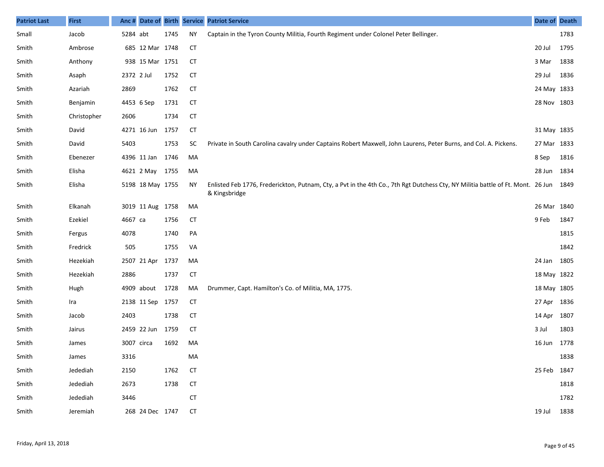| <b>Patriot Last</b> | <b>First</b> |            |                  |      |           | Anc # Date of Birth Service Patriot Service                                                                                                           | Date of Death |      |
|---------------------|--------------|------------|------------------|------|-----------|-------------------------------------------------------------------------------------------------------------------------------------------------------|---------------|------|
| Small               | Jacob        | 5284 abt   |                  | 1745 | <b>NY</b> | Captain in the Tyron County Militia, Fourth Regiment under Colonel Peter Bellinger.                                                                   |               | 1783 |
| Smith               | Ambrose      |            | 685 12 Mar 1748  |      | <b>CT</b> |                                                                                                                                                       | 20 Jul        | 1795 |
| Smith               | Anthony      |            | 938 15 Mar 1751  |      | <b>CT</b> |                                                                                                                                                       | 3 Mar         | 1838 |
| Smith               | Asaph        | 2372 2 Jul |                  | 1752 | <b>CT</b> |                                                                                                                                                       | 29 Jul        | 1836 |
| Smith               | Azariah      | 2869       |                  | 1762 | <b>CT</b> |                                                                                                                                                       | 24 May 1833   |      |
| Smith               | Benjamin     |            | 4453 6 Sep       | 1731 | <b>CT</b> |                                                                                                                                                       | 28 Nov 1803   |      |
| Smith               | Christopher  | 2606       |                  | 1734 | <b>CT</b> |                                                                                                                                                       |               |      |
| Smith               | David        |            | 4271 16 Jun      | 1757 | <b>CT</b> |                                                                                                                                                       | 31 May 1835   |      |
| Smith               | David        | 5403       |                  | 1753 | <b>SC</b> | Private in South Carolina cavalry under Captains Robert Maxwell, John Laurens, Peter Burns, and Col. A. Pickens.                                      | 27 Mar 1833   |      |
| Smith               | Ebenezer     |            | 4396 11 Jan      | 1746 | MA        |                                                                                                                                                       | 8 Sep         | 1816 |
| Smith               | Elisha       |            | 4621 2 May 1755  |      | MA        |                                                                                                                                                       | 28 Jun 1834   |      |
| Smith               | Elisha       |            | 5198 18 May 1755 |      | ΝY        | Enlisted Feb 1776, Frederickton, Putnam, Cty, a Pvt in the 4th Co., 7th Rgt Dutchess Cty, NY Militia battle of Ft. Mont. 26 Jun 1849<br>& Kingsbridge |               |      |
| Smith               | Elkanah      |            | 3019 11 Aug 1758 |      | MA        |                                                                                                                                                       | 26 Mar 1840   |      |
| Smith               | Ezekiel      | 4667 ca    |                  | 1756 | <b>CT</b> |                                                                                                                                                       | 9 Feb         | 1847 |
| Smith               | Fergus       | 4078       |                  | 1740 | PA        |                                                                                                                                                       |               | 1815 |
| Smith               | Fredrick     | 505        |                  | 1755 | VA        |                                                                                                                                                       |               | 1842 |
| Smith               | Hezekiah     |            | 2507 21 Apr      | 1737 | MA        |                                                                                                                                                       | 24 Jan 1805   |      |
| Smith               | Hezekiah     | 2886       |                  | 1737 | <b>CT</b> |                                                                                                                                                       | 18 May 1822   |      |
| Smith               | Hugh         |            | 4909 about       | 1728 | MA        | Drummer, Capt. Hamilton's Co. of Militia, MA, 1775.                                                                                                   | 18 May 1805   |      |
| Smith               | Ira          |            | 2138 11 Sep 1757 |      | <b>CT</b> |                                                                                                                                                       | 27 Apr 1836   |      |
| Smith               | Jacob        | 2403       |                  | 1738 | <b>CT</b> |                                                                                                                                                       | 14 Apr 1807   |      |
| Smith               | Jairus       |            | 2459 22 Jun      | 1759 | <b>CT</b> |                                                                                                                                                       | 3 Jul         | 1803 |
| Smith               | James        | 3007 circa |                  | 1692 | MA        |                                                                                                                                                       | 16 Jun 1778   |      |
| Smith               | James        | 3316       |                  |      | MA        |                                                                                                                                                       |               | 1838 |
| Smith               | Jedediah     | 2150       |                  | 1762 | <b>CT</b> |                                                                                                                                                       | 25 Feb 1847   |      |
| Smith               | Jedediah     | 2673       |                  | 1738 | <b>CT</b> |                                                                                                                                                       |               | 1818 |
| Smith               | Jedediah     | 3446       |                  |      | <b>CT</b> |                                                                                                                                                       |               | 1782 |
| Smith               | Jeremiah     |            | 268 24 Dec 1747  |      | CT        |                                                                                                                                                       | 19 Jul 1838   |      |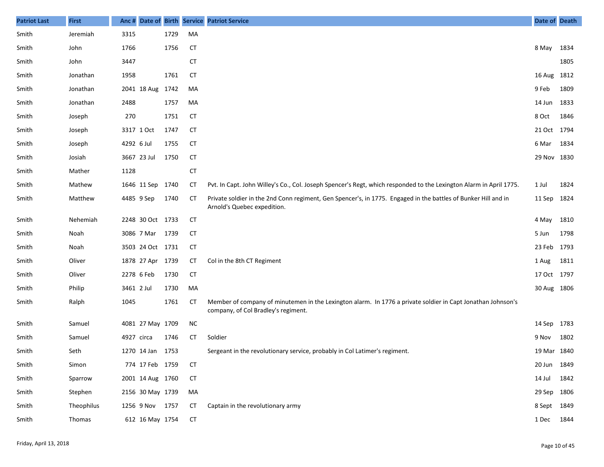| <b>Patriot Last</b> | <b>First</b> |             |                  |      |           | Anc # Date of Birth Service Patriot Service                                                                                                        | Date of Death |      |
|---------------------|--------------|-------------|------------------|------|-----------|----------------------------------------------------------------------------------------------------------------------------------------------------|---------------|------|
| Smith               | Jeremiah     | 3315        |                  | 1729 | MA        |                                                                                                                                                    |               |      |
| Smith               | John         | 1766        |                  | 1756 | <b>CT</b> |                                                                                                                                                    | 8 May         | 1834 |
| Smith               | John         | 3447        |                  |      | <b>CT</b> |                                                                                                                                                    |               | 1805 |
| Smith               | Jonathan     | 1958        |                  | 1761 | <b>CT</b> |                                                                                                                                                    | 16 Aug 1812   |      |
| Smith               | Jonathan     |             | 2041 18 Aug      | 1742 | MA        |                                                                                                                                                    | 9 Feb         | 1809 |
| Smith               | Jonathan     | 2488        |                  | 1757 | MA        |                                                                                                                                                    | 14 Jun        | 1833 |
| Smith               | Joseph       | 270         |                  | 1751 | <b>CT</b> |                                                                                                                                                    | 8 Oct         | 1846 |
| Smith               | Joseph       | 3317 1 Oct  |                  | 1747 | <b>CT</b> |                                                                                                                                                    | 21 Oct 1794   |      |
| Smith               | Joseph       | 4292 6 Jul  |                  | 1755 | <b>CT</b> |                                                                                                                                                    | 6 Mar         | 1834 |
| Smith               | Josiah       | 3667 23 Jul |                  | 1750 | CT        |                                                                                                                                                    | 29 Nov 1830   |      |
| Smith               | Mather       | 1128        |                  |      | <b>CT</b> |                                                                                                                                                    |               |      |
| Smith               | Mathew       |             | 1646 11 Sep      | 1740 | <b>CT</b> | Pvt. In Capt. John Willey's Co., Col. Joseph Spencer's Regt, which responded to the Lexington Alarm in April 1775.                                 | 1 Jul         | 1824 |
| Smith               | Matthew      | 4485 9 Sep  |                  | 1740 | <b>CT</b> | Private soldier in the 2nd Conn regiment, Gen Spencer's, in 1775. Engaged in the battles of Bunker Hill and in<br>Arnold's Quebec expedition.      | 11 Sep        | 1824 |
| Smith               | Nehemiah     |             | 2248 30 Oct 1733 |      | <b>CT</b> |                                                                                                                                                    | 4 May         | 1810 |
| Smith               | Noah         |             | 3086 7 Mar       | 1739 | CT        |                                                                                                                                                    | 5 Jun         | 1798 |
| Smith               | Noah         |             | 3503 24 Oct 1731 |      | <b>CT</b> |                                                                                                                                                    | 23 Feb 1793   |      |
| Smith               | Oliver       |             | 1878 27 Apr 1739 |      | СT        | Col in the 8th CT Regiment                                                                                                                         | 1 Aug         | 1811 |
| Smith               | Oliver       | 2278 6 Feb  |                  | 1730 | <b>CT</b> |                                                                                                                                                    | 17 Oct 1797   |      |
| Smith               | Philip       | 3461 2 Jul  |                  | 1730 | MA        |                                                                                                                                                    | 30 Aug 1806   |      |
| Smith               | Ralph        | 1045        |                  | 1761 | <b>CT</b> | Member of company of minutemen in the Lexington alarm. In 1776 a private soldier in Capt Jonathan Johnson's<br>company, of Col Bradley's regiment. |               |      |
| Smith               | Samuel       |             | 4081 27 May 1709 |      | <b>NC</b> |                                                                                                                                                    | 14 Sep        | 1783 |
| Smith               | Samuel       | 4927 circa  |                  | 1746 | СT        | Soldier                                                                                                                                            | 9 Nov         | 1802 |
| Smith               | Seth         |             | 1270 14 Jan 1753 |      |           | Sergeant in the revolutionary service, probably in Col Latimer's regiment.                                                                         | 19 Mar 1840   |      |
| Smith               | Simon        |             | 774 17 Feb 1759  |      | <b>CT</b> |                                                                                                                                                    | 20 Jun 1849   |      |
| Smith               | Sparrow      |             | 2001 14 Aug 1760 |      | <b>CT</b> |                                                                                                                                                    | 14 Jul        | 1842 |
| Smith               | Stephen      |             | 2156 30 May 1739 |      | MA        |                                                                                                                                                    | 29 Sep 1806   |      |
| Smith               | Theophilus   |             | 1256 9 Nov 1757  |      | <b>CT</b> | Captain in the revolutionary army                                                                                                                  | 8 Sept 1849   |      |
| Smith               | Thomas       |             | 612 16 May 1754  |      | <b>CT</b> |                                                                                                                                                    | 1 Dec         | 1844 |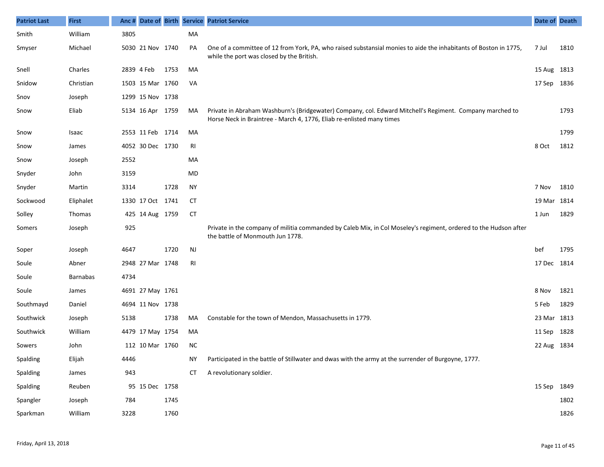| <b>Patriot Last</b> | <b>First</b>    |      |                  |      |           | Anc # Date of Birth Service Patriot Service                                                                                                                                       | Date of Death |      |
|---------------------|-----------------|------|------------------|------|-----------|-----------------------------------------------------------------------------------------------------------------------------------------------------------------------------------|---------------|------|
| Smith               | William         | 3805 |                  |      | MA        |                                                                                                                                                                                   |               |      |
| Smyser              | Michael         |      | 5030 21 Nov 1740 |      | PA        | One of a committee of 12 from York, PA, who raised substansial monies to aide the inhabitants of Boston in 1775,<br>while the port was closed by the British.                     | 7 Jul         | 1810 |
| Snell               | Charles         |      | 2839 4 Feb       | 1753 | MA        |                                                                                                                                                                                   | 15 Aug 1813   |      |
| Snidow              | Christian       |      | 1503 15 Mar 1760 |      | VA        |                                                                                                                                                                                   | 17 Sep 1836   |      |
| Snov                | Joseph          |      | 1299 15 Nov 1738 |      |           |                                                                                                                                                                                   |               |      |
| Snow                | Eliab           |      | 5134 16 Apr 1759 |      | MA        | Private in Abraham Washburn's (Bridgewater) Company, col. Edward Mitchell's Regiment. Company marched to<br>Horse Neck in Braintree - March 4, 1776, Eliab re-enlisted many times |               | 1793 |
| Snow                | Isaac           |      | 2553 11 Feb 1714 |      | MA        |                                                                                                                                                                                   |               | 1799 |
| Snow                | James           |      | 4052 30 Dec 1730 |      | RI        |                                                                                                                                                                                   | 8 Oct         | 1812 |
| Snow                | Joseph          | 2552 |                  |      | MA        |                                                                                                                                                                                   |               |      |
| Snyder              | John            | 3159 |                  |      | MD        |                                                                                                                                                                                   |               |      |
| Snyder              | Martin          | 3314 |                  | 1728 | <b>NY</b> |                                                                                                                                                                                   | 7 Nov         | 1810 |
| Sockwood            | Eliphalet       |      | 1330 17 Oct 1741 |      | <b>CT</b> |                                                                                                                                                                                   | 19 Mar        | 1814 |
| Solley              | Thomas          |      | 425 14 Aug 1759  |      | <b>CT</b> |                                                                                                                                                                                   | 1 Jun         | 1829 |
| Somers              | Joseph          | 925  |                  |      |           | Private in the company of militia commanded by Caleb Mix, in Col Moseley's regiment, ordered to the Hudson after<br>the battle of Monmouth Jun 1778.                              |               |      |
| Soper               | Joseph          | 4647 |                  | 1720 | <b>NJ</b> |                                                                                                                                                                                   | bef           | 1795 |
| Soule               | Abner           |      | 2948 27 Mar 1748 |      | RI        |                                                                                                                                                                                   | 17 Dec 1814   |      |
| Soule               | <b>Barnabas</b> | 4734 |                  |      |           |                                                                                                                                                                                   |               |      |
| Soule               | James           |      | 4691 27 May 1761 |      |           |                                                                                                                                                                                   | 8 Nov         | 1821 |
| Southmayd           | Daniel          |      | 4694 11 Nov 1738 |      |           |                                                                                                                                                                                   | 5 Feb         | 1829 |
| Southwick           | Joseph          | 5138 |                  | 1738 | MA        | Constable for the town of Mendon, Massachusetts in 1779.                                                                                                                          | 23 Mar 1813   |      |
| Southwick           | William         |      | 4479 17 May 1754 |      | MA        |                                                                                                                                                                                   | 11 Sep 1828   |      |
| Sowers              | John            |      | 112 10 Mar 1760  |      | <b>NC</b> |                                                                                                                                                                                   | 22 Aug 1834   |      |
| Spalding            | Elijah          | 4446 |                  |      | ΝY        | Participated in the battle of Stillwater and dwas with the army at the surrender of Burgoyne, 1777.                                                                               |               |      |
| Spalding            | James           | 943  |                  |      | <b>CT</b> | A revolutionary soldier.                                                                                                                                                          |               |      |
| Spalding            | Reuben          |      | 95 15 Dec 1758   |      |           |                                                                                                                                                                                   | 15 Sep 1849   |      |
| Spangler            | Joseph          | 784  |                  | 1745 |           |                                                                                                                                                                                   |               | 1802 |
| Sparkman            | William         | 3228 |                  | 1760 |           |                                                                                                                                                                                   |               | 1826 |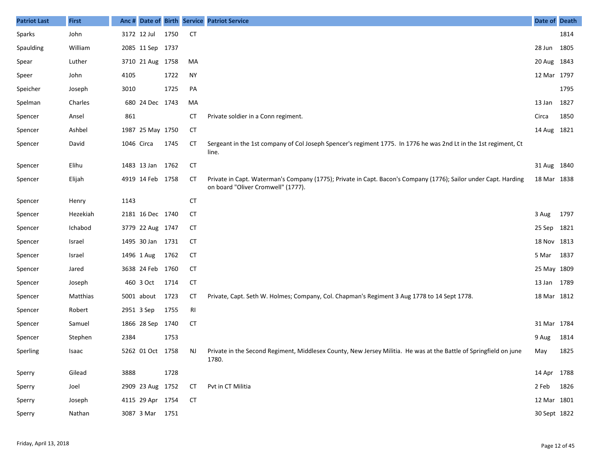| <b>Patriot Last</b> | <b>First</b> | Anc#       |                  |      |           | Date of Birth Service Patriot Service                                                                                                                 | Date of Death |      |
|---------------------|--------------|------------|------------------|------|-----------|-------------------------------------------------------------------------------------------------------------------------------------------------------|---------------|------|
| Sparks              | John         |            | 3172 12 Jul      | 1750 | <b>CT</b> |                                                                                                                                                       |               | 1814 |
| Spaulding           | William      |            | 2085 11 Sep 1737 |      |           |                                                                                                                                                       | 28 Jun        | 1805 |
| Spear               | Luther       |            | 3710 21 Aug 1758 |      | MA        |                                                                                                                                                       | 20 Aug 1843   |      |
| Speer               | John         | 4105       |                  | 1722 | <b>NY</b> |                                                                                                                                                       | 12 Mar 1797   |      |
| Speicher            | Joseph       | 3010       |                  | 1725 | PA        |                                                                                                                                                       |               | 1795 |
| Spelman             | Charles      |            | 680 24 Dec 1743  |      | MA        |                                                                                                                                                       | 13 Jan        | 1827 |
| Spencer             | Ansel        | 861        |                  |      | СT        | Private soldier in a Conn regiment.                                                                                                                   | Circa         | 1850 |
| Spencer             | Ashbel       |            | 1987 25 May 1750 |      | <b>CT</b> |                                                                                                                                                       | 14 Aug 1821   |      |
| Spencer             | David        | 1046 Circa |                  | 1745 | <b>CT</b> | Sergeant in the 1st company of Col Joseph Spencer's regiment 1775. In 1776 he was 2nd Lt in the 1st regiment, Ct<br>line.                             |               |      |
| Spencer             | Elihu        |            | 1483 13 Jan 1762 |      | <b>CT</b> |                                                                                                                                                       | 31 Aug 1840   |      |
| Spencer             | Elijah       |            | 4919 14 Feb 1758 |      | <b>CT</b> | Private in Capt. Waterman's Company (1775); Private in Capt. Bacon's Company (1776); Sailor under Capt. Harding<br>on board "Oliver Cromwell" (1777). | 18 Mar 1838   |      |
| Spencer             | Henry        | 1143       |                  |      | <b>CT</b> |                                                                                                                                                       |               |      |
| Spencer             | Hezekiah     |            | 2181 16 Dec 1740 |      | <b>CT</b> |                                                                                                                                                       | 3 Aug         | 1797 |
| Spencer             | Ichabod      |            | 3779 22 Aug 1747 |      | <b>CT</b> |                                                                                                                                                       | 25 Sep        | 1821 |
| Spencer             | Israel       |            | 1495 30 Jan 1731 |      | <b>CT</b> |                                                                                                                                                       | 18 Nov 1813   |      |
| Spencer             | Israel       |            | 1496 1 Aug       | 1762 | <b>CT</b> |                                                                                                                                                       | 5 Mar         | 1837 |
| Spencer             | Jared        |            | 3638 24 Feb      | 1760 | <b>CT</b> |                                                                                                                                                       | 25 May 1809   |      |
| Spencer             | Joseph       |            | 460 3 Oct        | 1714 | <b>CT</b> |                                                                                                                                                       | 13 Jan 1789   |      |
| Spencer             | Matthias     |            | 5001 about       | 1723 | <b>CT</b> | Private, Capt. Seth W. Holmes; Company, Col. Chapman's Regiment 3 Aug 1778 to 14 Sept 1778.                                                           | 18 Mar 1812   |      |
| Spencer             | Robert       | 2951 3 Sep |                  | 1755 | RI        |                                                                                                                                                       |               |      |
| Spencer             | Samuel       |            | 1866 28 Sep      | 1740 | <b>CT</b> |                                                                                                                                                       | 31 Mar 1784   |      |
| Spencer             | Stephen      | 2384       |                  | 1753 |           |                                                                                                                                                       | 9 Aug         | 1814 |
| Sperling            | Isaac        |            | 5262 01 Oct 1758 |      | NJ        | Private in the Second Regiment, Middlesex County, New Jersey Militia. He was at the Battle of Springfield on june<br>1780.                            | May           | 1825 |
| Sperry              | Gilead       | 3888       |                  | 1728 |           |                                                                                                                                                       | 14 Apr 1788   |      |
| Sperry              | Joel         |            | 2909 23 Aug 1752 |      | <b>CT</b> | Pvt in CT Militia                                                                                                                                     | 2 Feb 1826    |      |
| Sperry              | Joseph       |            | 4115 29 Apr 1754 |      | <b>CT</b> |                                                                                                                                                       | 12 Mar 1801   |      |
| Sperry              | Nathan       |            | 3087 3 Mar 1751  |      |           |                                                                                                                                                       | 30 Sept 1822  |      |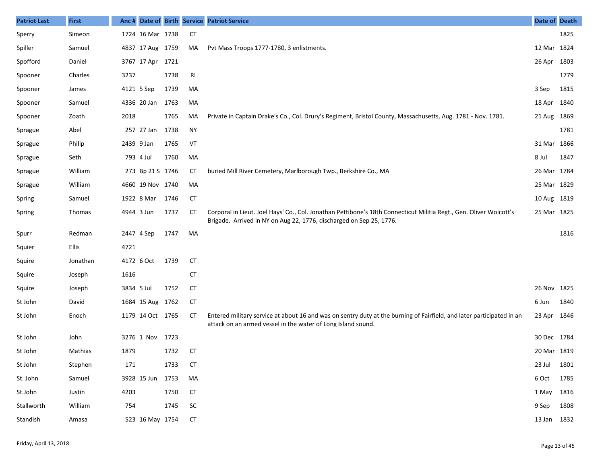| <b>Patriot Last</b> | <b>First</b> | Anc #      |                  |      |           | Date of Birth Service Patriot Service                                                                                                                                                     | Date of Death |      |
|---------------------|--------------|------------|------------------|------|-----------|-------------------------------------------------------------------------------------------------------------------------------------------------------------------------------------------|---------------|------|
| Sperry              | Simeon       |            | 1724 16 Mar 1738 |      | <b>CT</b> |                                                                                                                                                                                           |               | 1825 |
| Spiller             | Samuel       |            | 4837 17 Aug 1759 |      | MA        | Pvt Mass Troops 1777-1780, 3 enlistments.                                                                                                                                                 | 12 Mar 1824   |      |
| Spofford            | Daniel       |            | 3767 17 Apr      | 1721 |           |                                                                                                                                                                                           | 26 Apr 1803   |      |
| Spooner             | Charles      | 3237       |                  | 1738 | RI        |                                                                                                                                                                                           |               | 1779 |
| Spooner             | James        | 4121 5 Sep |                  | 1739 | MA        |                                                                                                                                                                                           | 3 Sep         | 1815 |
| Spooner             | Samuel       |            | 4336 20 Jan      | 1763 | MA        |                                                                                                                                                                                           | 18 Apr 1840   |      |
| Spooner             | Zoath        | 2018       |                  | 1765 | МA        | Private in Captain Drake's Co., Col. Drury's Regiment, Bristol County, Massachusetts, Aug. 1781 - Nov. 1781.                                                                              | 21 Aug 1869   |      |
| Sprague             | Abel         |            | 257 27 Jan       | 1738 | <b>NY</b> |                                                                                                                                                                                           |               | 1781 |
| Sprague             | Philip       | 2439 9 Jan |                  | 1765 | VT        |                                                                                                                                                                                           | 31 Mar 1866   |      |
| Sprague             | Seth         |            | 793 4 Jul        | 1760 | MA        |                                                                                                                                                                                           | 8 Jul         | 1847 |
| Sprague             | William      |            | 273 Bp 21 S 1746 |      | СT        | buried Mill River Cemetery, Marlborough Twp., Berkshire Co., MA                                                                                                                           | 26 Mar 1784   |      |
| Sprague             | William      |            | 4660 19 Nov 1740 |      | MA        |                                                                                                                                                                                           | 25 Mar 1829   |      |
| Spring              | Samuel       |            | 1922 8 Mar       | 1746 | CT        |                                                                                                                                                                                           | 10 Aug 1819   |      |
| Spring              | Thomas       | 4944 3 Jun |                  | 1737 | СT        | Corporal in Lieut. Joel Hays' Co., Col. Jonathan Pettibone's 18th Connecticut Militia Regt., Gen. Oliver Wolcott's<br>Brigade. Arrived in NY on Aug 22, 1776, discharged on Sep 25, 1776. | 25 Mar 1825   |      |
| Spurr               | Redman       | 2447 4 Sep |                  | 1747 | MA        |                                                                                                                                                                                           |               | 1816 |
| Squier              | Ellis        | 4721       |                  |      |           |                                                                                                                                                                                           |               |      |
| Squire              | Jonathan     |            | 4172 6 Oct       | 1739 | <b>CT</b> |                                                                                                                                                                                           |               |      |
| Squire              | Joseph       | 1616       |                  |      | <b>CT</b> |                                                                                                                                                                                           |               |      |
| Squire              | Joseph       | 3834 5 Jul |                  | 1752 | CT        |                                                                                                                                                                                           | 26 Nov 1825   |      |
| St John             | David        |            | 1684 15 Aug 1762 |      | CT        |                                                                                                                                                                                           | 6 Jun         | 1840 |
| St John             | Enoch        |            | 1179 14 Oct 1765 |      | СT        | Entered military service at about 16 and was on sentry duty at the burning of Fairfield, and later participated in an<br>attack on an armed vessel in the water of Long Island sound.     | 23 Apr 1846   |      |
| St John             | John         |            | 3276 1 Nov       | 1723 |           |                                                                                                                                                                                           | 30 Dec 1784   |      |
| St John             | Mathias      | 1879       |                  | 1732 | CT        |                                                                                                                                                                                           | 20 Mar 1819   |      |
| St John             | Stephen      | 171        |                  | 1733 | <b>CT</b> |                                                                                                                                                                                           | 23 Jul 1801   |      |
| St. John            | Samuel       |            | 3928 15 Jun      | 1753 | MA        |                                                                                                                                                                                           | 6 Oct         | 1785 |
| St.John             | Justin       | 4203       |                  | 1750 | <b>CT</b> |                                                                                                                                                                                           | 1 May 1816    |      |
| Stallworth          | William      | 754        |                  | 1745 | SC        |                                                                                                                                                                                           | 9 Sep 1808    |      |
| Standish            | Amasa        |            | 523 16 May 1754  |      | <b>CT</b> |                                                                                                                                                                                           | 13 Jan 1832   |      |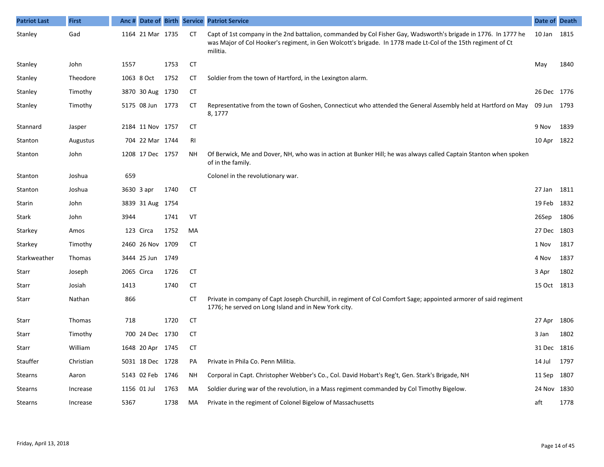| <b>Patriot Last</b> | <b>First</b> | Anc# |                  |      |           | Date of Birth Service Patriot Service                                                                                                                                                                                                      | Date of     | <b>Death</b> |
|---------------------|--------------|------|------------------|------|-----------|--------------------------------------------------------------------------------------------------------------------------------------------------------------------------------------------------------------------------------------------|-------------|--------------|
| Stanley             | Gad          |      | 1164 21 Mar 1735 |      | CT        | Capt of 1st company in the 2nd battalion, commanded by Col Fisher Gay, Wadsworth's brigade in 1776. In 1777 he<br>was Major of Col Hooker's regiment, in Gen Wolcott's brigade. In 1778 made Lt-Col of the 15th regiment of Ct<br>militia. | 10 Jan      | 1815         |
| Stanley             | John         | 1557 |                  | 1753 | <b>CT</b> |                                                                                                                                                                                                                                            | May         | 1840         |
| Stanley             | Theodore     |      | 1063 8 Oct       | 1752 | <b>CT</b> | Soldier from the town of Hartford, in the Lexington alarm.                                                                                                                                                                                 |             |              |
| Stanley             | Timothy      |      | 3870 30 Aug 1730 |      | <b>CT</b> |                                                                                                                                                                                                                                            | 26 Dec 1776 |              |
| Stanley             | Timothy      |      | 5175 08 Jun 1773 |      | СT        | Representative from the town of Goshen, Connecticut who attended the General Assembly held at Hartford on May<br>8, 1777                                                                                                                   | 09 Jun      | 1793         |
| Stannard            | Jasper       |      | 2184 11 Nov 1757 |      | CT        |                                                                                                                                                                                                                                            | 9 Nov       | 1839         |
| Stanton             | Augustus     |      | 704 22 Mar 1744  |      | RI        |                                                                                                                                                                                                                                            | 10 Apr      | 1822         |
| Stanton             | John         |      | 1208 17 Dec 1757 |      | <b>NH</b> | Of Berwick, Me and Dover, NH, who was in action at Bunker Hill; he was always called Captain Stanton when spoken<br>of in the family.                                                                                                      |             |              |
| Stanton             | Joshua       | 659  |                  |      |           | Colonel in the revolutionary war.                                                                                                                                                                                                          |             |              |
| Stanton             | Joshua       |      | 3630 3 apr       | 1740 | СT        |                                                                                                                                                                                                                                            | 27 Jan 1811 |              |
| Starin              | John         |      | 3839 31 Aug 1754 |      |           |                                                                                                                                                                                                                                            | 19 Feb      | 1832         |
| Stark               | John         | 3944 |                  | 1741 | VT        |                                                                                                                                                                                                                                            | 26Sep       | 1806         |
| Starkey             | Amos         |      | 123 Circa        | 1752 | MA        |                                                                                                                                                                                                                                            | 27 Dec 1803 |              |
| Starkey             | Timothy      |      | 2460 26 Nov 1709 |      | <b>CT</b> |                                                                                                                                                                                                                                            | 1 Nov       | 1817         |
| Starkweather        | Thomas       |      | 3444 25 Jun 1749 |      |           |                                                                                                                                                                                                                                            | 4 Nov       | 1837         |
| Starr               | Joseph       |      | 2065 Circa       | 1726 | СT        |                                                                                                                                                                                                                                            | 3 Apr       | 1802         |
| Starr               | Josiah       | 1413 |                  | 1740 | <b>CT</b> |                                                                                                                                                                                                                                            | 15 Oct      | 1813         |
| Starr               | Nathan       | 866  |                  |      | СT        | Private in company of Capt Joseph Churchill, in regiment of Col Comfort Sage; appointed armorer of said regiment<br>1776; he served on Long Island and in New York city.                                                                   |             |              |
| <b>Starr</b>        | Thomas       | 718  |                  | 1720 | <b>CT</b> |                                                                                                                                                                                                                                            | 27 Apr      | 1806         |
| Starr               | Timothy      |      | 700 24 Dec 1730  |      | <b>CT</b> |                                                                                                                                                                                                                                            | 3 Jan       | 1802         |
| Starr               | William      |      | 1648 20 Apr 1745 |      | <b>CT</b> |                                                                                                                                                                                                                                            | 31 Dec      | 1816         |
| Stauffer            | Christian    |      | 5031 18 Dec 1728 |      | PA        | Private in Phila Co. Penn Militia.                                                                                                                                                                                                         | 14 Jul      | 1797         |
| Stearns             | Aaron        |      | 5143 02 Feb 1746 |      | ΝH        | Corporal in Capt. Christopher Webber's Co., Col. David Hobart's Reg't, Gen. Stark's Brigade, NH                                                                                                                                            | 11 Sep      | 1807         |
| <b>Stearns</b>      | Increase     |      | 1156 01 Jul      | 1763 | MA        | Soldier during war of the revolution, in a Mass regiment commanded by Col Timothy Bigelow.                                                                                                                                                 | 24 Nov 1830 |              |
| Stearns             | Increase     | 5367 |                  | 1738 | MA        | Private in the regiment of Colonel Bigelow of Massachusetts                                                                                                                                                                                | aft         | 1778         |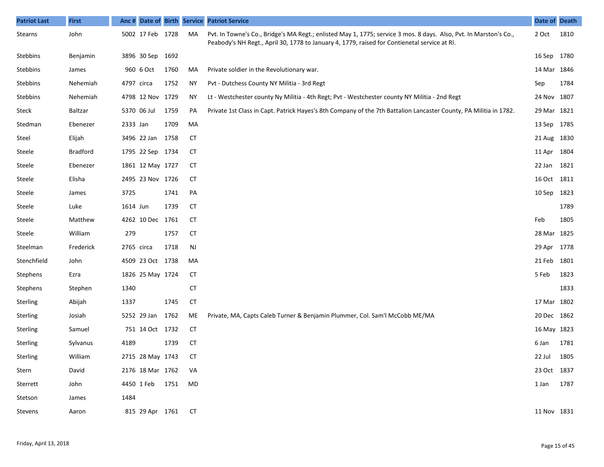| <b>Patriot Last</b> | <b>First</b>    | Anc#       |                     |      |           | Date of Birth Service Patriot Service                                                                                                                                                                             | Date of Death |      |
|---------------------|-----------------|------------|---------------------|------|-----------|-------------------------------------------------------------------------------------------------------------------------------------------------------------------------------------------------------------------|---------------|------|
| Stearns             | John            |            | 5002 17 Feb 1728    |      | MA        | Pvt. In Towne's Co., Bridge's MA Regt.; enlisted May 1, 1775; service 3 mos. 8 days. Also, Pvt. In Marston's Co.,<br>Peabody's NH Regt., April 30, 1778 to January 4, 1779, raised for Contienetal service at RI. | 2 Oct         | 1810 |
| Stebbins            | Benjamin        |            | 3896 30 Sep 1692    |      |           |                                                                                                                                                                                                                   | 16 Sep 1780   |      |
| Stebbins            | James           |            | 960 6 Oct           | 1760 | MA        | Private soldier in the Revolutionary war.                                                                                                                                                                         | 14 Mar 1846   |      |
| Stebbins            | Nehemiah        | 4797 circa |                     | 1752 | ΝY        | Pvt - Dutchess County NY Militia - 3rd Regt                                                                                                                                                                       | Sep           | 1784 |
| Stebbins            | Nehemiah        |            | 4798 12 Nov 1729    |      | ΝY        | Lt - Westchester county Ny Militia - 4th Regt; Pvt - Westchester county NY Militia - 2nd Regt                                                                                                                     | 24 Nov 1807   |      |
| <b>Steck</b>        | Baltzar         |            | 5370 06 Jul         | 1759 | PA        | Private 1st Class in Capt. Patrick Hayes's 8th Company of the 7th Battalion Lancaster County, PA Militia in 1782.                                                                                                 | 29 Mar 1821   |      |
| Stedman             | Ebenezer        | 2333 Jan   |                     | 1709 | MA        |                                                                                                                                                                                                                   | 13 Sep 1785   |      |
| Steel               | Elijah          |            | 3496 22 Jan 1758    |      | <b>CT</b> |                                                                                                                                                                                                                   | 21 Aug 1830   |      |
| Steele              | <b>Bradford</b> |            | 1795 22 Sep 1734    |      | <b>CT</b> |                                                                                                                                                                                                                   | 11 Apr 1804   |      |
| Steele              | Ebenezer        |            | 1861 12 May 1727    |      | <b>CT</b> |                                                                                                                                                                                                                   | 22 Jan 1821   |      |
| Steele              | Elisha          |            | 2495 23 Nov 1726    |      | <b>CT</b> |                                                                                                                                                                                                                   | 16 Oct 1811   |      |
| Steele              | James           | 3725       |                     | 1741 | PA        |                                                                                                                                                                                                                   | 10 Sep 1823   |      |
| Steele              | Luke            | 1614 Jun   |                     | 1739 | <b>CT</b> |                                                                                                                                                                                                                   |               | 1789 |
| Steele              | Matthew         |            | 4262 10 Dec 1761    |      | <b>CT</b> |                                                                                                                                                                                                                   | Feb           | 1805 |
| Steele              | William         | 279        |                     | 1757 | <b>CT</b> |                                                                                                                                                                                                                   | 28 Mar 1825   |      |
| Steelman            | Frederick       | 2765 circa |                     | 1718 | <b>NJ</b> |                                                                                                                                                                                                                   | 29 Apr 1778   |      |
| Stenchfield         | John            |            | 4509 23 Oct 1738    |      | MA        |                                                                                                                                                                                                                   | 21 Feb 1801   |      |
| Stephens            | Ezra            |            | 1826 25 May 1724    |      | СT        |                                                                                                                                                                                                                   | 5 Feb         | 1823 |
| Stephens            | Stephen         | 1340       |                     |      | <b>CT</b> |                                                                                                                                                                                                                   |               | 1833 |
| Sterling            | Abijah          | 1337       |                     | 1745 | <b>CT</b> |                                                                                                                                                                                                                   | 17 Mar 1802   |      |
| Sterling            | Josiah          |            | 5252 29 Jan         | 1762 | ME        | Private, MA, Capts Caleb Turner & Benjamin Plummer, Col. Sam'l McCobb ME/MA                                                                                                                                       | 20 Dec 1862   |      |
| Sterling            | Samuel          |            | 751 14 Oct 1732     |      | <b>CT</b> |                                                                                                                                                                                                                   | 16 May 1823   |      |
| Sterling            | Sylvanus        | 4189       |                     | 1739 | <b>CT</b> |                                                                                                                                                                                                                   | 6 Jan         | 1781 |
| Sterling            | William         |            | 2715 28 May 1743    |      | СT        |                                                                                                                                                                                                                   | 22 Jul 1805   |      |
| Stern               | David           |            | 2176 18 Mar 1762 VA |      |           |                                                                                                                                                                                                                   | 23 Oct 1837   |      |
| Sterrett            | John            |            | 4450 1 Feb 1751     |      | MD        |                                                                                                                                                                                                                   | 1 Jan 1787    |      |
| Stetson             | James           | 1484       |                     |      |           |                                                                                                                                                                                                                   |               |      |
| Stevens             | Aaron           |            | 815 29 Apr 1761 CT  |      |           |                                                                                                                                                                                                                   | 11 Nov 1831   |      |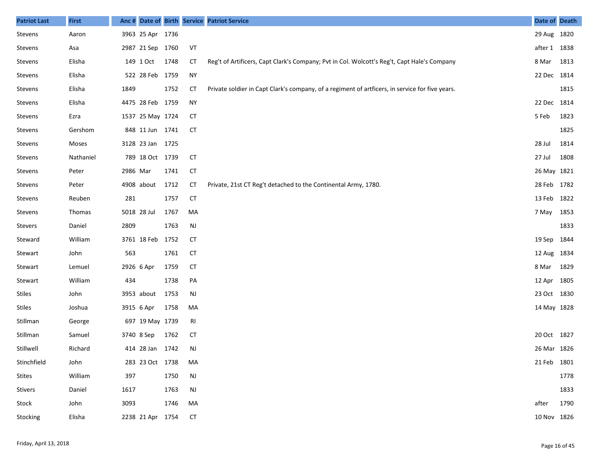| <b>Patriot Last</b> | <b>First</b> | Anc#        |                  |      |               | Date of Birth Service Patriot Service                                                           | Date of Death |      |
|---------------------|--------------|-------------|------------------|------|---------------|-------------------------------------------------------------------------------------------------|---------------|------|
| Stevens             | Aaron        |             | 3963 25 Apr 1736 |      |               |                                                                                                 | 29 Aug 1820   |      |
| Stevens             | Asa          |             | 2987 21 Sep 1760 |      | VT            |                                                                                                 | after 1 1838  |      |
| Stevens             | Elisha       |             | 149 1 Oct        | 1748 | <b>CT</b>     | Reg't of Artificers, Capt Clark's Company; Pvt in Col. Wolcott's Reg't, Capt Hale's Company     | 8 Mar 1813    |      |
| Stevens             | Elisha       |             | 522 28 Feb 1759  |      | <b>NY</b>     |                                                                                                 | 22 Dec 1814   |      |
| Stevens             | Elisha       | 1849        |                  | 1752 | <b>CT</b>     | Private soldier in Capt Clark's company, of a regiment of artficers, in service for five years. |               | 1815 |
| Stevens             | Elisha       |             | 4475 28 Feb 1759 |      | <b>NY</b>     |                                                                                                 | 22 Dec 1814   |      |
| Stevens             | Ezra         |             | 1537 25 May 1724 |      | <b>CT</b>     |                                                                                                 | 5 Feb         | 1823 |
| Stevens             | Gershom      |             | 848 11 Jun 1741  |      | <b>CT</b>     |                                                                                                 |               | 1825 |
| Stevens             | Moses        |             | 3128 23 Jan 1725 |      |               |                                                                                                 | 28 Jul        | 1814 |
| Stevens             | Nathaniel    |             | 789 18 Oct 1739  |      | <b>CT</b>     |                                                                                                 | 27 Jul        | 1808 |
| Stevens             | Peter        | 2986 Mar    |                  | 1741 | <b>CT</b>     |                                                                                                 | 26 May 1821   |      |
| Stevens             | Peter        |             | 4908 about       | 1712 | <b>CT</b>     | Private, 21st CT Reg't detached to the Continental Army, 1780.                                  | 28 Feb 1782   |      |
| Stevens             | Reuben       | 281         |                  | 1757 | <b>CT</b>     |                                                                                                 | 13 Feb 1822   |      |
| Stevens             | Thomas       | 5018 28 Jul |                  | 1767 | MA            |                                                                                                 | 7 May 1853    |      |
| Stevers             | Daniel       | 2809        |                  | 1763 | $\mathsf{NJ}$ |                                                                                                 |               | 1833 |
| Steward             | William      |             | 3761 18 Feb      | 1752 | <b>CT</b>     |                                                                                                 | 19 Sep 1844   |      |
| Stewart             | John         | 563         |                  | 1761 | <b>CT</b>     |                                                                                                 | 12 Aug 1834   |      |
| Stewart             | Lemuel       | 2926 6 Apr  |                  | 1759 | <b>CT</b>     |                                                                                                 | 8 Mar 1829    |      |
| Stewart             | William      | 434         |                  | 1738 | PA            |                                                                                                 | 12 Apr 1805   |      |
| Stiles              | John         |             | 3953 about       | 1753 | <b>NJ</b>     |                                                                                                 | 23 Oct 1830   |      |
| Stiles              | Joshua       | 3915 6 Apr  |                  | 1758 | MA            |                                                                                                 | 14 May 1828   |      |
| Stillman            | George       |             | 697 19 May 1739  |      | RI            |                                                                                                 |               |      |
| Stillman            | Samuel       | 3740 8 Sep  |                  | 1762 | <b>CT</b>     |                                                                                                 | 20 Oct 1827   |      |
| Stillwell           | Richard      |             | 414 28 Jan 1742  |      | <b>NJ</b>     |                                                                                                 | 26 Mar 1826   |      |
| Stinchfield         | John         |             | 283 23 Oct 1738  |      | MA            |                                                                                                 | 21 Feb 1801   |      |
| <b>Stites</b>       | William      | 397         |                  | 1750 | $\mathsf{NJ}$ |                                                                                                 |               | 1778 |
| Stivers             | Daniel       | 1617        |                  | 1763 | $\mathsf{NJ}$ |                                                                                                 |               | 1833 |
| Stock               | John         | 3093        |                  | 1746 | MA            |                                                                                                 | after         | 1790 |
| Stocking            | Elisha       |             | 2238 21 Apr 1754 |      | <b>CT</b>     |                                                                                                 | 10 Nov 1826   |      |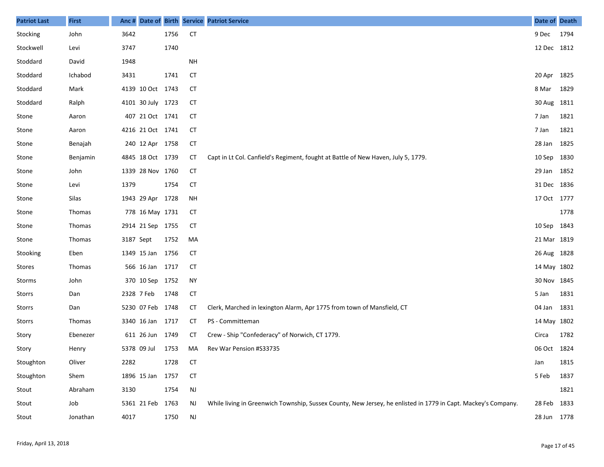| <b>Patriot Last</b> | <b>First</b> | Anc#       |                   |      |               | Date of Birth Service Patriot Service                                                                         | <b>Date of Death</b> |      |
|---------------------|--------------|------------|-------------------|------|---------------|---------------------------------------------------------------------------------------------------------------|----------------------|------|
| Stocking            | John         | 3642       |                   | 1756 | <b>CT</b>     |                                                                                                               | 9 Dec                | 1794 |
| Stockwell           | Levi         | 3747       |                   | 1740 |               |                                                                                                               | 12 Dec 1812          |      |
| Stoddard            | David        | 1948       |                   |      | NH            |                                                                                                               |                      |      |
| Stoddard            | Ichabod      | 3431       |                   | 1741 | <b>CT</b>     |                                                                                                               | 20 Apr 1825          |      |
| Stoddard            | Mark         |            | 4139 10 Oct 1743  |      | <b>CT</b>     |                                                                                                               | 8 Mar                | 1829 |
| Stoddard            | Ralph        |            | 4101 30 July 1723 |      | CТ            |                                                                                                               | 30 Aug 1811          |      |
| Stone               | Aaron        |            | 407 21 Oct 1741   |      | <b>CT</b>     |                                                                                                               | 7 Jan                | 1821 |
| Stone               | Aaron        |            | 4216 21 Oct 1741  |      | <b>CT</b>     |                                                                                                               | 7 Jan                | 1821 |
| Stone               | Benajah      |            | 240 12 Apr 1758   |      | <b>CT</b>     |                                                                                                               | 28 Jan               | 1825 |
| Stone               | Benjamin     |            | 4845 18 Oct 1739  |      | <b>CT</b>     | Capt in Lt Col. Canfield's Regiment, fought at Battle of New Haven, July 5, 1779.                             | 10 Sep 1830          |      |
| Stone               | John         |            | 1339 28 Nov 1760  |      | <b>CT</b>     |                                                                                                               | 29 Jan 1852          |      |
| Stone               | Levi         | 1379       |                   | 1754 | <b>CT</b>     |                                                                                                               | 31 Dec 1836          |      |
| Stone               | Silas        |            | 1943 29 Apr 1728  |      | <b>NH</b>     |                                                                                                               | 17 Oct 1777          |      |
| Stone               | Thomas       |            | 778 16 May 1731   |      | СT            |                                                                                                               |                      | 1778 |
| Stone               | Thomas       |            | 2914 21 Sep 1755  |      | <b>CT</b>     |                                                                                                               | 10 Sep 1843          |      |
| Stone               | Thomas       | 3187 Sept  |                   | 1752 | MA            |                                                                                                               | 21 Mar 1819          |      |
| Stooking            | Eben         |            | 1349 15 Jan 1756  |      | <b>CT</b>     |                                                                                                               | 26 Aug 1828          |      |
| Stores              | Thomas       |            | 566 16 Jan 1717   |      | СT            |                                                                                                               | 14 May 1802          |      |
| Storms              | John         |            | 370 10 Sep 1752   |      | <b>NY</b>     |                                                                                                               | 30 Nov 1845          |      |
| Storrs              | Dan          | 2328 7 Feb |                   | 1748 | <b>CT</b>     |                                                                                                               | 5 Jan                | 1831 |
| Storrs              | Dan          |            | 5230 07 Feb 1748  |      | СT            | Clerk, Marched in lexington Alarm, Apr 1775 from town of Mansfield, CT                                        | 04 Jan 1831          |      |
| Storrs              | Thomas       |            | 3340 16 Jan 1717  |      | СT            | PS - Committeman                                                                                              | 14 May 1802          |      |
| Story               | Ebenezer     |            | 611 26 Jun 1749   |      | CT.           | Crew - Ship "Confederacy" of Norwich, CT 1779.                                                                | Circa                | 1782 |
| Story               | Henry        |            | 5378 09 Jul       | 1753 | MA            | Rev War Pension #S33735                                                                                       | 06 Oct 1824          |      |
| Stoughton           | Oliver       | 2282       |                   | 1728 | <b>CT</b>     |                                                                                                               | Jan                  | 1815 |
| Stoughton           | Shem         |            | 1896 15 Jan       | 1757 | <b>CT</b>     |                                                                                                               | 5 Feb                | 1837 |
| Stout               | Abraham      | 3130       |                   | 1754 | $\mathsf{NJ}$ |                                                                                                               |                      | 1821 |
| Stout               | Job          |            | 5361 21 Feb 1763  |      | <b>NJ</b>     | While living in Greenwich Township, Sussex County, New Jersey, he enlisted in 1779 in Capt. Mackey's Company. | 28 Feb 1833          |      |
| Stout               | Jonathan     | 4017       |                   | 1750 | $\mathsf{NJ}$ |                                                                                                               | 28 Jun 1778          |      |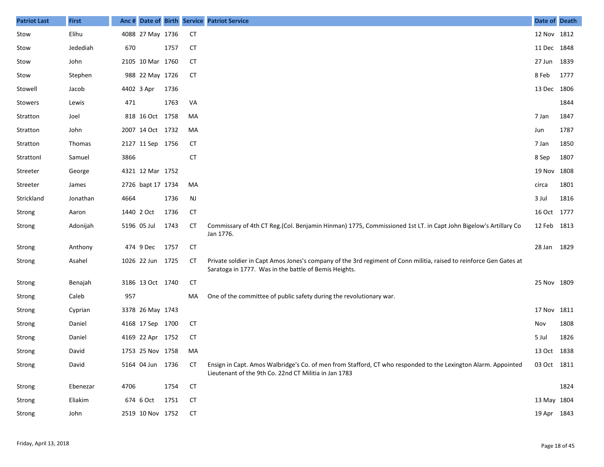| <b>Patriot Last</b> | <b>First</b> | Anc # |                   |      |           | Date of Birth Service Patriot Service                                                                                                                                       | Date of Death |      |
|---------------------|--------------|-------|-------------------|------|-----------|-----------------------------------------------------------------------------------------------------------------------------------------------------------------------------|---------------|------|
| Stow                | Elihu        |       | 4088 27 May 1736  |      | <b>CT</b> |                                                                                                                                                                             | 12 Nov 1812   |      |
| Stow                | Jedediah     | 670   |                   | 1757 | <b>CT</b> |                                                                                                                                                                             | 11 Dec 1848   |      |
| Stow                | John         |       | 2105 10 Mar 1760  |      | <b>CT</b> |                                                                                                                                                                             | 27 Jun 1839   |      |
| Stow                | Stephen      |       | 988 22 May 1726   |      | <b>CT</b> |                                                                                                                                                                             | 8 Feb         | 1777 |
| Stowell             | Jacob        |       | 4402 3 Apr        | 1736 |           |                                                                                                                                                                             | 13 Dec 1806   |      |
| Stowers             | Lewis        | 471   |                   | 1763 | VA        |                                                                                                                                                                             |               | 1844 |
| Stratton            | Joel         |       | 818 16 Oct 1758   |      | MA        |                                                                                                                                                                             | 7 Jan         | 1847 |
| Stratton            | John         |       | 2007 14 Oct 1732  |      | MA        |                                                                                                                                                                             | Jun           | 1787 |
| Stratton            | Thomas       |       | 2127 11 Sep 1756  |      | <b>CT</b> |                                                                                                                                                                             | 7 Jan         | 1850 |
| Strattonl           | Samuel       | 3866  |                   |      | <b>CT</b> |                                                                                                                                                                             | 8 Sep         | 1807 |
| Streeter            | George       |       | 4321 12 Mar 1752  |      |           |                                                                                                                                                                             | 19 Nov 1808   |      |
| Streeter            | James        |       | 2726 bapt 17 1734 |      | MA        |                                                                                                                                                                             | circa         | 1801 |
| Strickland          | Jonathan     | 4664  |                   | 1736 | NJ        |                                                                                                                                                                             | 3 Jul         | 1816 |
| Strong              | Aaron        |       | 1440 2 Oct        | 1736 | <b>CT</b> |                                                                                                                                                                             | 16 Oct 1777   |      |
| Strong              | Adonijah     |       | 5196 05 Jul       | 1743 | <b>CT</b> | Commissary of 4th CT Reg.(Col. Benjamin Hinman) 1775, Commissioned 1st LT. in Capt John Bigelow's Artillary Co<br>Jan 1776.                                                 | 12 Feb 1813   |      |
| Strong              | Anthony      |       | 474 9 Dec         | 1757 | <b>CT</b> |                                                                                                                                                                             | 28 Jan 1829   |      |
| Strong              | Asahel       |       | 1026 22 Jun 1725  |      | <b>CT</b> | Private soldier in Capt Amos Jones's company of the 3rd regiment of Conn militia, raised to reinforce Gen Gates at<br>Saratoga in 1777. Was in the battle of Bemis Heights. |               |      |
| Strong              | Benajah      |       | 3186 13 Oct 1740  |      | <b>CT</b> |                                                                                                                                                                             | 25 Nov 1809   |      |
| Strong              | Caleb        | 957   |                   |      | MA        | One of the committee of public safety during the revolutionary war.                                                                                                         |               |      |
| Strong              | Cyprian      |       | 3378 26 May 1743  |      |           |                                                                                                                                                                             | 17 Nov 1811   |      |
| Strong              | Daniel       |       | 4168 17 Sep 1700  |      | СT        |                                                                                                                                                                             | Nov           | 1808 |
| Strong              | Daniel       |       | 4169 22 Apr 1752  |      | СT        |                                                                                                                                                                             | 5 Jul         | 1826 |
| Strong              | David        |       | 1753 25 Nov 1758  |      | MA        |                                                                                                                                                                             | 13 Oct 1838   |      |
| Strong              | David        |       | 5164 04 Jun 1736  |      | СT        | Ensign in Capt. Amos Walbridge's Co. of men from Stafford, CT who responded to the Lexington Alarm. Appointed<br>Lieutenant of the 9th Co. 22nd CT Militia in Jan 1783      | 03 Oct 1811   |      |
| Strong              | Ebenezar     | 4706  |                   | 1754 | <b>CT</b> |                                                                                                                                                                             |               | 1824 |
| Strong              | Eliakim      |       | 674 6 Oct         | 1751 | <b>CT</b> |                                                                                                                                                                             | 13 May 1804   |      |
| Strong              | John         |       | 2519 10 Nov 1752  |      | <b>CT</b> |                                                                                                                                                                             | 19 Apr 1843   |      |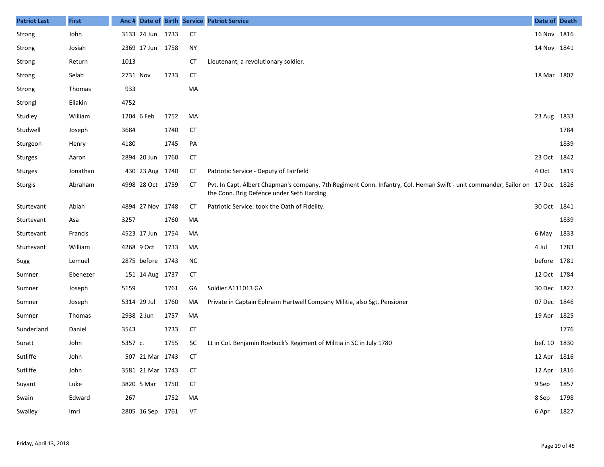| <b>Patriot Last</b> | <b>First</b> | Anc#       |                  |      |           | Date of Birth Service Patriot Service                                                                                                                                       | Date of Death |      |
|---------------------|--------------|------------|------------------|------|-----------|-----------------------------------------------------------------------------------------------------------------------------------------------------------------------------|---------------|------|
| Strong              | John         |            | 3133 24 Jun 1733 |      | <b>CT</b> |                                                                                                                                                                             | 16 Nov 1816   |      |
| Strong              | Josiah       |            | 2369 17 Jun 1758 |      | <b>NY</b> |                                                                                                                                                                             | 14 Nov 1841   |      |
| Strong              | Return       | 1013       |                  |      | <b>CT</b> | Lieutenant, a revolutionary soldier.                                                                                                                                        |               |      |
| Strong              | Selah        | 2731 Nov   |                  | 1733 | <b>CT</b> |                                                                                                                                                                             | 18 Mar 1807   |      |
| Strong              | Thomas       | 933        |                  |      | MA        |                                                                                                                                                                             |               |      |
| Strongl             | Eliakin      | 4752       |                  |      |           |                                                                                                                                                                             |               |      |
| Studley             | William      | 1204 6 Feb |                  | 1752 | MA        |                                                                                                                                                                             | 23 Aug 1833   |      |
| Studwell            | Joseph       | 3684       |                  | 1740 | <b>CT</b> |                                                                                                                                                                             |               | 1784 |
| Sturgeon            | Henry        | 4180       |                  | 1745 | PA        |                                                                                                                                                                             |               | 1839 |
| <b>Sturges</b>      | Aaron        |            | 2894 20 Jun      | 1760 | <b>CT</b> |                                                                                                                                                                             | 23 Oct 1842   |      |
| <b>Sturges</b>      | Jonathan     |            | 430 23 Aug 1740  |      | СT        | Patriotic Service - Deputy of Fairfield                                                                                                                                     | 4 Oct         | 1819 |
| Sturgis             | Abraham      |            | 4998 28 Oct 1759 |      | <b>CT</b> | Pvt. In Capt. Albert Chapman's company, 7th Regiment Conn. Infantry, Col. Heman Swift - unit commander, Sailor on 17 Dec 1826<br>the Conn. Brig Defence under Seth Harding. |               |      |
| Sturtevant          | Abiah        |            | 4894 27 Nov 1748 |      | СT        | Patriotic Service: took the Oath of Fidelity.                                                                                                                               | 30 Oct 1841   |      |
| Sturtevant          | Asa          | 3257       |                  | 1760 | MA        |                                                                                                                                                                             |               | 1839 |
| Sturtevant          | Francis      |            | 4523 17 Jun      | 1754 | MA        |                                                                                                                                                                             | 6 May         | 1833 |
| Sturtevant          | William      |            | 4268 9 Oct       | 1733 | MA        |                                                                                                                                                                             | 4 Jul         | 1783 |
| Sugg                | Lemuel       |            | 2875 before 1743 |      | <b>NC</b> |                                                                                                                                                                             | before 1781   |      |
| Sumner              | Ebenezer     |            | 151 14 Aug 1737  |      | <b>CT</b> |                                                                                                                                                                             | 12 Oct 1784   |      |
| Sumner              | Joseph       | 5159       |                  | 1761 | GA        | Soldier A111013 GA                                                                                                                                                          | 30 Dec 1827   |      |
| Sumner              | Joseph       |            | 5314 29 Jul      | 1760 | MA        | Private in Captain Ephraim Hartwell Company Militia, also Sgt, Pensioner                                                                                                    | 07 Dec 1846   |      |
| Sumner              | Thomas       | 2938 2 Jun |                  | 1757 | MA        |                                                                                                                                                                             | 19 Apr 1825   |      |
| Sunderland          | Daniel       | 3543       |                  | 1733 | <b>CT</b> |                                                                                                                                                                             |               | 1776 |
| Suratt              | John         | 5357 c.    |                  | 1755 | <b>SC</b> | Lt in Col. Benjamin Roebuck's Regiment of Militia in SC in July 1780                                                                                                        | bef. 10 1830  |      |
| Sutliffe            | John         |            | 507 21 Mar 1743  |      | CT        |                                                                                                                                                                             | 12 Apr 1816   |      |
| Sutliffe            | John         |            | 3581 21 Mar 1743 |      | СT        |                                                                                                                                                                             | 12 Apr 1816   |      |
| Suyant              | Luke         |            | 3820 5 Mar 1750  |      | <b>CT</b> |                                                                                                                                                                             | 9 Sep 1857    |      |
| Swain               | Edward       | 267        |                  | 1752 | MA        |                                                                                                                                                                             | 8 Sep 1798    |      |
| Swalley             | Imri         |            | 2805 16 Sep 1761 |      | VT        |                                                                                                                                                                             | 6 Apr 1827    |      |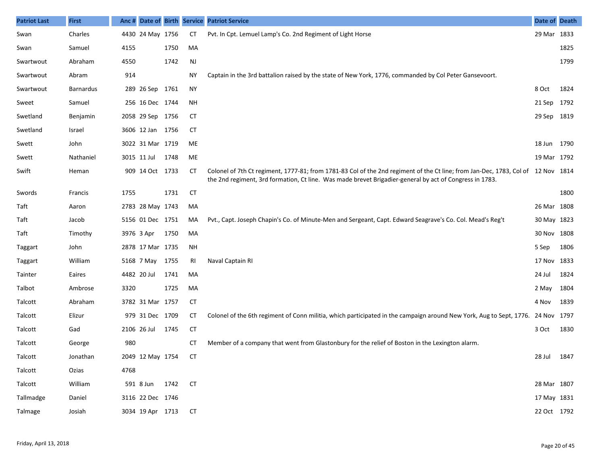| <b>Patriot Last</b> | <b>First</b> | Anc # |                     |      |           | Date of Birth Service Patriot Service                                                                                                                                                                                                       | Date of Death |      |
|---------------------|--------------|-------|---------------------|------|-----------|---------------------------------------------------------------------------------------------------------------------------------------------------------------------------------------------------------------------------------------------|---------------|------|
| Swan                | Charles      |       | 4430 24 May 1756    |      | СT        | Pvt. In Cpt. Lemuel Lamp's Co. 2nd Regiment of Light Horse                                                                                                                                                                                  | 29 Mar 1833   |      |
| Swan                | Samuel       | 4155  |                     | 1750 | MA        |                                                                                                                                                                                                                                             |               | 1825 |
| Swartwout           | Abraham      | 4550  |                     | 1742 | <b>NJ</b> |                                                                                                                                                                                                                                             |               | 1799 |
| Swartwout           | Abram        | 914   |                     |      | ΝY        | Captain in the 3rd battalion raised by the state of New York, 1776, commanded by Col Peter Gansevoort.                                                                                                                                      |               |      |
| Swartwout           | Barnardus    |       | 289 26 Sep 1761     |      | <b>NY</b> |                                                                                                                                                                                                                                             | 8 Oct         | 1824 |
| Sweet               | Samuel       |       | 256 16 Dec 1744     |      | NΗ        |                                                                                                                                                                                                                                             | 21 Sep        | 1792 |
| Swetland            | Benjamin     |       | 2058 29 Sep 1756    |      | CТ        |                                                                                                                                                                                                                                             | 29 Sep        | 1819 |
| Swetland            | Israel       |       | 3606 12 Jan 1756    |      | CТ        |                                                                                                                                                                                                                                             |               |      |
| Swett               | John         |       | 3022 31 Mar 1719    |      | ME        |                                                                                                                                                                                                                                             | 18 Jun        | 1790 |
| Swett               | Nathaniel    |       | 3015 11 Jul         | 1748 | ME        |                                                                                                                                                                                                                                             | 19 Mar 1792   |      |
| Swift               | Heman        |       | 909 14 Oct 1733     |      | <b>CT</b> | Colonel of 7th Ct regiment, 1777-81; from 1781-83 Col of the 2nd regiment of the Ct line; from Jan-Dec, 1783, Col of 12 Nov 1814<br>the 2nd regiment, 3rd formation, Ct line. Was made brevet Brigadier-general by act of Congress in 1783. |               |      |
| Swords              | Francis      | 1755  |                     | 1731 | <b>CT</b> |                                                                                                                                                                                                                                             |               | 1800 |
| Taft                | Aaron        |       | 2783 28 May 1743    |      | MA        |                                                                                                                                                                                                                                             | 26 Mar 1808   |      |
| Taft                | Jacob        |       | 5156 01 Dec 1751    |      | MA        | Pvt., Capt. Joseph Chapin's Co. of Minute-Men and Sergeant, Capt. Edward Seagrave's Co. Col. Mead's Reg't                                                                                                                                   | 30 May 1823   |      |
| Taft                | Timothy      |       | 3976 3 Apr          | 1750 | MA        |                                                                                                                                                                                                                                             | 30 Nov 1808   |      |
| Taggart             | John         |       | 2878 17 Mar 1735    |      | ΝH        |                                                                                                                                                                                                                                             | 5 Sep         | 1806 |
| Taggart             | William      |       | 5168 7 May          | 1755 | RI.       | Naval Captain RI                                                                                                                                                                                                                            | 17 Nov        | 1833 |
| Tainter             | Eaires       |       | 4482 20 Jul         | 1741 | MA        |                                                                                                                                                                                                                                             | 24 Jul        | 1824 |
| Talbot              | Ambrose      | 3320  |                     | 1725 | MA        |                                                                                                                                                                                                                                             | 2 May         | 1804 |
| Talcott             | Abraham      |       | 3782 31 Mar 1757    |      | CТ        |                                                                                                                                                                                                                                             | 4 Nov         | 1839 |
| Talcott             | Elizur       |       | 979 31 Dec 1709     |      | CТ        | Colonel of the 6th regiment of Conn militia, which participated in the campaign around New York, Aug to Sept, 1776. 24 Nov                                                                                                                  |               | 1797 |
| Talcott             | Gad          |       | 2106 26 Jul         | 1745 | CT        |                                                                                                                                                                                                                                             | 3 Oct         | 1830 |
| Talcott             | George       | 980   |                     |      | СT        | Member of a company that went from Glastonbury for the relief of Boston in the Lexington alarm.                                                                                                                                             |               |      |
| Talcott             | Jonathan     |       | 2049 12 May 1754 CT |      |           |                                                                                                                                                                                                                                             | 28 Jul 1847   |      |
| Talcott             | Ozias        | 4768  |                     |      |           |                                                                                                                                                                                                                                             |               |      |
| Talcott             | William      |       | 591 8 Jun 1742      |      | <b>CT</b> |                                                                                                                                                                                                                                             | 28 Mar 1807   |      |
| Tallmadge           | Daniel       |       | 3116 22 Dec 1746    |      |           |                                                                                                                                                                                                                                             | 17 May 1831   |      |
| Talmage             | Josiah       |       | 3034 19 Apr 1713    |      | <b>CT</b> |                                                                                                                                                                                                                                             | 22 Oct 1792   |      |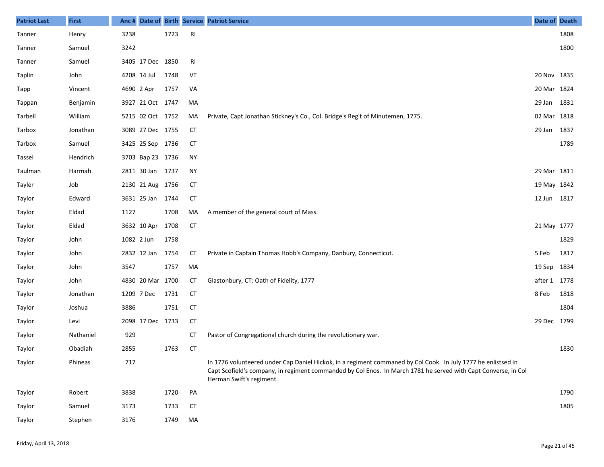| <b>Patriot Last</b> | <b>First</b> |             |                  |      |                | Anc # Date of Birth Service Patriot Service                                                                                                                                                                                                                 | Date of Death |      |
|---------------------|--------------|-------------|------------------|------|----------------|-------------------------------------------------------------------------------------------------------------------------------------------------------------------------------------------------------------------------------------------------------------|---------------|------|
| Tanner              | Henry        | 3238        |                  | 1723 | R <sub>l</sub> |                                                                                                                                                                                                                                                             |               | 1808 |
| Tanner              | Samuel       | 3242        |                  |      |                |                                                                                                                                                                                                                                                             |               | 1800 |
| Tanner              | Samuel       |             | 3405 17 Dec 1850 |      | RI             |                                                                                                                                                                                                                                                             |               |      |
| <b>Taplin</b>       | John         | 4208 14 Jul |                  | 1748 | VT             |                                                                                                                                                                                                                                                             | 20 Nov 1835   |      |
| Tapp                | Vincent      | 4690 2 Apr  |                  | 1757 | VA             |                                                                                                                                                                                                                                                             | 20 Mar 1824   |      |
| <b>Tappan</b>       | Benjamin     |             | 3927 21 Oct 1747 |      | MA             |                                                                                                                                                                                                                                                             | 29 Jan 1831   |      |
| Tarbell             | William      |             | 5215 02 Oct 1752 |      | MA             | Private, Capt Jonathan Stickney's Co., Col. Bridge's Reg't of Minutemen, 1775.                                                                                                                                                                              | 02 Mar 1818   |      |
| Tarbox              | Jonathan     |             | 3089 27 Dec 1755 |      | <b>CT</b>      |                                                                                                                                                                                                                                                             | 29 Jan        | 1837 |
| Tarbox              | Samuel       |             | 3425 25 Sep 1736 |      | <b>CT</b>      |                                                                                                                                                                                                                                                             |               | 1789 |
| Tassel              | Hendrich     |             | 3703 Bap 23 1736 |      | <b>NY</b>      |                                                                                                                                                                                                                                                             |               |      |
| Taulman             | Harmah       |             | 2811 30 Jan 1737 |      | <b>NY</b>      |                                                                                                                                                                                                                                                             | 29 Mar 1811   |      |
| Tayler              | Job          |             | 2130 21 Aug 1756 |      | <b>CT</b>      |                                                                                                                                                                                                                                                             | 19 May 1842   |      |
| Taylor              | Edward       |             | 3631 25 Jan      | 1744 | <b>CT</b>      |                                                                                                                                                                                                                                                             | 12 Jun 1817   |      |
| Taylor              | Eldad        | 1127        |                  | 1708 | MA             | A member of the general court of Mass.                                                                                                                                                                                                                      |               |      |
| Taylor              | Eldad        |             | 3632 10 Apr      | 1708 | <b>CT</b>      |                                                                                                                                                                                                                                                             | 21 May 1777   |      |
| Taylor              | John         | 1082 2 Jun  |                  | 1758 |                |                                                                                                                                                                                                                                                             |               | 1829 |
| Taylor              | John         |             | 2832 12 Jan      | 1754 | СT             | Private in Captain Thomas Hobb's Company, Danbury, Connecticut.                                                                                                                                                                                             | 5 Feb         | 1817 |
| Taylor              | John         | 3547        |                  | 1757 | MA             |                                                                                                                                                                                                                                                             | 19 Sep        | 1834 |
| Taylor              | John         |             | 4830 20 Mar 1700 |      | СT             | Glastonbury, CT: Oath of Fidelity, 1777                                                                                                                                                                                                                     | after 1 1778  |      |
| Taylor              | Jonathan     | 1209 7 Dec  |                  | 1731 | <b>CT</b>      |                                                                                                                                                                                                                                                             | 8 Feb         | 1818 |
| Taylor              | Joshua       | 3886        |                  | 1751 | <b>CT</b>      |                                                                                                                                                                                                                                                             |               | 1804 |
| Taylor              | Levi         |             | 2098 17 Dec 1733 |      | <b>CT</b>      |                                                                                                                                                                                                                                                             | 29 Dec 1799   |      |
| Taylor              | Nathaniel    | 929         |                  |      | СT             | Pastor of Congregational church during the revolutionary war.                                                                                                                                                                                               |               |      |
| Taylor              | Obadiah      | 2855        |                  | 1763 | <b>CT</b>      |                                                                                                                                                                                                                                                             |               | 1830 |
| Taylor              | Phineas      | 717         |                  |      |                | In 1776 volunteered under Cap Daniel Hickok, in a regiment commaned by Col Cook. In July 1777 he enlistsed in<br>Capt Scofield's company, in regiment commanded by Col Enos. In March 1781 he served with Capt Converse, in Col<br>Herman Swift's regiment. |               |      |
| Taylor              | Robert       | 3838        |                  | 1720 | PA             |                                                                                                                                                                                                                                                             |               | 1790 |
| Taylor              | Samuel       | 3173        |                  | 1733 | <b>CT</b>      |                                                                                                                                                                                                                                                             |               | 1805 |
| Taylor              | Stephen      | 3176        |                  | 1749 | MA             |                                                                                                                                                                                                                                                             |               |      |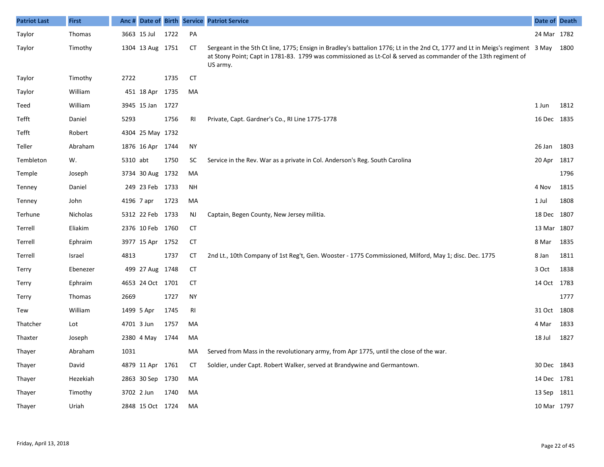| <b>Patriot Last</b> | <b>First</b> | Anc#     |                  |      |           | Date of Birth Service Patriot Service                                                                                                                                                                                                                             | Date of Death |      |
|---------------------|--------------|----------|------------------|------|-----------|-------------------------------------------------------------------------------------------------------------------------------------------------------------------------------------------------------------------------------------------------------------------|---------------|------|
| Taylor              | Thomas       |          | 3663 15 Jul      | 1722 | PA        |                                                                                                                                                                                                                                                                   | 24 Mar 1782   |      |
| Taylor              | Timothy      |          | 1304 13 Aug 1751 |      | CT        | Sergeant in the 5th Ct line, 1775; Ensign in Bradley's battalion 1776; Lt in the 2nd Ct, 1777 and Lt in Meigs's regiment 3 May 1800<br>at Stony Point; Capt in 1781-83. 1799 was commissioned as Lt-Col & served as commander of the 13th regiment of<br>US army. |               |      |
| Taylor              | Timothy      | 2722     |                  | 1735 | <b>CT</b> |                                                                                                                                                                                                                                                                   |               |      |
| Taylor              | William      |          | 451 18 Apr 1735  |      | MA        |                                                                                                                                                                                                                                                                   |               |      |
| Teed                | William      |          | 3945 15 Jan 1727 |      |           |                                                                                                                                                                                                                                                                   | 1 Jun         | 1812 |
| Tefft               | Daniel       | 5293     |                  | 1756 | RI        | Private, Capt. Gardner's Co., RI Line 1775-1778                                                                                                                                                                                                                   | 16 Dec 1835   |      |
| Tefft               | Robert       |          | 4304 25 May 1732 |      |           |                                                                                                                                                                                                                                                                   |               |      |
| Teller              | Abraham      |          | 1876 16 Apr 1744 |      | <b>NY</b> |                                                                                                                                                                                                                                                                   | 26 Jan 1803   |      |
| Tembleton           | W.           | 5310 abt |                  | 1750 | SC        | Service in the Rev. War as a private in Col. Anderson's Reg. South Carolina                                                                                                                                                                                       | 20 Apr 1817   |      |
| Temple              | Joseph       |          | 3734 30 Aug 1732 |      | MA        |                                                                                                                                                                                                                                                                   |               | 1796 |
| Tenney              | Daniel       |          | 249 23 Feb 1733  |      | <b>NH</b> |                                                                                                                                                                                                                                                                   | 4 Nov         | 1815 |
| Tenney              | John         |          | 4196 7 apr       | 1723 | MA        |                                                                                                                                                                                                                                                                   | 1 Jul         | 1808 |
| Terhune             | Nicholas     |          | 5312 22 Feb 1733 |      | NJ        | Captain, Begen County, New Jersey militia.                                                                                                                                                                                                                        | 18 Dec 1807   |      |
| Terrell             | Eliakim      |          | 2376 10 Feb 1760 |      | <b>CT</b> |                                                                                                                                                                                                                                                                   | 13 Mar 1807   |      |
| Terrell             | Ephraim      |          | 3977 15 Apr 1752 |      | <b>CT</b> |                                                                                                                                                                                                                                                                   | 8 Mar         | 1835 |
| Terrell             | Israel       | 4813     |                  | 1737 | CT        | 2nd Lt., 10th Company of 1st Reg't, Gen. Wooster - 1775 Commissioned, Milford, May 1; disc. Dec. 1775                                                                                                                                                             | 8 Jan         | 1811 |
| Terry               | Ebenezer     |          | 499 27 Aug 1748  |      | <b>CT</b> |                                                                                                                                                                                                                                                                   | 3 Oct         | 1838 |
| Terry               | Ephraim      |          | 4653 24 Oct 1701 |      | <b>CT</b> |                                                                                                                                                                                                                                                                   | 14 Oct 1783   |      |
| Terry               | Thomas       | 2669     |                  | 1727 | <b>NY</b> |                                                                                                                                                                                                                                                                   |               | 1777 |
| Tew                 | William      |          | 1499 5 Apr       | 1745 | RI        |                                                                                                                                                                                                                                                                   | 31 Oct 1808   |      |
| Thatcher            | Lot          |          | 4701 3 Jun       | 1757 | MA        |                                                                                                                                                                                                                                                                   | 4 Mar         | 1833 |
| Thaxter             | Joseph       |          | 2380 4 May       | 1744 | MA        |                                                                                                                                                                                                                                                                   | 18 Jul        | 1827 |
| Thayer              | Abraham      | 1031     |                  |      | MA        | Served from Mass in the revolutionary army, from Apr 1775, until the close of the war.                                                                                                                                                                            |               |      |
| Thayer              | David        |          | 4879 11 Apr 1761 |      | CT        | Soldier, under Capt. Robert Walker, served at Brandywine and Germantown.                                                                                                                                                                                          | 30 Dec 1843   |      |
| Thayer              | Hezekiah     |          | 2863 30 Sep 1730 |      | MA        |                                                                                                                                                                                                                                                                   | 14 Dec 1781   |      |
| Thayer              | Timothy      |          | 3702 2 Jun       | 1740 | MA        |                                                                                                                                                                                                                                                                   | 13 Sep 1811   |      |
| Thayer              | Uriah        |          | 2848 15 Oct 1724 |      | MA        |                                                                                                                                                                                                                                                                   | 10 Mar 1797   |      |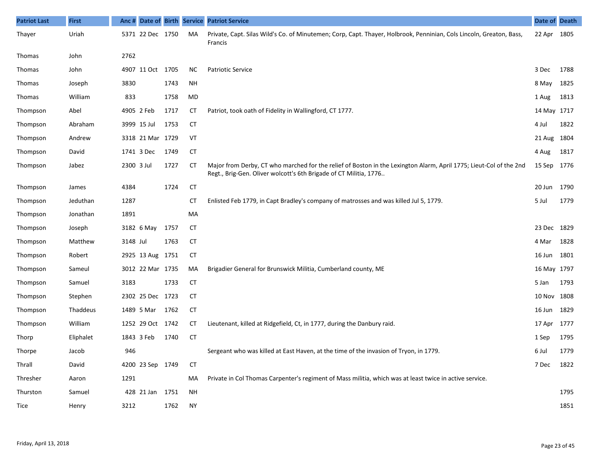| <b>Patriot Last</b> | <b>First</b> |            |                  |      |           | Anc # Date of Birth Service Patriot Service                                                                                                                                             | Date of Death |      |
|---------------------|--------------|------------|------------------|------|-----------|-----------------------------------------------------------------------------------------------------------------------------------------------------------------------------------------|---------------|------|
| Thayer              | Uriah        |            | 5371 22 Dec 1750 |      | MA        | Private, Capt. Silas Wild's Co. of Minutemen; Corp, Capt. Thayer, Holbrook, Penninian, Cols Lincoln, Greaton, Bass,<br>Francis                                                          | 22 Apr 1805   |      |
| Thomas              | John         | 2762       |                  |      |           |                                                                                                                                                                                         |               |      |
| Thomas              | John         |            | 4907 11 Oct 1705 |      | <b>NC</b> | <b>Patriotic Service</b>                                                                                                                                                                | 3 Dec         | 1788 |
| Thomas              | Joseph       | 3830       |                  | 1743 | <b>NH</b> |                                                                                                                                                                                         | 8 May         | 1825 |
| Thomas              | William      | 833        |                  | 1758 | MD        |                                                                                                                                                                                         | 1 Aug         | 1813 |
| Thompson            | Abel         |            | 4905 2 Feb       | 1717 | CT        | Patriot, took oath of Fidelity in Wallingford, CT 1777.                                                                                                                                 | 14 May 1717   |      |
| Thompson            | Abraham      |            | 3999 15 Jul      | 1753 | <b>CT</b> |                                                                                                                                                                                         | 4 Jul         | 1822 |
| Thompson            | Andrew       |            | 3318 21 Mar 1729 |      | VT        |                                                                                                                                                                                         | 21 Aug 1804   |      |
| Thompson            | David        |            | 1741 3 Dec       | 1749 | <b>CT</b> |                                                                                                                                                                                         | 4 Aug         | 1817 |
| Thompson            | Jabez        | 2300 3 Jul |                  | 1727 | CT        | Major from Derby, CT who marched for the relief of Boston in the Lexington Alarm, April 1775; Lieut-Col of the 2nd<br>Regt., Brig-Gen. Oliver wolcott's 6th Brigade of CT Militia, 1776 | 15 Sep 1776   |      |
| Thompson            | James        | 4384       |                  | 1724 | <b>CT</b> |                                                                                                                                                                                         | 20 Jun        | 1790 |
| Thompson            | Jeduthan     | 1287       |                  |      | <b>CT</b> | Enlisted Feb 1779, in Capt Bradley's company of matrosses and was killed Jul 5, 1779.                                                                                                   | 5 Jul         | 1779 |
| Thompson            | Jonathan     | 1891       |                  |      | MA        |                                                                                                                                                                                         |               |      |
| Thompson            | Joseph       |            | 3182 6 May       | 1757 | <b>CT</b> |                                                                                                                                                                                         | 23 Dec 1829   |      |
| Thompson            | Matthew      | 3148 Jul   |                  | 1763 | <b>CT</b> |                                                                                                                                                                                         | 4 Mar         | 1828 |
| Thompson            | Robert       |            | 2925 13 Aug 1751 |      | CT        |                                                                                                                                                                                         | 16 Jun 1801   |      |
| Thompson            | Sameul       |            | 3012 22 Mar 1735 |      | MA        | Brigadier General for Brunswick Militia, Cumberland county, ME                                                                                                                          | 16 May 1797   |      |
| Thompson            | Samuel       | 3183       |                  | 1733 | <b>CT</b> |                                                                                                                                                                                         | 5 Jan         | 1793 |
| Thompson            | Stephen      |            | 2302 25 Dec 1723 |      | CT        |                                                                                                                                                                                         | 10 Nov 1808   |      |
| Thompson            | Thaddeus     |            | 1489 5 Mar       | 1762 | <b>CT</b> |                                                                                                                                                                                         | 16 Jun        | 1829 |
| Thompson            | William      |            | 1252 29 Oct 1742 |      | СT        | Lieutenant, killed at Ridgefield, Ct, in 1777, during the Danbury raid.                                                                                                                 | 17 Apr 1777   |      |
| Thorp               | Eliphalet    |            | 1843 3 Feb       | 1740 | <b>CT</b> |                                                                                                                                                                                         | 1 Sep         | 1795 |
| <b>Thorpe</b>       | Jacob        | 946        |                  |      |           | Sergeant who was killed at East Haven, at the time of the invasion of Tryon, in 1779.                                                                                                   | 6 Jul         | 1779 |
| Thrall              | David        |            | 4200 23 Sep 1749 |      | <b>CT</b> |                                                                                                                                                                                         | 7 Dec         | 1822 |
| Thresher            | Aaron        | 1291       |                  |      | MA        | Private in Col Thomas Carpenter's regiment of Mass militia, which was at least twice in active service.                                                                                 |               |      |
| Thurston            | Samuel       |            | 428 21 Jan 1751  |      | <b>NH</b> |                                                                                                                                                                                         |               | 1795 |
| Tice                | Henry        | 3212       |                  | 1762 | <b>NY</b> |                                                                                                                                                                                         |               | 1851 |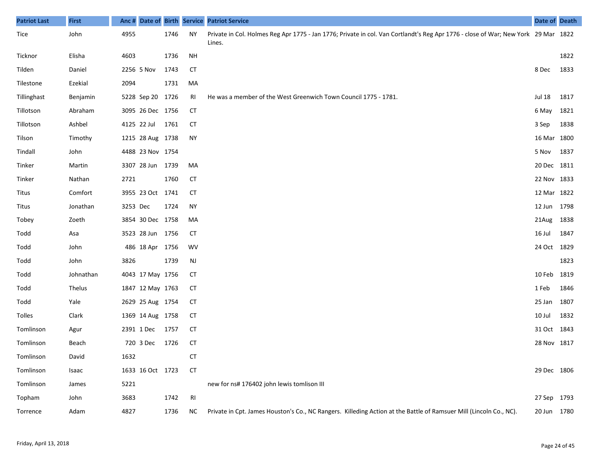| <b>Patriot Last</b> | <b>First</b> |          |                  |      |                | Anc # Date of Birth Service Patriot Service                                                                                                 | Date of Death |      |
|---------------------|--------------|----------|------------------|------|----------------|---------------------------------------------------------------------------------------------------------------------------------------------|---------------|------|
| Tice                | John         | 4955     |                  | 1746 | <b>NY</b>      | Private in Col. Holmes Reg Apr 1775 - Jan 1776; Private in col. Van Cortlandt's Reg Apr 1776 - close of War; New York 29 Mar 1822<br>Lines. |               |      |
| Ticknor             | Elisha       | 4603     |                  | 1736 | <b>NH</b>      |                                                                                                                                             |               | 1822 |
| Tilden              | Daniel       |          | 2256 5 Nov       | 1743 | <b>CT</b>      |                                                                                                                                             | 8 Dec         | 1833 |
| Tilestone           | Ezekial      | 2094     |                  | 1731 | MA             |                                                                                                                                             |               |      |
| Tillinghast         | Benjamin     |          | 5228 Sep 20 1726 |      | RI             | He was a member of the West Greenwich Town Council 1775 - 1781.                                                                             | <b>Jul 18</b> | 1817 |
| Tillotson           | Abraham      |          | 3095 26 Dec 1756 |      | <b>CT</b>      |                                                                                                                                             | 6 May         | 1821 |
| Tillotson           | Ashbel       |          | 4125 22 Jul      | 1761 | <b>CT</b>      |                                                                                                                                             | 3 Sep         | 1838 |
| Tilson              | Timothy      |          | 1215 28 Aug 1738 |      | ΝY             |                                                                                                                                             | 16 Mar 1800   |      |
| Tindall             | John         |          | 4488 23 Nov 1754 |      |                |                                                                                                                                             | 5 Nov         | 1837 |
| Tinker              | Martin       |          | 3307 28 Jun 1739 |      | МA             |                                                                                                                                             | 20 Dec 1811   |      |
| Tinker              | Nathan       | 2721     |                  | 1760 | CT             |                                                                                                                                             | 22 Nov 1833   |      |
| Titus               | Comfort      |          | 3955 23 Oct 1741 |      | СT             |                                                                                                                                             | 12 Mar 1822   |      |
| Titus               | Jonathan     | 3253 Dec |                  | 1724 | <b>NY</b>      |                                                                                                                                             | 12 Jun        | 1798 |
| Tobey               | Zoeth        |          | 3854 30 Dec 1758 |      | MA             |                                                                                                                                             | 21Aug         | 1838 |
| Todd                | Asa          |          | 3523 28 Jun 1756 |      | <b>CT</b>      |                                                                                                                                             | 16 Jul        | 1847 |
| Todd                | John         |          | 486 18 Apr 1756  |      | WV             |                                                                                                                                             | 24 Oct 1829   |      |
| Todd                | John         | 3826     |                  | 1739 | NJ             |                                                                                                                                             |               | 1823 |
| Todd                | Johnathan    |          | 4043 17 May 1756 |      | СT             |                                                                                                                                             | 10 Feb        | 1819 |
| Todd                | Thelus       |          | 1847 12 May 1763 |      | СT             |                                                                                                                                             | 1 Feb         | 1846 |
| Todd                | Yale         |          | 2629 25 Aug 1754 |      | <b>CT</b>      |                                                                                                                                             | 25 Jan        | 1807 |
| Tolles              | Clark        |          | 1369 14 Aug 1758 |      | СT             |                                                                                                                                             | 10 Jul        | 1832 |
| Tomlinson           | Agur         |          | 2391 1 Dec       | 1757 | СT             |                                                                                                                                             | 31 Oct        | 1843 |
| Tomlinson           | Beach        |          | 720 3 Dec        | 1726 | CT             |                                                                                                                                             | 28 Nov 1817   |      |
| Tomlinson           | David        | 1632     |                  |      | <b>CT</b>      |                                                                                                                                             |               |      |
| Tomlinson           | Isaac        |          | 1633 16 Oct 1723 |      | CT             |                                                                                                                                             | 29 Dec 1806   |      |
| Tomlinson           | James        | 5221     |                  |      |                | new for ns# 176402 john lewis tomlison III                                                                                                  |               |      |
| Topham              | John         | 3683     |                  | 1742 | R <sub>l</sub> |                                                                                                                                             | 27 Sep 1793   |      |
| Torrence            | Adam         | 4827     |                  | 1736 | NC.            | Private in Cpt. James Houston's Co., NC Rangers. Killeding Action at the Battle of Ramsuer Mill (Lincoln Co., NC).                          | 20 Jun 1780   |      |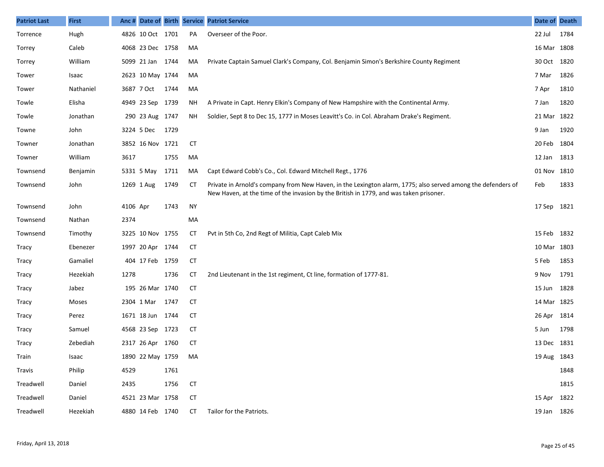| <b>Patriot Last</b> | <b>First</b> |          |                     |      |           | Anc # Date of Birth Service Patriot Service                                                                                                                                                            | Date of Death |      |
|---------------------|--------------|----------|---------------------|------|-----------|--------------------------------------------------------------------------------------------------------------------------------------------------------------------------------------------------------|---------------|------|
| Torrence            | Hugh         |          | 4826 10 Oct 1701    |      | PA        | Overseer of the Poor.                                                                                                                                                                                  | 22 Jul        | 1784 |
| Torrey              | Caleb        |          | 4068 23 Dec 1758    |      | MA        |                                                                                                                                                                                                        | 16 Mar 1808   |      |
| Torrey              | William      |          | 5099 21 Jan 1744    |      | MA        | Private Captain Samuel Clark's Company, Col. Benjamin Simon's Berkshire County Regiment                                                                                                                | 30 Oct 1820   |      |
| Tower               | Isaac        |          | 2623 10 May 1744    |      | MA        |                                                                                                                                                                                                        | 7 Mar         | 1826 |
| Tower               | Nathaniel    |          | 3687 7 Oct          | 1744 | MA        |                                                                                                                                                                                                        | 7 Apr         | 1810 |
| Towle               | Elisha       |          | 4949 23 Sep 1739    |      | ΝH        | A Private in Capt. Henry Elkin's Company of New Hampshire with the Continental Army.                                                                                                                   | 7 Jan         | 1820 |
| Towle               | Jonathan     |          | 290 23 Aug 1747     |      | ΝH        | Soldier, Sept 8 to Dec 15, 1777 in Moses Leavitt's Co. in Col. Abraham Drake's Regiment.                                                                                                               | 21 Mar 1822   |      |
| Towne               | John         |          | 3224 5 Dec          | 1729 |           |                                                                                                                                                                                                        | 9 Jan         | 1920 |
| Towner              | Jonathan     |          | 3852 16 Nov 1721    |      | <b>CT</b> |                                                                                                                                                                                                        | 20 Feb 1804   |      |
| Towner              | William      | 3617     |                     | 1755 | MA        |                                                                                                                                                                                                        | 12 Jan 1813   |      |
| Townsend            | Benjamin     |          | 5331 5 May          | 1711 | MA        | Capt Edward Cobb's Co., Col. Edward Mitchell Regt., 1776                                                                                                                                               | 01 Nov 1810   |      |
| Townsend            | John         |          | 1269 1 Aug          | 1749 | СT        | Private in Arnold's company from New Haven, in the Lexington alarm, 1775; also served among the defenders of<br>New Haven, at the time of the invasion by the British in 1779, and was taken prisoner. | Feb           | 1833 |
| Townsend            | John         | 4106 Apr |                     | 1743 | <b>NY</b> |                                                                                                                                                                                                        | 17 Sep 1821   |      |
| Townsend            | Nathan       | 2374     |                     |      | MA        |                                                                                                                                                                                                        |               |      |
| Townsend            | Timothy      |          | 3225 10 Nov 1755    |      | СT        | Pvt in 5th Co, 2nd Regt of Militia, Capt Caleb Mix                                                                                                                                                     | 15 Feb 1832   |      |
| Tracy               | Ebenezer     |          | 1997 20 Apr 1744    |      | <b>CT</b> |                                                                                                                                                                                                        | 10 Mar 1803   |      |
| <b>Tracy</b>        | Gamaliel     |          | 404 17 Feb 1759     |      | <b>CT</b> |                                                                                                                                                                                                        | 5 Feb         | 1853 |
| Tracy               | Hezekiah     | 1278     |                     | 1736 | СT        | 2nd Lieutenant in the 1st regiment, Ct line, formation of 1777-81.                                                                                                                                     | 9 Nov         | 1791 |
| Tracy               | Jabez        |          | 195 26 Mar 1740     |      | <b>CT</b> |                                                                                                                                                                                                        | 15 Jun        | 1828 |
| Tracy               | Moses        |          | 2304 1 Mar 1747     |      | CТ        |                                                                                                                                                                                                        | 14 Mar 1825   |      |
| Tracy               | Perez        |          | 1671 18 Jun 1744    |      | СT        |                                                                                                                                                                                                        | 26 Apr 1814   |      |
| Tracy               | Samuel       |          | 4568 23 Sep 1723    |      | СT        |                                                                                                                                                                                                        | 5 Jun         | 1798 |
| Tracy               | Zebediah     |          | 2317 26 Apr 1760    |      | СT        |                                                                                                                                                                                                        | 13 Dec 1831   |      |
| Train               | Isaac        |          | 1890 22 May 1759 MA |      |           |                                                                                                                                                                                                        | 19 Aug 1843   |      |
| Travis              | Philip       | 4529     |                     | 1761 |           |                                                                                                                                                                                                        |               | 1848 |
| Treadwell           | Daniel       | 2435     |                     | 1756 | <b>CT</b> |                                                                                                                                                                                                        |               | 1815 |
| Treadwell           | Daniel       |          | 4521 23 Mar 1758    |      | CТ        |                                                                                                                                                                                                        | 15 Apr 1822   |      |
| Treadwell           | Hezekiah     |          | 4880 14 Feb 1740    |      | СT        | Tailor for the Patriots.                                                                                                                                                                               | 19 Jan 1826   |      |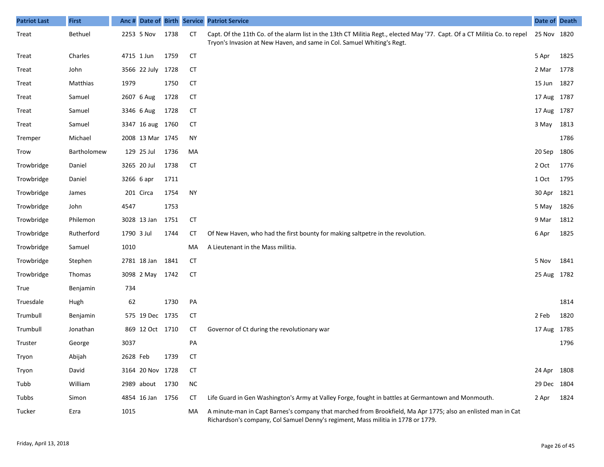| <b>Patriot Last</b> | <b>First</b> | Anc#       |                  |      |           | Date of Birth Service Patriot Service                                                                                                                                                               | Date of Death |      |
|---------------------|--------------|------------|------------------|------|-----------|-----------------------------------------------------------------------------------------------------------------------------------------------------------------------------------------------------|---------------|------|
| Treat               | Bethuel      |            | 2253 5 Nov       | 1738 | <b>CT</b> | Capt. Of the 11th Co. of the alarm list in the 13th CT Militia Regt., elected May '77. Capt. Of a CT Militia Co. to repel<br>Tryon's Invasion at New Haven, and same in Col. Samuel Whiting's Regt. | 25 Nov 1820   |      |
| Treat               | Charles      |            | 4715 1 Jun       | 1759 | <b>CT</b> |                                                                                                                                                                                                     | 5 Apr         | 1825 |
| Treat               | John         |            | 3566 22 July     | 1728 | СT        |                                                                                                                                                                                                     | 2 Mar         | 1778 |
| Treat               | Matthias     | 1979       |                  | 1750 | <b>CT</b> |                                                                                                                                                                                                     | 15 Jun        | 1827 |
| Treat               | Samuel       |            | 2607 6 Aug       | 1728 | СT        |                                                                                                                                                                                                     | 17 Aug 1787   |      |
| Treat               | Samuel       |            | 3346 6 Aug       | 1728 | СT        |                                                                                                                                                                                                     | 17 Aug 1787   |      |
| Treat               | Samuel       |            | 3347 16 aug 1760 |      | <b>CT</b> |                                                                                                                                                                                                     | 3 May         | 1813 |
| Tremper             | Michael      |            | 2008 13 Mar 1745 |      | <b>NY</b> |                                                                                                                                                                                                     |               | 1786 |
| Trow                | Bartholomew  |            | 129 25 Jul       | 1736 | MA        |                                                                                                                                                                                                     | 20 Sep        | 1806 |
| Trowbridge          | Daniel       |            | 3265 20 Jul      | 1738 | <b>CT</b> |                                                                                                                                                                                                     | 2 Oct         | 1776 |
| Trowbridge          | Daniel       |            | 3266 6 apr       | 1711 |           |                                                                                                                                                                                                     | 1 Oct         | 1795 |
| Trowbridge          | James        |            | 201 Circa        | 1754 | <b>NY</b> |                                                                                                                                                                                                     | 30 Apr        | 1821 |
| Trowbridge          | John         | 4547       |                  | 1753 |           |                                                                                                                                                                                                     | 5 May         | 1826 |
| Trowbridge          | Philemon     |            | 3028 13 Jan      | 1751 | <b>CT</b> |                                                                                                                                                                                                     | 9 Mar         | 1812 |
| Trowbridge          | Rutherford   | 1790 3 Jul |                  | 1744 | <b>CT</b> | Of New Haven, who had the first bounty for making saltpetre in the revolution.                                                                                                                      | 6 Apr         | 1825 |
| Trowbridge          | Samuel       | 1010       |                  |      | MA        | A Lieutenant in the Mass militia.                                                                                                                                                                   |               |      |
| Trowbridge          | Stephen      |            | 2781 18 Jan      | 1841 | <b>CT</b> |                                                                                                                                                                                                     | 5 Nov         | 1841 |
| Trowbridge          | Thomas       |            | 3098 2 May       | 1742 | <b>CT</b> |                                                                                                                                                                                                     | 25 Aug 1782   |      |
| True                | Benjamin     | 734        |                  |      |           |                                                                                                                                                                                                     |               |      |
| Truesdale           | Hugh         | 62         |                  | 1730 | PA        |                                                                                                                                                                                                     |               | 1814 |
| Trumbull            | Benjamin     |            | 575 19 Dec 1735  |      | <b>CT</b> |                                                                                                                                                                                                     | 2 Feb         | 1820 |
| Trumbull            | Jonathan     |            | 869 12 Oct 1710  |      | СT        | Governor of Ct during the revolutionary war                                                                                                                                                         | 17 Aug 1785   |      |
| Truster             | George       | 3037       |                  |      | PA        |                                                                                                                                                                                                     |               | 1796 |
| Tryon               | Abijah       | 2628 Feb   |                  | 1739 | СT        |                                                                                                                                                                                                     |               |      |
| Tryon               | David        |            | 3164 20 Nov 1728 |      | СT        |                                                                                                                                                                                                     | 24 Apr 1808   |      |
| Tubb                | William      |            | 2989 about 1730  |      | NC        |                                                                                                                                                                                                     | 29 Dec 1804   |      |
| Tubbs               | Simon        |            | 4854 16 Jan 1756 |      | СT        | Life Guard in Gen Washington's Army at Valley Forge, fought in battles at Germantown and Monmouth.                                                                                                  | 2 Apr         | 1824 |
| Tucker              | Ezra         | 1015       |                  |      | MA        | A minute-man in Capt Barnes's company that marched from Brookfield, Ma Apr 1775; also an enlisted man in Cat<br>Richardson's company, Col Samuel Denny's regiment, Mass militia in 1778 or 1779.    |               |      |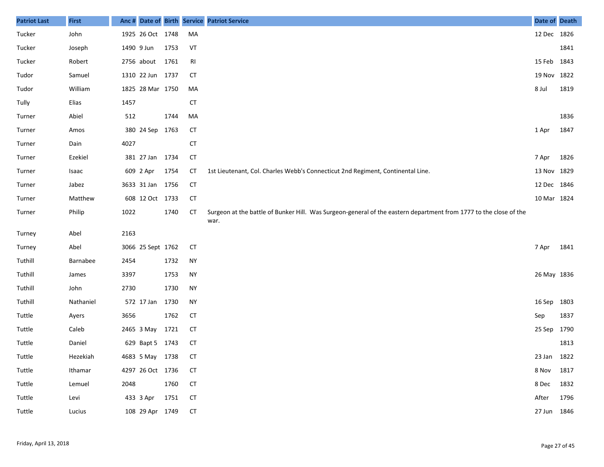| <b>Patriot Last</b> | <b>First</b> | Anc# |                   |      |           | Date of Birth Service Patriot Service                                                                                     | Date of Death |      |
|---------------------|--------------|------|-------------------|------|-----------|---------------------------------------------------------------------------------------------------------------------------|---------------|------|
| Tucker              | John         |      | 1925 26 Oct 1748  |      | MA        |                                                                                                                           | 12 Dec 1826   |      |
| Tucker              | Joseph       |      | 1490 9 Jun        | 1753 | VT        |                                                                                                                           |               | 1841 |
| Tucker              | Robert       |      | 2756 about        | 1761 | RI        |                                                                                                                           | 15 Feb 1843   |      |
| Tudor               | Samuel       |      | 1310 22 Jun 1737  |      | <b>CT</b> |                                                                                                                           | 19 Nov 1822   |      |
| Tudor               | William      |      | 1825 28 Mar 1750  |      | MA        |                                                                                                                           | 8 Jul         | 1819 |
| Tully               | Elias        | 1457 |                   |      | <b>CT</b> |                                                                                                                           |               |      |
| Turner              | Abiel        | 512  |                   | 1744 | MA        |                                                                                                                           |               | 1836 |
| Turner              | Amos         |      | 380 24 Sep 1763   |      | <b>CT</b> |                                                                                                                           | 1 Apr         | 1847 |
| Turner              | Dain         | 4027 |                   |      | <b>CT</b> |                                                                                                                           |               |      |
| Turner              | Ezekiel      |      | 381 27 Jan 1734   |      | <b>CT</b> |                                                                                                                           | 7 Apr         | 1826 |
| Turner              | Isaac        |      | 609 2 Apr         | 1754 | СT        | 1st Lieutenant, Col. Charles Webb's Connecticut 2nd Regiment, Continental Line.                                           | 13 Nov 1829   |      |
| Turner              | Jabez        |      | 3633 31 Jan 1756  |      | <b>CT</b> |                                                                                                                           | 12 Dec 1846   |      |
| Turner              | Matthew      |      | 608 12 Oct 1733   |      | <b>CT</b> |                                                                                                                           | 10 Mar 1824   |      |
| Turner              | Philip       | 1022 |                   | 1740 | <b>CT</b> | Surgeon at the battle of Bunker Hill. Was Surgeon-general of the eastern department from 1777 to the close of the<br>war. |               |      |
| Turney              | Abel         | 2163 |                   |      |           |                                                                                                                           |               |      |
| Turney              | Abel         |      | 3066 25 Sept 1762 |      | <b>CT</b> |                                                                                                                           | 7 Apr         | 1841 |
| Tuthill             | Barnabee     | 2454 |                   | 1732 | <b>NY</b> |                                                                                                                           |               |      |
| Tuthill             | James        | 3397 |                   | 1753 | <b>NY</b> |                                                                                                                           | 26 May 1836   |      |
| Tuthill             | John         | 2730 |                   | 1730 | <b>NY</b> |                                                                                                                           |               |      |
| Tuthill             | Nathaniel    |      | 572 17 Jan        | 1730 | <b>NY</b> |                                                                                                                           | 16 Sep 1803   |      |
| Tuttle              | Ayers        | 3656 |                   | 1762 | <b>CT</b> |                                                                                                                           | Sep           | 1837 |
| Tuttle              | Caleb        |      | 2465 3 May 1721   |      | <b>CT</b> |                                                                                                                           | 25 Sep        | 1790 |
| Tuttle              | Daniel       |      | 629 Bapt 5 1743   |      | <b>CT</b> |                                                                                                                           |               | 1813 |
| Tuttle              | Hezekiah     |      | 4683 5 May 1738   |      | CT        |                                                                                                                           | 23 Jan 1822   |      |
| Tuttle              | Ithamar      |      | 4297 26 Oct 1736  |      | CT        |                                                                                                                           | 8 Nov 1817    |      |
| Tuttle              | Lemuel       | 2048 |                   | 1760 | <b>CT</b> |                                                                                                                           | 8 Dec 1832    |      |
| Tuttle              | Levi         |      | 433 3 Apr 1751    |      | <b>CT</b> |                                                                                                                           | After 1796    |      |
| Tuttle              | Lucius       |      | 108 29 Apr 1749   |      | <b>CT</b> |                                                                                                                           | 27 Jun 1846   |      |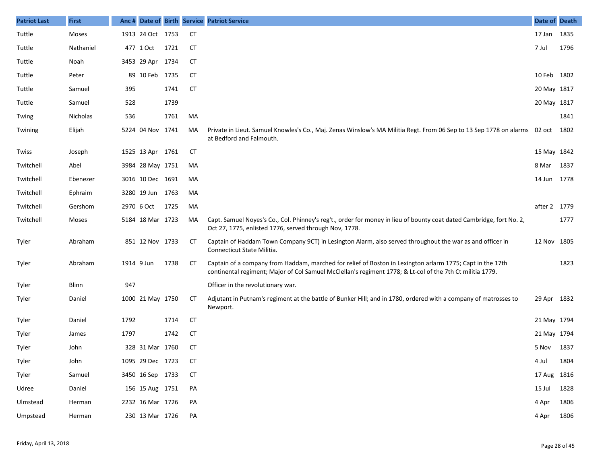| <b>Patriot Last</b> | <b>First</b> | Anc #      |                  |      |           | Date of Birth Service Patriot Service                                                                                                                                                                                  | Date of Death |      |
|---------------------|--------------|------------|------------------|------|-----------|------------------------------------------------------------------------------------------------------------------------------------------------------------------------------------------------------------------------|---------------|------|
| Tuttle              | Moses        |            | 1913 24 Oct 1753 |      | <b>CT</b> |                                                                                                                                                                                                                        | 17 Jan        | 1835 |
| Tuttle              | Nathaniel    |            | 477 1 Oct        | 1721 | CТ        |                                                                                                                                                                                                                        | 7 Jul         | 1796 |
| Tuttle              | Noah         |            | 3453 29 Apr 1734 |      | <b>CT</b> |                                                                                                                                                                                                                        |               |      |
| Tuttle              | Peter        |            | 89 10 Feb 1735   |      | <b>CT</b> |                                                                                                                                                                                                                        | 10 Feb 1802   |      |
| Tuttle              | Samuel       | 395        |                  | 1741 | <b>CT</b> |                                                                                                                                                                                                                        | 20 May 1817   |      |
| Tuttle              | Samuel       | 528        |                  | 1739 |           |                                                                                                                                                                                                                        | 20 May 1817   |      |
| Twing               | Nicholas     | 536        |                  | 1761 | MA        |                                                                                                                                                                                                                        |               | 1841 |
| Twining             | Elijah       |            | 5224 04 Nov 1741 |      | MA        | Private in Lieut. Samuel Knowles's Co., Maj. Zenas Winslow's MA Militia Regt. From 06 Sep to 13 Sep 1778 on alarms 02 oct 1802<br>at Bedford and Falmouth.                                                             |               |      |
| Twiss               | Joseph       |            | 1525 13 Apr 1761 |      | СT        |                                                                                                                                                                                                                        | 15 May 1842   |      |
| Twitchell           | Abel         |            | 3984 28 May 1751 |      | MA        |                                                                                                                                                                                                                        | 8 Mar         | 1837 |
| Twitchell           | Ebenezer     |            | 3016 10 Dec 1691 |      | MA        |                                                                                                                                                                                                                        | 14 Jun 1778   |      |
| Twitchell           | Ephraim      |            | 3280 19 Jun 1763 |      | MA        |                                                                                                                                                                                                                        |               |      |
| Twitchell           | Gershom      |            | 2970 6 Oct       | 1725 | MA        |                                                                                                                                                                                                                        | after 2 1779  |      |
| Twitchell           | Moses        |            | 5184 18 Mar 1723 |      | MA        | Capt. Samuel Noyes's Co., Col. Phinney's reg't., order for money in lieu of bounty coat dated Cambridge, fort No. 2,<br>Oct 27, 1775, enlisted 1776, served through Nov, 1778.                                         |               | 1777 |
| Tyler               | Abraham      |            | 851 12 Nov 1733  |      | СT        | Captain of Haddam Town Company 9CT) in Lesington Alarm, also served throughout the war as and officer in<br>Connecticut State Militia.                                                                                 | 12 Nov 1805   |      |
| Tyler               | Abraham      | 1914 9 Jun |                  | 1738 | <b>CT</b> | Captain of a company from Haddam, marched for relief of Boston in Lexington arlarm 1775; Capt in the 17th<br>continental regiment; Major of Col Samuel McClellan's regiment 1778; & Lt-col of the 7th Ct militia 1779. |               | 1823 |
| Tyler               | Blinn        | 947        |                  |      |           | Officer in the revolutionary war.                                                                                                                                                                                      |               |      |
| Tyler               | Daniel       |            | 1000 21 May 1750 |      | СT        | Adjutant in Putnam's regiment at the battle of Bunker Hill; and in 1780, ordered with a company of matrosses to<br>Newport.                                                                                            | 29 Apr 1832   |      |
| Tyler               | Daniel       | 1792       |                  | 1714 | <b>CT</b> |                                                                                                                                                                                                                        | 21 May 1794   |      |
| Tyler               | James        | 1797       |                  | 1742 | <b>CT</b> |                                                                                                                                                                                                                        | 21 May 1794   |      |
| Tyler               | John         |            | 328 31 Mar 1760  |      | СT        |                                                                                                                                                                                                                        | 5 Nov         | 1837 |
| Tyler               | John         |            | 1095 29 Dec 1723 |      | <b>CT</b> |                                                                                                                                                                                                                        | 4 Jul         | 1804 |
| Tyler               | Samuel       |            | 3450 16 Sep 1733 |      | <b>CT</b> |                                                                                                                                                                                                                        | 17 Aug 1816   |      |
| Udree               | Daniel       |            | 156 15 Aug 1751  |      | PA        |                                                                                                                                                                                                                        | 15 Jul        | 1828 |
| Ulmstead            | Herman       |            | 2232 16 Mar 1726 |      | PA        |                                                                                                                                                                                                                        | 4 Apr         | 1806 |
| Umpstead            | Herman       |            | 230 13 Mar 1726  |      | PA        |                                                                                                                                                                                                                        | 4 Apr         | 1806 |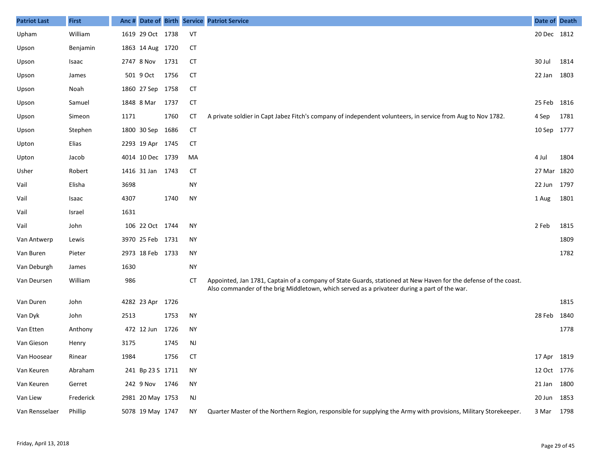| <b>Patriot Last</b> | <b>First</b> | Anc# |                  |      |           | Date of Birth Service Patriot Service                                                                                                                                                                           | Date of Death |      |
|---------------------|--------------|------|------------------|------|-----------|-----------------------------------------------------------------------------------------------------------------------------------------------------------------------------------------------------------------|---------------|------|
| Upham               | William      |      | 1619 29 Oct 1738 |      | VT        |                                                                                                                                                                                                                 | 20 Dec 1812   |      |
| Upson               | Benjamin     |      | 1863 14 Aug 1720 |      | СT        |                                                                                                                                                                                                                 |               |      |
| Upson               | Isaac        |      | 2747 8 Nov       | 1731 | CТ        |                                                                                                                                                                                                                 | 30 Jul        | 1814 |
| Upson               | James        |      | 501 9 Oct        | 1756 | <b>CT</b> |                                                                                                                                                                                                                 | 22 Jan        | 1803 |
| Upson               | Noah         |      | 1860 27 Sep 1758 |      | <b>CT</b> |                                                                                                                                                                                                                 |               |      |
| Upson               | Samuel       |      | 1848 8 Mar       | 1737 | <b>CT</b> |                                                                                                                                                                                                                 | 25 Feb        | 1816 |
| Upson               | Simeon       | 1171 |                  | 1760 | <b>CT</b> | A private soldier in Capt Jabez Fitch's company of independent volunteers, in service from Aug to Nov 1782.                                                                                                     | 4 Sep         | 1781 |
| Upson               | Stephen      |      | 1800 30 Sep      | 1686 | CT        |                                                                                                                                                                                                                 | 10 Sep 1777   |      |
| Upton               | Elias        |      | 2293 19 Apr 1745 |      | <b>CT</b> |                                                                                                                                                                                                                 |               |      |
| Upton               | Jacob        |      | 4014 10 Dec 1739 |      | MA        |                                                                                                                                                                                                                 | 4 Jul         | 1804 |
| Usher               | Robert       |      | 1416 31 Jan      | 1743 | <b>CT</b> |                                                                                                                                                                                                                 | 27 Mar        | 1820 |
| Vail                | Elisha       | 3698 |                  |      | <b>NY</b> |                                                                                                                                                                                                                 | 22 Jun        | 1797 |
| Vail                | Isaac        | 4307 |                  | 1740 | <b>NY</b> |                                                                                                                                                                                                                 | 1 Aug         | 1801 |
| Vail                | Israel       | 1631 |                  |      |           |                                                                                                                                                                                                                 |               |      |
| Vail                | John         |      | 106 22 Oct 1744  |      | ΝY        |                                                                                                                                                                                                                 | 2 Feb         | 1815 |
| Van Antwerp         | Lewis        |      | 3970 25 Feb 1731 |      | ΝY        |                                                                                                                                                                                                                 |               | 1809 |
| Van Buren           | Pieter       |      | 2973 18 Feb 1733 |      | <b>NY</b> |                                                                                                                                                                                                                 |               | 1782 |
| Van Deburgh         | James        | 1630 |                  |      | <b>NY</b> |                                                                                                                                                                                                                 |               |      |
| Van Deursen         | William      | 986  |                  |      | <b>CT</b> | Appointed, Jan 1781, Captain of a company of State Guards, stationed at New Haven for the defense of the coast.<br>Also commander of the brig Middletown, which served as a privateer during a part of the war. |               |      |
| Van Duren           | John         |      | 4282 23 Apr 1726 |      |           |                                                                                                                                                                                                                 |               | 1815 |
| Van Dyk             | John         | 2513 |                  | 1753 | <b>NY</b> |                                                                                                                                                                                                                 | 28 Feb        | 1840 |
| Van Etten           | Anthony      |      | 472 12 Jun       | 1726 | <b>NY</b> |                                                                                                                                                                                                                 |               | 1778 |
| Van Gieson          | Henry        | 3175 |                  | 1745 | <b>NJ</b> |                                                                                                                                                                                                                 |               |      |
| Van Hoosear         | Rinear       | 1984 |                  | 1756 | <b>CT</b> |                                                                                                                                                                                                                 | 17 Apr 1819   |      |
| Van Keuren          | Abraham      |      | 241 Bp 23 S 1711 |      | <b>NY</b> |                                                                                                                                                                                                                 | 12 Oct 1776   |      |
| Van Keuren          | Gerret       |      | 242 9 Nov 1746   |      | <b>NY</b> |                                                                                                                                                                                                                 | 21 Jan 1800   |      |
| Van Liew            | Frederick    |      | 2981 20 May 1753 |      | NJ        |                                                                                                                                                                                                                 | 20 Jun 1853   |      |
| Van Rensselaer      | Phillip      |      | 5078 19 May 1747 |      | NY        | Quarter Master of the Northern Region, responsible for supplying the Army with provisions, Military Storekeeper.                                                                                                | 3 Mar 1798    |      |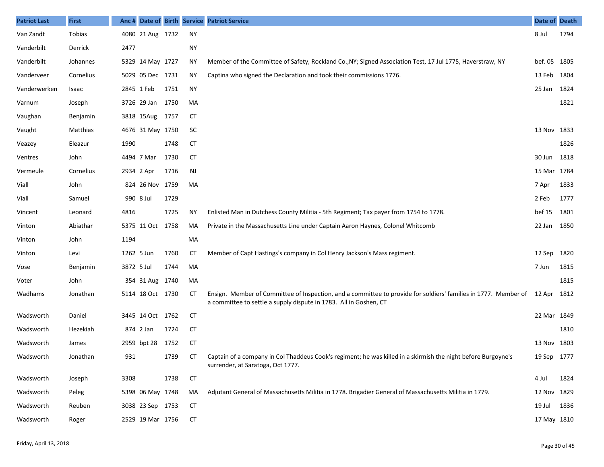| <b>Patriot Last</b> | <b>First</b> |            |                  |      |           | Anc # Date of Birth Service Patriot Service                                                                                                                                          | Date of Death |      |
|---------------------|--------------|------------|------------------|------|-----------|--------------------------------------------------------------------------------------------------------------------------------------------------------------------------------------|---------------|------|
| Van Zandt           | Tobias       |            | 4080 21 Aug 1732 |      | NY.       |                                                                                                                                                                                      | 8 Jul         | 1794 |
| Vanderbilt          | Derrick      | 2477       |                  |      | <b>NY</b> |                                                                                                                                                                                      |               |      |
| Vanderbilt          | Johannes     |            | 5329 14 May 1727 |      | ΝY        | Member of the Committee of Safety, Rockland Co., NY; Signed Association Test, 17 Jul 1775, Haverstraw, NY                                                                            | bef. 05 1805  |      |
| Vanderveer          | Cornelius    |            | 5029 05 Dec 1731 |      | <b>NY</b> | Captina who signed the Declaration and took their commissions 1776.                                                                                                                  | 13 Feb 1804   |      |
| Vanderwerken        | Isaac        |            | 2845 1 Feb       | 1751 | <b>NY</b> |                                                                                                                                                                                      | 25 Jan 1824   |      |
| Varnum              | Joseph       |            | 3726 29 Jan 1750 |      | MA        |                                                                                                                                                                                      |               | 1821 |
| Vaughan             | Benjamin     |            | 3818 15Aug       | 1757 | <b>CT</b> |                                                                                                                                                                                      |               |      |
| Vaught              | Matthias     |            | 4676 31 May 1750 |      | <b>SC</b> |                                                                                                                                                                                      | 13 Nov 1833   |      |
| Veazey              | Eleazur      | 1990       |                  | 1748 | <b>CT</b> |                                                                                                                                                                                      |               | 1826 |
| Ventres             | John         |            | 4494 7 Mar       | 1730 | СT        |                                                                                                                                                                                      | 30 Jun 1818   |      |
| Vermeule            | Cornelius    |            | 2934 2 Apr       | 1716 | <b>NJ</b> |                                                                                                                                                                                      | 15 Mar 1784   |      |
| Viall               | John         |            | 824 26 Nov 1759  |      | MA        |                                                                                                                                                                                      | 7 Apr         | 1833 |
| Viall               | Samuel       |            | 990 8 Jul        | 1729 |           |                                                                                                                                                                                      | 2 Feb         | 1777 |
| Vincent             | Leonard      | 4816       |                  | 1725 | <b>NY</b> | Enlisted Man in Dutchess County Militia - 5th Regiment; Tax payer from 1754 to 1778.                                                                                                 | bef 15        | 1801 |
| Vinton              | Abiathar     |            | 5375 11 Oct 1758 |      | MA        | Private in the Massachusetts Line under Captain Aaron Haynes, Colonel Whitcomb                                                                                                       | 22 Jan 1850   |      |
| Vinton              | John         | 1194       |                  |      | MA        |                                                                                                                                                                                      |               |      |
| Vinton              | Levi         | 1262 5 Jun |                  | 1760 | <b>CT</b> | Member of Capt Hastings's company in Col Henry Jackson's Mass regiment.                                                                                                              | 12 Sep        | 1820 |
| Vose                | Benjamin     | 3872 5 Jul |                  | 1744 | MA        |                                                                                                                                                                                      | 7 Jun         | 1815 |
| Voter               | John         |            | 354 31 Aug 1740  |      | MA        |                                                                                                                                                                                      |               | 1815 |
| Wadhams             | Jonathan     |            | 5114 18 Oct 1730 |      | CT        | Ensign. Member of Committee of Inspection, and a committee to provide for soldiers' families in 1777. Member of<br>a committee to settle a supply dispute in 1783. All in Goshen, CT | 12 Apr        | 1812 |
| Wadsworth           | Daniel       |            | 3445 14 Oct 1762 |      | <b>CT</b> |                                                                                                                                                                                      | 22 Mar 1849   |      |
| Wadsworth           | Hezekiah     |            | 874 2 Jan        | 1724 | <b>CT</b> |                                                                                                                                                                                      |               | 1810 |
| Wadsworth           | James        |            | 2959 bpt 28 1752 |      | <b>CT</b> |                                                                                                                                                                                      | 13 Nov 1803   |      |
| Wadsworth           | Jonathan     | 931        |                  | 1739 |           | Captain of a company in Col Thaddeus Cook's regiment; he was killed in a skirmish the night before Burgoyne's<br>surrender, at Saratoga, Oct 1777.                                   | 19 Sep 1777   |      |
| Wadsworth           | Joseph       | 3308       |                  | 1738 | <b>CT</b> |                                                                                                                                                                                      | 4 Jul         | 1824 |
| Wadsworth           | Peleg        |            | 5398 06 May 1748 |      | MA        | Adjutant General of Massachusetts Militia in 1778. Brigadier General of Massachusetts Militia in 1779.                                                                               | 12 Nov 1829   |      |
| Wadsworth           | Reuben       |            | 3038 23 Sep 1753 |      | CT        |                                                                                                                                                                                      | 19 Jul        | 1836 |
| Wadsworth           | Roger        |            | 2529 19 Mar 1756 |      | CT        |                                                                                                                                                                                      | 17 May 1810   |      |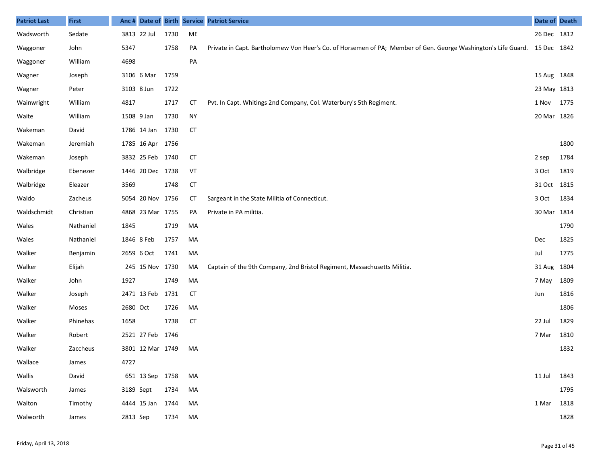| <b>Patriot Last</b> | <b>First</b> |             |                  |      |           | Anc # Date of Birth Service Patriot Service                                                                               | Date of Death |      |
|---------------------|--------------|-------------|------------------|------|-----------|---------------------------------------------------------------------------------------------------------------------------|---------------|------|
| Wadsworth           | Sedate       | 3813 22 Jul |                  | 1730 | ME        |                                                                                                                           | 26 Dec 1812   |      |
| Waggoner            | John         | 5347        |                  | 1758 | PA        | Private in Capt. Bartholomew Von Heer's Co. of Horsemen of PA; Member of Gen. George Washington's Life Guard. 15 Dec 1842 |               |      |
| Waggoner            | William      | 4698        |                  |      | PA        |                                                                                                                           |               |      |
| Wagner              | Joseph       |             | 3106 6 Mar       | 1759 |           |                                                                                                                           | 15 Aug 1848   |      |
| Wagner              | Peter        | 3103 8 Jun  |                  | 1722 |           |                                                                                                                           | 23 May 1813   |      |
| Wainwright          | William      | 4817        |                  | 1717 | <b>CT</b> | Pvt. In Capt. Whitings 2nd Company, Col. Waterbury's 5th Regiment.                                                        | 1 Nov 1775    |      |
| Waite               | William      | 1508 9 Jan  |                  | 1730 | <b>NY</b> |                                                                                                                           | 20 Mar 1826   |      |
| Wakeman             | David        |             | 1786 14 Jan 1730 |      | <b>CT</b> |                                                                                                                           |               |      |
| Wakeman             | Jeremiah     |             | 1785 16 Apr 1756 |      |           |                                                                                                                           |               | 1800 |
| Wakeman             | Joseph       |             | 3832 25 Feb 1740 |      | <b>CT</b> |                                                                                                                           | 2 sep         | 1784 |
| Walbridge           | Ebenezer     |             | 1446 20 Dec 1738 |      | VT        |                                                                                                                           | 3 Oct         | 1819 |
| Walbridge           | Eleazer      | 3569        |                  | 1748 | <b>CT</b> |                                                                                                                           | 31 Oct 1815   |      |
| Waldo               | Zacheus      |             | 5054 20 Nov 1756 |      | <b>CT</b> | Sargeant in the State Militia of Connecticut.                                                                             | 3 Oct         | 1834 |
| Waldschmidt         | Christian    |             | 4868 23 Mar 1755 |      | PA        | Private in PA militia.                                                                                                    | 30 Mar 1814   |      |
| Wales               | Nathaniel    | 1845        |                  | 1719 | MA        |                                                                                                                           |               | 1790 |
| Wales               | Nathaniel    | 1846 8 Feb  |                  | 1757 | MA        |                                                                                                                           | Dec           | 1825 |
| Walker              | Benjamin     | 2659 6 Oct  |                  | 1741 | MA        |                                                                                                                           | Jul           | 1775 |
| Walker              | Elijah       |             | 245 15 Nov 1730  |      | MA        | Captain of the 9th Company, 2nd Bristol Regiment, Massachusetts Militia.                                                  | 31 Aug 1804   |      |
| Walker              | John         | 1927        |                  | 1749 | MA        |                                                                                                                           | 7 May         | 1809 |
| Walker              | Joseph       |             | 2471 13 Feb 1731 |      | <b>CT</b> |                                                                                                                           | Jun           | 1816 |
| Walker              | Moses        | 2680 Oct    |                  | 1726 | MA        |                                                                                                                           |               | 1806 |
| Walker              | Phinehas     | 1658        |                  | 1738 | <b>CT</b> |                                                                                                                           | 22 Jul        | 1829 |
| Walker              | Robert       |             | 2521 27 Feb 1746 |      |           |                                                                                                                           | 7 Mar         | 1810 |
| Walker              | Zaccheus     |             | 3801 12 Mar 1749 |      | MA        |                                                                                                                           |               | 1832 |
| Wallace             | James        | 4727        |                  |      |           |                                                                                                                           |               |      |
| Wallis              | David        |             | 651 13 Sep 1758  |      | MA        |                                                                                                                           | 11 Jul        | 1843 |
| Walsworth           | James        | 3189 Sept   |                  | 1734 | MA        |                                                                                                                           |               | 1795 |
| Walton              | Timothy      |             | 4444 15 Jan 1744 |      | МA        |                                                                                                                           | 1 Mar         | 1818 |
| Walworth            | James        | 2813 Sep    |                  | 1734 | MA        |                                                                                                                           |               | 1828 |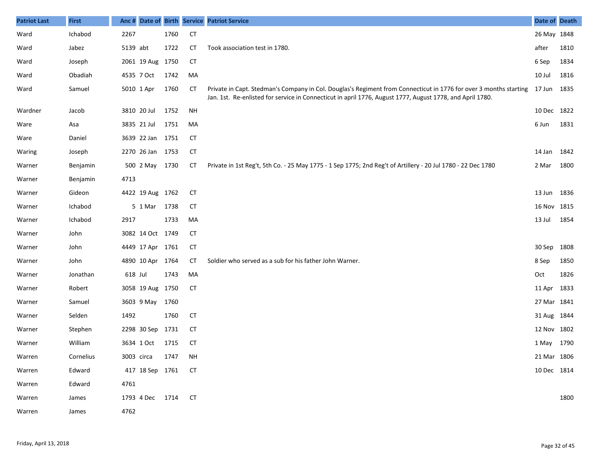| <b>Patriot Last</b> | <b>First</b> |            |                    |      |           | Anc # Date of Birth Service Patriot Service                                                                                                                                                                                    | Date of Death |      |
|---------------------|--------------|------------|--------------------|------|-----------|--------------------------------------------------------------------------------------------------------------------------------------------------------------------------------------------------------------------------------|---------------|------|
| Ward                | Ichabod      | 2267       |                    | 1760 | <b>CT</b> |                                                                                                                                                                                                                                | 26 May 1848   |      |
| Ward                | Jabez        | 5139 abt   |                    | 1722 | <b>CT</b> | Took association test in 1780.                                                                                                                                                                                                 | after         | 1810 |
| Ward                | Joseph       |            | 2061 19 Aug 1750   |      | <b>CT</b> |                                                                                                                                                                                                                                | 6 Sep         | 1834 |
| Ward                | Obadiah      |            | 4535 7 Oct         | 1742 | MA        |                                                                                                                                                                                                                                | 10 Jul        | 1816 |
| Ward                | Samuel       |            | 5010 1 Apr         | 1760 | <b>CT</b> | Private in Capt. Stedman's Company in Col. Douglas's Regiment from Connecticut in 1776 for over 3 months starting<br>Jan. 1st. Re-enlisted for service in Connecticut in april 1776, August 1777, August 1778, and April 1780. | 17 Jun 1835   |      |
| Wardner             | Jacob        |            | 3810 20 Jul        | 1752 | NH        |                                                                                                                                                                                                                                | 10 Dec 1822   |      |
| Ware                | Asa          |            | 3835 21 Jul        | 1751 | MA        |                                                                                                                                                                                                                                | 6 Jun         | 1831 |
| Ware                | Daniel       |            | 3639 22 Jan 1751   |      | <b>CT</b> |                                                                                                                                                                                                                                |               |      |
| Waring              | Joseph       |            | 2270 26 Jan 1753   |      | <b>CT</b> |                                                                                                                                                                                                                                | 14 Jan 1842   |      |
| Warner              | Benjamin     |            | 500 2 May 1730     |      | CT        | Private in 1st Reg't, 5th Co. - 25 May 1775 - 1 Sep 1775; 2nd Reg't of Artillery - 20 Jul 1780 - 22 Dec 1780                                                                                                                   | 2 Mar         | 1800 |
| Warner              | Benjamin     | 4713       |                    |      |           |                                                                                                                                                                                                                                |               |      |
| Warner              | Gideon       |            | 4422 19 Aug 1762   |      | <b>CT</b> |                                                                                                                                                                                                                                | 13 Jun 1836   |      |
| Warner              | Ichabod      |            | 5 1 Mar            | 1738 | <b>CT</b> |                                                                                                                                                                                                                                | 16 Nov 1815   |      |
| Warner              | Ichabod      | 2917       |                    | 1733 | MA        |                                                                                                                                                                                                                                | 13 Jul        | 1854 |
| Warner              | John         |            | 3082 14 Oct 1749   |      | CT        |                                                                                                                                                                                                                                |               |      |
| Warner              | John         |            | 4449 17 Apr 1761   |      | <b>CT</b> |                                                                                                                                                                                                                                | 30 Sep 1808   |      |
| Warner              | John         |            | 4890 10 Apr 1764   |      | CТ        | Soldier who served as a sub for his father John Warner.                                                                                                                                                                        | 8 Sep         | 1850 |
| Warner              | Jonathan     | 618 Jul    |                    | 1743 | MA        |                                                                                                                                                                                                                                | Oct           | 1826 |
| Warner              | Robert       |            | 3058 19 Aug 1750   |      | <b>CT</b> |                                                                                                                                                                                                                                | 11 Apr 1833   |      |
| Warner              | Samuel       |            | 3603 9 May         | 1760 |           |                                                                                                                                                                                                                                | 27 Mar 1841   |      |
| Warner              | Selden       | 1492       |                    | 1760 | <b>CT</b> |                                                                                                                                                                                                                                | 31 Aug 1844   |      |
| Warner              | Stephen      |            | 2298 30 Sep 1731   |      | CТ        |                                                                                                                                                                                                                                | 12 Nov 1802   |      |
| Warner              | William      |            | 3634 1 Oct         | 1715 | <b>CT</b> |                                                                                                                                                                                                                                | 1 May 1790    |      |
| Warren              | Cornelius    | 3003 circa |                    | 1747 | <b>NH</b> |                                                                                                                                                                                                                                | 21 Mar 1806   |      |
| Warren              | Edward       |            | 417 18 Sep 1761    |      | CT        |                                                                                                                                                                                                                                | 10 Dec 1814   |      |
| Warren              | Edward       | 4761       |                    |      |           |                                                                                                                                                                                                                                |               |      |
| Warren              | James        |            | 1793 4 Dec 1714 CT |      |           |                                                                                                                                                                                                                                |               | 1800 |
| Warren              | James        | 4762       |                    |      |           |                                                                                                                                                                                                                                |               |      |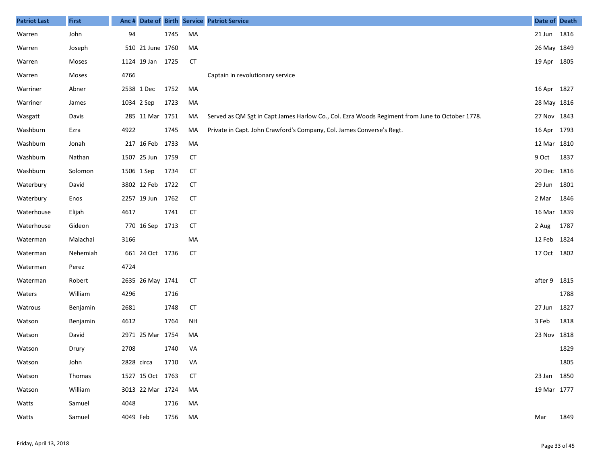| <b>Patriot Last</b> | <b>First</b> | Anc#       |                  |      |           | Date of Birth Service Patriot Service                                                          | Date of Death |      |
|---------------------|--------------|------------|------------------|------|-----------|------------------------------------------------------------------------------------------------|---------------|------|
| Warren              | John         | 94         |                  | 1745 | MA        |                                                                                                | 21 Jun 1816   |      |
| Warren              | Joseph       |            | 510 21 June 1760 |      | MA        |                                                                                                | 26 May 1849   |      |
| Warren              | Moses        |            | 1124 19 Jan 1725 |      | <b>CT</b> |                                                                                                | 19 Apr 1805   |      |
| Warren              | Moses        | 4766       |                  |      |           | Captain in revolutionary service                                                               |               |      |
| Warriner            | Abner        |            | 2538 1 Dec       | 1752 | MA        |                                                                                                | 16 Apr 1827   |      |
| Warriner            | James        |            | 1034 2 Sep       | 1723 | MA        |                                                                                                | 28 May 1816   |      |
| Wasgatt             | Davis        |            | 285 11 Mar 1751  |      | MA        | Served as QM Sgt in Capt James Harlow Co., Col. Ezra Woods Regiment from June to October 1778. | 27 Nov 1843   |      |
| Washburn            | Ezra         | 4922       |                  | 1745 | MA        | Private in Capt. John Crawford's Company, Col. James Converse's Regt.                          | 16 Apr 1793   |      |
| Washburn            | Jonah        |            | 217 16 Feb       | 1733 | MA        |                                                                                                | 12 Mar 1810   |      |
| Washburn            | Nathan       |            | 1507 25 Jun      | 1759 | <b>CT</b> |                                                                                                | 9 Oct         | 1837 |
| Washburn            | Solomon      |            | 1506 1 Sep       | 1734 | <b>CT</b> |                                                                                                | 20 Dec 1816   |      |
| Waterbury           | David        |            | 3802 12 Feb 1722 |      | <b>CT</b> |                                                                                                | 29 Jun 1801   |      |
| Waterbury           | Enos         |            | 2257 19 Jun      | 1762 | <b>CT</b> |                                                                                                | 2 Mar         | 1846 |
| Waterhouse          | Elijah       | 4617       |                  | 1741 | CT        |                                                                                                | 16 Mar 1839   |      |
| Waterhouse          | Gideon       |            | 770 16 Sep 1713  |      | <b>CT</b> |                                                                                                | 2 Aug         | 1787 |
| Waterman            | Malachai     | 3166       |                  |      | MA        |                                                                                                | 12 Feb 1824   |      |
| Waterman            | Nehemiah     |            | 661 24 Oct 1736  |      | CT        |                                                                                                | 17 Oct 1802   |      |
| Waterman            | Perez        | 4724       |                  |      |           |                                                                                                |               |      |
| Waterman            | Robert       |            | 2635 26 May 1741 |      | <b>CT</b> |                                                                                                | after 9 1815  |      |
| Waters              | William      | 4296       |                  | 1716 |           |                                                                                                |               | 1788 |
| Watrous             | Benjamin     | 2681       |                  | 1748 | CT        |                                                                                                | 27 Jun        | 1827 |
| Watson              | Benjamin     | 4612       |                  | 1764 | <b>NH</b> |                                                                                                | 3 Feb         | 1818 |
| Watson              | David        |            | 2971 25 Mar      | 1754 | МA        |                                                                                                | 23 Nov 1818   |      |
| Watson              | Drury        | 2708       |                  | 1740 | VA        |                                                                                                |               | 1829 |
| Watson              | John         | 2828 circa |                  | 1710 | VA        |                                                                                                |               | 1805 |
| Watson              | Thomas       |            | 1527 15 Oct 1763 |      | <b>CT</b> |                                                                                                | 23 Jan 1850   |      |
| Watson              | William      |            | 3013 22 Mar 1724 |      | MA        |                                                                                                | 19 Mar 1777   |      |
| Watts               | Samuel       | 4048       |                  | 1716 | MA        |                                                                                                |               |      |
| Watts               | Samuel       | 4049 Feb   |                  | 1756 | MA        |                                                                                                | Mar           | 1849 |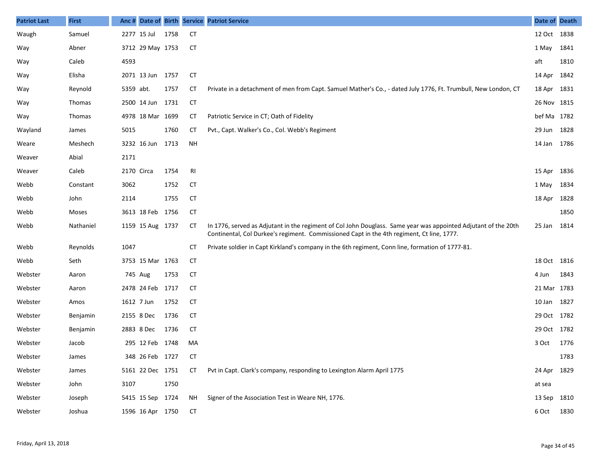| <b>Patriot Last</b> | <b>First</b> |            |                  |      |                | Anc # Date of Birth Service Patriot Service                                                                                                                                                                 | Date of Death |      |
|---------------------|--------------|------------|------------------|------|----------------|-------------------------------------------------------------------------------------------------------------------------------------------------------------------------------------------------------------|---------------|------|
| Waugh               | Samuel       |            | 2277 15 Jul      | 1758 | <b>CT</b>      |                                                                                                                                                                                                             | 12 Oct 1838   |      |
| Way                 | Abner        |            | 3712 29 May 1753 |      | <b>CT</b>      |                                                                                                                                                                                                             | 1 May         | 1841 |
| Way                 | Caleb        | 4593       |                  |      |                |                                                                                                                                                                                                             | aft           | 1810 |
| Way                 | Elisha       |            | 2071 13 Jun 1757 |      | <b>CT</b>      |                                                                                                                                                                                                             | 14 Apr 1842   |      |
| Way                 | Reynold      | 5359 abt.  |                  | 1757 | СT             | Private in a detachment of men from Capt. Samuel Mather's Co., - dated July 1776, Ft. Trumbull, New London, CT                                                                                              | 18 Apr 1831   |      |
| Way                 | Thomas       |            | 2500 14 Jun 1731 |      | <b>CT</b>      |                                                                                                                                                                                                             | 26 Nov 1815   |      |
| Way                 | Thomas       |            | 4978 18 Mar 1699 |      | CТ             | Patriotic Service in CT; Oath of Fidelity                                                                                                                                                                   | bef Ma 1782   |      |
| Wayland             | James        | 5015       |                  | 1760 | <b>CT</b>      | Pvt., Capt. Walker's Co., Col. Webb's Regiment                                                                                                                                                              | 29 Jun 1828   |      |
| Weare               | Meshech      |            | 3232 16 Jun      | 1713 | <b>NH</b>      |                                                                                                                                                                                                             | 14 Jan 1786   |      |
| Weaver              | Abial        | 2171       |                  |      |                |                                                                                                                                                                                                             |               |      |
| Weaver              | Caleb        | 2170 Circa |                  | 1754 | R <sub>l</sub> |                                                                                                                                                                                                             | 15 Apr 1836   |      |
| Webb                | Constant     | 3062       |                  | 1752 | <b>CT</b>      |                                                                                                                                                                                                             | 1 May 1834    |      |
| Webb                | John         | 2114       |                  | 1755 | <b>CT</b>      |                                                                                                                                                                                                             | 18 Apr 1828   |      |
| Webb                | Moses        |            | 3613 18 Feb 1756 |      | <b>CT</b>      |                                                                                                                                                                                                             |               | 1850 |
| Webb                | Nathaniel    |            | 1159 15 Aug 1737 |      | CТ             | In 1776, served as Adjutant in the regiment of Col John Douglass. Same year was appointed Adjutant of the 20th<br>Continental, Col Durkee's regiment. Commissioned Capt in the 4th regiment, Ct line, 1777. | 25 Jan        | 1814 |
| Webb                | Reynolds     | 1047       |                  |      | <b>CT</b>      | Private soldier in Capt Kirkland's company in the 6th regiment, Conn line, formation of 1777-81.                                                                                                            |               |      |
| Webb                | Seth         |            | 3753 15 Mar 1763 |      | <b>CT</b>      |                                                                                                                                                                                                             | 18 Oct 1816   |      |
| Webster             | Aaron        | 745 Aug    |                  | 1753 | <b>CT</b>      |                                                                                                                                                                                                             | 4 Jun         | 1843 |
| Webster             | Aaron        |            | 2478 24 Feb 1717 |      | <b>CT</b>      |                                                                                                                                                                                                             | 21 Mar 1783   |      |
| Webster             | Amos         | 1612 7 Jun |                  | 1752 | <b>CT</b>      |                                                                                                                                                                                                             | 10 Jan 1827   |      |
| Webster             | Benjamin     |            | 2155 8 Dec       | 1736 | <b>CT</b>      |                                                                                                                                                                                                             | 29 Oct 1782   |      |
| Webster             | Benjamin     |            | 2883 8 Dec       | 1736 | <b>CT</b>      |                                                                                                                                                                                                             | 29 Oct 1782   |      |
| Webster             | Jacob        |            | 295 12 Feb 1748  |      | MA             |                                                                                                                                                                                                             | 3 Oct         | 1776 |
| Webster             | James        |            | 348 26 Feb 1727  |      | СT             |                                                                                                                                                                                                             |               | 1783 |
| Webster             | James        |            | 5161 22 Dec 1751 |      | СT             | Pvt in Capt. Clark's company, responding to Lexington Alarm April 1775                                                                                                                                      | 24 Apr 1829   |      |
| Webster             | John         | 3107       |                  | 1750 |                |                                                                                                                                                                                                             | at sea        |      |
| Webster             | Joseph       |            | 5415 15 Sep 1724 |      | NH             | Signer of the Association Test in Weare NH, 1776.                                                                                                                                                           | 13 Sep 1810   |      |
| Webster             | Joshua       |            | 1596 16 Apr 1750 |      | <b>CT</b>      |                                                                                                                                                                                                             | 6 Oct         | 1830 |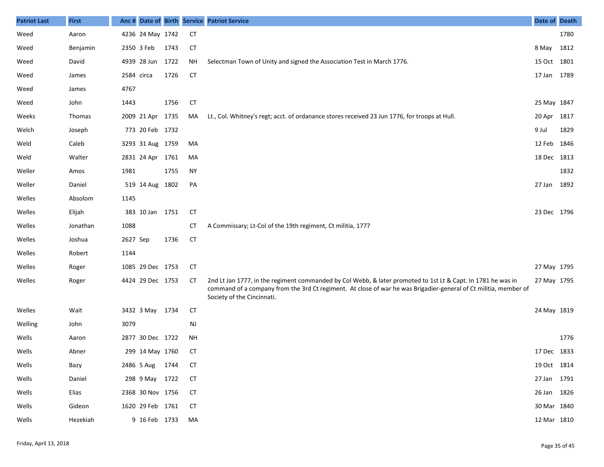| <b>Patriot Last</b> | <b>First</b> |            |                  |      |           | Anc # Date of Birth Service Patriot Service                                                                                                                                                                                                                    | Date of Death |      |
|---------------------|--------------|------------|------------------|------|-----------|----------------------------------------------------------------------------------------------------------------------------------------------------------------------------------------------------------------------------------------------------------------|---------------|------|
| Weed                | Aaron        |            | 4236 24 May 1742 |      | <b>CT</b> |                                                                                                                                                                                                                                                                |               | 1780 |
| Weed                | Benjamin     | 2350 3 Feb |                  | 1743 | <b>CT</b> |                                                                                                                                                                                                                                                                | 8 May         | 1812 |
| Weed                | David        |            | 4939 28 Jun      | 1722 | <b>NH</b> | Selectman Town of Unity and signed the Association Test in March 1776.                                                                                                                                                                                         | 15 Oct 1801   |      |
| Weed                | James        | 2584 circa |                  | 1726 | <b>CT</b> |                                                                                                                                                                                                                                                                | 17 Jan 1789   |      |
| Weed                | James        | 4767       |                  |      |           |                                                                                                                                                                                                                                                                |               |      |
| Weed                | John         | 1443       |                  | 1756 | <b>CT</b> |                                                                                                                                                                                                                                                                | 25 May 1847   |      |
| Weeks               | Thomas       |            | 2009 21 Apr      | 1735 | MA        | Lt., Col. Whitney's regt; acct. of ordanance stores received 23 Jun 1776, for troops at Hull.                                                                                                                                                                  | 20 Apr 1817   |      |
| Welch               | Joseph       |            | 773 20 Feb 1732  |      |           |                                                                                                                                                                                                                                                                | 9 Jul         | 1829 |
| Weld                | Caleb        |            | 3293 31 Aug 1759 |      | MA        |                                                                                                                                                                                                                                                                | 12 Feb 1846   |      |
| Weld                | Walter       |            | 2831 24 Apr 1761 |      | MA        |                                                                                                                                                                                                                                                                | 18 Dec 1813   |      |
| Weller              | Amos         | 1981       |                  | 1755 | <b>NY</b> |                                                                                                                                                                                                                                                                |               | 1832 |
| Weller              | Daniel       |            | 519 14 Aug 1802  |      | PA        |                                                                                                                                                                                                                                                                | 27 Jan 1892   |      |
| Welles              | Absolom      | 1145       |                  |      |           |                                                                                                                                                                                                                                                                |               |      |
| Welles              | Elijah       |            | 383 10 Jan 1751  |      | CT        |                                                                                                                                                                                                                                                                | 23 Dec 1796   |      |
| Welles              | Jonathan     | 1088       |                  |      | СT        | A Commissary; Lt-Col of the 19th regiment, Ct militia, 1777                                                                                                                                                                                                    |               |      |
| Welles              | Joshua       | 2627 Sep   |                  | 1736 | <b>CT</b> |                                                                                                                                                                                                                                                                |               |      |
| Welles              | Robert       | 1144       |                  |      |           |                                                                                                                                                                                                                                                                |               |      |
| Welles              | Roger        |            | 1085 29 Dec 1753 |      | <b>CT</b> |                                                                                                                                                                                                                                                                | 27 May 1795   |      |
| Welles              | Roger        |            | 4424 29 Dec 1753 |      | СT        | 2nd Lt Jan 1777, in the regiment commanded by Col Webb, & later promoted to 1st Lt & Capt. In 1781 he was in<br>command of a company from the 3rd Ct regiment. At close of war he was Brigadier-general of Ct militia, member of<br>Society of the Cincinnati. | 27 May 1795   |      |
| Welles              | Wait         |            | 3432 3 May 1734  |      | <b>CT</b> |                                                                                                                                                                                                                                                                | 24 May 1819   |      |
| Welling             | John         | 3079       |                  |      | NJ        |                                                                                                                                                                                                                                                                |               |      |
| Wells               | Aaron        |            | 2877 30 Dec 1722 |      | NH        |                                                                                                                                                                                                                                                                |               | 1776 |
| Wells               | Abner        |            | 299 14 May 1760  |      | <b>CT</b> |                                                                                                                                                                                                                                                                | 17 Dec 1833   |      |
| Wells               | Bazy         |            | 2486 5 Aug 1744  |      | <b>CT</b> |                                                                                                                                                                                                                                                                | 19 Oct 1814   |      |
| Wells               | Daniel       |            | 298 9 May 1722   |      | <b>CT</b> |                                                                                                                                                                                                                                                                | 27 Jan 1791   |      |
| Wells               | Elias        |            | 2368 30 Nov 1756 |      | <b>CT</b> |                                                                                                                                                                                                                                                                | 26 Jan 1826   |      |
| Wells               | Gideon       |            | 1620 29 Feb 1761 |      | <b>CT</b> |                                                                                                                                                                                                                                                                | 30 Mar 1840   |      |
| Wells               | Hezekiah     |            | 9 16 Feb 1733    |      | MA        |                                                                                                                                                                                                                                                                | 12 Mar 1810   |      |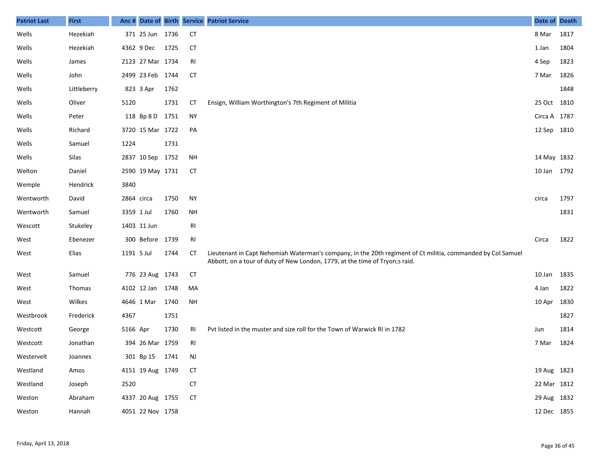| <b>Patriot Last</b> | <b>First</b> | Anc #      |                  |      |                | Date of Birth Service Patriot Service                                                                                                                                                      | Date of Death |      |
|---------------------|--------------|------------|------------------|------|----------------|--------------------------------------------------------------------------------------------------------------------------------------------------------------------------------------------|---------------|------|
| Wells               | Hezekiah     |            | 371 25 Jun       | 1736 | <b>CT</b>      |                                                                                                                                                                                            | 8 Mar         | 1817 |
| Wells               | Hezekiah     |            | 4362 9 Dec       | 1725 | <b>CT</b>      |                                                                                                                                                                                            | 1 Jan         | 1804 |
| Wells               | James        |            | 2123 27 Mar 1734 |      | RI             |                                                                                                                                                                                            | 4 Sep         | 1823 |
| Wells               | John         |            | 2499 23 Feb 1744 |      | СT             |                                                                                                                                                                                            | 7 Mar         | 1826 |
| Wells               | Littleberry  |            | 823 3 Apr        | 1762 |                |                                                                                                                                                                                            |               | 1848 |
| Wells               | Oliver       | 5120       |                  | 1731 | <b>CT</b>      | Ensign, William Worthington's 7th Regiment of Militia                                                                                                                                      | 25 Oct 1810   |      |
| Wells               | Peter        |            | 118 Bp 8 D 1751  |      | <b>NY</b>      |                                                                                                                                                                                            | Circa A 1787  |      |
| Wells               | Richard      |            | 3720 15 Mar 1722 |      | PA             |                                                                                                                                                                                            | 12 Sep 1810   |      |
| Wells               | Samuel       | 1224       |                  | 1731 |                |                                                                                                                                                                                            |               |      |
| Wells               | Silas        |            | 2837 10 Sep 1752 |      | NΗ             |                                                                                                                                                                                            | 14 May 1832   |      |
| Welton              | Daniel       |            | 2590 19 May 1731 |      | <b>CT</b>      |                                                                                                                                                                                            | 10 Jan 1792   |      |
| Wemple              | Hendrick     | 3840       |                  |      |                |                                                                                                                                                                                            |               |      |
| Wentworth           | David        | 2864 circa |                  | 1750 | <b>NY</b>      |                                                                                                                                                                                            | circa         | 1797 |
| Wentworth           | Samuel       | 3359 1 Jul |                  | 1760 | <b>NH</b>      |                                                                                                                                                                                            |               | 1831 |
| Wescott             | Stukeley     |            | 1403 11 Jun      |      | RI             |                                                                                                                                                                                            |               |      |
| West                | Ebenezer     |            | 300 Before 1739  |      | R <sub>l</sub> |                                                                                                                                                                                            | Circa         | 1822 |
| West                | Elias        | 1191 5 Jul |                  | 1744 | CT             | Lieutenant in Capt Nehemiah Waterman's company, in the 20th regiment of Ct militia, commanded by Col Samuel<br>Abbott, on a tour of duty of New London, 1779, at the time of Tryon;s raid. |               |      |
| West                | Samuel       |            | 776 23 Aug 1743  |      | СT             |                                                                                                                                                                                            | 10 Jan        | 1835 |
| West                | Thomas       |            | 4102 12 Jan 1748 |      | MA             |                                                                                                                                                                                            | 4 Jan         | 1822 |
| West                | Wilkes       |            | 4646 1 Mar       | 1740 | <b>NH</b>      |                                                                                                                                                                                            | 10 Apr        | 1830 |
| Westbrook           | Frederick    | 4367       |                  | 1751 |                |                                                                                                                                                                                            |               | 1827 |
| Westcott            | George       | 5166 Apr   |                  | 1730 | RI             | Pvt listed in the muster and size roll for the Town of Warwick RI in 1782                                                                                                                  | Jun           | 1814 |
| Westcott            | Jonathan     |            | 394 26 Mar 1759  |      | RI             |                                                                                                                                                                                            | 7 Mar         | 1824 |
| Westervelt          | Joannes      |            | 301 Bp 15 1741   |      | NJ             |                                                                                                                                                                                            |               |      |
| Westland            | Amos         |            | 4151 19 Aug 1749 |      | <b>CT</b>      |                                                                                                                                                                                            | 19 Aug 1823   |      |
| Westland            | Joseph       | 2520       |                  |      | CT             |                                                                                                                                                                                            | 22 Mar 1812   |      |
| Weston              | Abraham      |            | 4337 20 Aug 1755 |      | CT             |                                                                                                                                                                                            | 29 Aug 1832   |      |
| Weston              | Hannah       |            | 4051 22 Nov 1758 |      |                |                                                                                                                                                                                            | 12 Dec 1855   |      |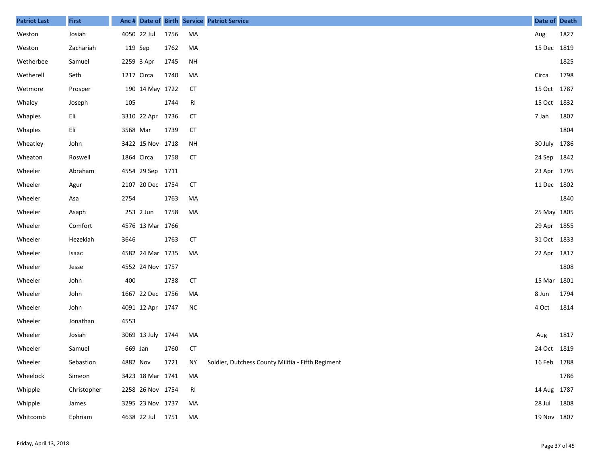| <b>Patriot Last</b> | <b>First</b> | Anc #       |                   |      |           | Date of Birth Service Patriot Service             | Date of Death |      |
|---------------------|--------------|-------------|-------------------|------|-----------|---------------------------------------------------|---------------|------|
| Weston              | Josiah       | 4050 22 Jul |                   | 1756 | MA        |                                                   | Aug           | 1827 |
| Weston              | Zachariah    | 119 Sep     |                   | 1762 | MA        |                                                   | 15 Dec 1819   |      |
| Wetherbee           | Samuel       | 2259 3 Apr  |                   | 1745 | <b>NH</b> |                                                   |               | 1825 |
| Wetherell           | Seth         | 1217 Circa  |                   | 1740 | MA        |                                                   | Circa         | 1798 |
| Wetmore             | Prosper      |             | 190 14 May 1722   |      | <b>CT</b> |                                                   | 15 Oct 1787   |      |
| Whaley              | Joseph       | 105         |                   | 1744 | RI        |                                                   | 15 Oct 1832   |      |
| Whaples             | Eli          |             | 3310 22 Apr       | 1736 | <b>CT</b> |                                                   | 7 Jan         | 1807 |
| Whaples             | Eli          | 3568 Mar    |                   | 1739 | <b>CT</b> |                                                   |               | 1804 |
| Wheatley            | John         |             | 3422 15 Nov 1718  |      | <b>NH</b> |                                                   | 30 July 1786  |      |
| Wheaton             | Roswell      | 1864 Circa  |                   | 1758 | <b>CT</b> |                                                   | 24 Sep 1842   |      |
| Wheeler             | Abraham      |             | 4554 29 Sep       | 1711 |           |                                                   | 23 Apr 1795   |      |
| Wheeler             | Agur         |             | 2107 20 Dec 1754  |      | <b>CT</b> |                                                   | 11 Dec 1802   |      |
| Wheeler             | Asa          | 2754        |                   | 1763 | MA        |                                                   |               | 1840 |
| Wheeler             | Asaph        |             | 253 2 Jun         | 1758 | MA        |                                                   | 25 May 1805   |      |
| Wheeler             | Comfort      |             | 4576 13 Mar 1766  |      |           |                                                   | 29 Apr 1855   |      |
| Wheeler             | Hezekiah     | 3646        |                   | 1763 | <b>CT</b> |                                                   | 31 Oct 1833   |      |
| Wheeler             | Isaac        |             | 4582 24 Mar 1735  |      | MA        |                                                   | 22 Apr 1817   |      |
| Wheeler             | Jesse        |             | 4552 24 Nov 1757  |      |           |                                                   |               | 1808 |
| Wheeler             | John         | 400         |                   | 1738 | <b>CT</b> |                                                   | 15 Mar 1801   |      |
| Wheeler             | John         |             | 1667 22 Dec 1756  |      | MA        |                                                   | 8 Jun         | 1794 |
| Wheeler             | John         |             | 4091 12 Apr 1747  |      | NC        |                                                   | 4 Oct         | 1814 |
| Wheeler             | Jonathan     | 4553        |                   |      |           |                                                   |               |      |
| Wheeler             | Josiah       |             | 3069 13 July 1744 |      | MA        |                                                   | Aug           | 1817 |
| Wheeler             | Samuel       | 669 Jan     |                   | 1760 | <b>CT</b> |                                                   | 24 Oct 1819   |      |
| Wheeler             | Sebastion    | 4882 Nov    |                   | 1721 | <b>NY</b> | Soldier, Dutchess County Militia - Fifth Regiment | 16 Feb 1788   |      |
| Wheelock            | Simeon       |             | 3423 18 Mar 1741  |      | MA        |                                                   |               | 1786 |
| Whipple             | Christopher  |             | 2258 26 Nov 1754  |      | RI        |                                                   | 14 Aug 1787   |      |
| Whipple             | James        |             | 3295 23 Nov 1737  |      | MA        |                                                   | 28 Jul 1808   |      |
| Whitcomb            | Ephriam      |             | 4638 22 Jul 1751  |      | MA        |                                                   | 19 Nov 1807   |      |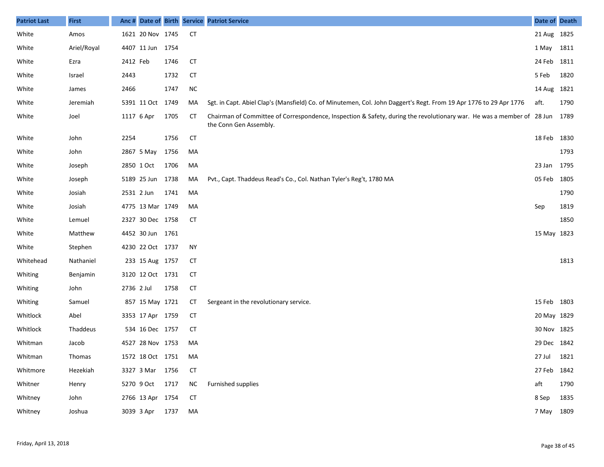| <b>Patriot Last</b> | <b>First</b> | Anc #      |                  |      |            | Date of Birth Service Patriot Service                                                                                                           | Date of Death |      |
|---------------------|--------------|------------|------------------|------|------------|-------------------------------------------------------------------------------------------------------------------------------------------------|---------------|------|
| White               | Amos         |            | 1621 20 Nov 1745 |      | <b>CT</b>  |                                                                                                                                                 | 21 Aug 1825   |      |
| White               | Ariel/Royal  |            | 4407 11 Jun 1754 |      |            |                                                                                                                                                 | 1 May 1811    |      |
| White               | Ezra         | 2412 Feb   |                  | 1746 | <b>CT</b>  |                                                                                                                                                 | 24 Feb 1811   |      |
| White               | Israel       | 2443       |                  | 1732 | <b>CT</b>  |                                                                                                                                                 | 5 Feb         | 1820 |
| White               | James        | 2466       |                  | 1747 | ${\sf NC}$ |                                                                                                                                                 | 14 Aug 1821   |      |
| White               | Jeremiah     |            | 5391 11 Oct 1749 |      | MA         | Sgt. in Capt. Abiel Clap's (Mansfield) Co. of Minutemen, Col. John Daggert's Regt. From 19 Apr 1776 to 29 Apr 1776                              | aft.          | 1790 |
| White               | Joel         |            | 1117 6 Apr       | 1705 | <b>CT</b>  | Chairman of Committee of Correspondence, Inspection & Safety, during the revolutionary war. He was a member of 28 Jun<br>the Conn Gen Assembly. |               | 1789 |
| White               | John         | 2254       |                  | 1756 | <b>CT</b>  |                                                                                                                                                 | 18 Feb 1830   |      |
| White               | John         |            | 2867 5 May       | 1756 | MA         |                                                                                                                                                 |               | 1793 |
| White               | Joseph       |            | 2850 1 Oct       | 1706 | MA         |                                                                                                                                                 | 23 Jan        | 1795 |
| White               | Joseph       |            | 5189 25 Jun 1738 |      | MA         | Pvt., Capt. Thaddeus Read's Co., Col. Nathan Tyler's Reg't, 1780 MA                                                                             | 05 Feb 1805   |      |
| White               | Josiah       |            | 2531 2 Jun       | 1741 | MA         |                                                                                                                                                 |               | 1790 |
| White               | Josiah       |            | 4775 13 Mar 1749 |      | MA         |                                                                                                                                                 | Sep           | 1819 |
| White               | Lemuel       |            | 2327 30 Dec 1758 |      | CТ         |                                                                                                                                                 |               | 1850 |
| White               | Matthew      |            | 4452 30 Jun 1761 |      |            |                                                                                                                                                 | 15 May 1823   |      |
| White               | Stephen      |            | 4230 22 Oct 1737 |      | <b>NY</b>  |                                                                                                                                                 |               |      |
| Whitehead           | Nathaniel    |            | 233 15 Aug 1757  |      | <b>CT</b>  |                                                                                                                                                 |               | 1813 |
| Whiting             | Benjamin     |            | 3120 12 Oct 1731 |      | <b>CT</b>  |                                                                                                                                                 |               |      |
| Whiting             | John         | 2736 2 Jul |                  | 1758 | <b>CT</b>  |                                                                                                                                                 |               |      |
| Whiting             | Samuel       |            | 857 15 May 1721  |      | СT         | Sergeant in the revolutionary service.                                                                                                          | 15 Feb 1803   |      |
| Whitlock            | Abel         |            | 3353 17 Apr 1759 |      | <b>CT</b>  |                                                                                                                                                 | 20 May 1829   |      |
| Whitlock            | Thaddeus     |            | 534 16 Dec 1757  |      | СT         |                                                                                                                                                 | 30 Nov 1825   |      |
| Whitman             | Jacob        |            | 4527 28 Nov 1753 |      | MA         |                                                                                                                                                 | 29 Dec 1842   |      |
| Whitman             | Thomas       |            | 1572 18 Oct 1751 |      | MA         |                                                                                                                                                 | 27 Jul 1821   |      |
| Whitmore            | Hezekiah     |            | 3327 3 Mar 1756  |      | CT         |                                                                                                                                                 | 27 Feb 1842   |      |
| Whitner             | Henry        |            | 5270 9 Oct 1717  |      | <b>NC</b>  | Furnished supplies                                                                                                                              | aft           | 1790 |
| Whitney             | John         |            | 2766 13 Apr 1754 |      | СT         |                                                                                                                                                 | 8 Sep         | 1835 |
| Whitney             | Joshua       |            | 3039 3 Apr 1737  |      | MA         |                                                                                                                                                 | 7 May 1809    |      |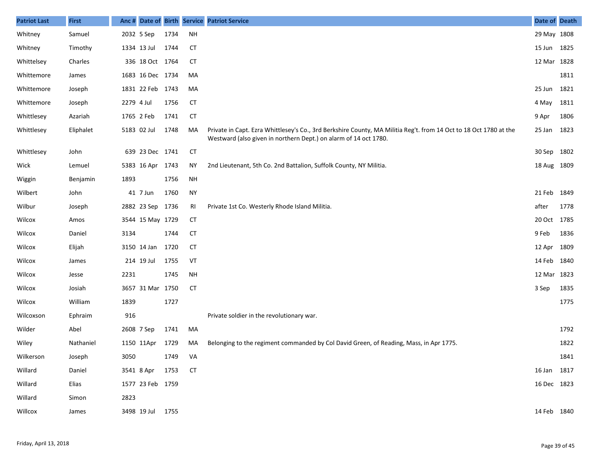| <b>Patriot Last</b> | <b>First</b> |            |                  |      |           | Anc # Date of Birth Service Patriot Service                                                                                                                                           | Date of Death |      |
|---------------------|--------------|------------|------------------|------|-----------|---------------------------------------------------------------------------------------------------------------------------------------------------------------------------------------|---------------|------|
| Whitney             | Samuel       |            | 2032 5 Sep       | 1734 | <b>NH</b> |                                                                                                                                                                                       | 29 May 1808   |      |
| Whitney             | Timothy      |            | 1334 13 Jul      | 1744 | <b>CT</b> |                                                                                                                                                                                       | 15 Jun 1825   |      |
| Whittelsey          | Charles      |            | 336 18 Oct 1764  |      | <b>CT</b> |                                                                                                                                                                                       | 12 Mar 1828   |      |
| Whittemore          | James        |            | 1683 16 Dec 1734 |      | MA        |                                                                                                                                                                                       |               | 1811 |
| Whittemore          | Joseph       |            | 1831 22 Feb 1743 |      | MA        |                                                                                                                                                                                       | 25 Jun        | 1821 |
| Whittemore          | Joseph       | 2279 4 Jul |                  | 1756 | <b>CT</b> |                                                                                                                                                                                       | 4 May         | 1811 |
| Whittlesey          | Azariah      |            | 1765 2 Feb       | 1741 | <b>CT</b> |                                                                                                                                                                                       | 9 Apr         | 1806 |
| Whittlesey          | Eliphalet    |            | 5183 02 Jul      | 1748 | MA        | Private in Capt. Ezra Whittlesey's Co., 3rd Berkshire County, MA Militia Reg't. from 14 Oct to 18 Oct 1780 at the<br>Westward (also given in northern Dept.) on alarm of 14 oct 1780. | 25 Jan 1823   |      |
| Whittlesey          | John         |            | 639 23 Dec 1741  |      | <b>CT</b> |                                                                                                                                                                                       | 30 Sep 1802   |      |
| Wick                | Lemuel       |            | 5383 16 Apr 1743 |      | ΝY        | 2nd Lieutenant, 5th Co. 2nd Battalion, Suffolk County, NY Militia.                                                                                                                    | 18 Aug 1809   |      |
| Wiggin              | Benjamin     | 1893       |                  | 1756 | <b>NH</b> |                                                                                                                                                                                       |               |      |
| Wilbert             | John         |            | 41 7 Jun         | 1760 | <b>NY</b> |                                                                                                                                                                                       | 21 Feb        | 1849 |
| Wilbur              | Joseph       |            | 2882 23 Sep 1736 |      | RI        | Private 1st Co. Westerly Rhode Island Militia.                                                                                                                                        | after         | 1778 |
| Wilcox              | Amos         |            | 3544 15 May 1729 |      | <b>CT</b> |                                                                                                                                                                                       | 20 Oct 1785   |      |
| Wilcox              | Daniel       | 3134       |                  | 1744 | <b>CT</b> |                                                                                                                                                                                       | 9 Feb         | 1836 |
| Wilcox              | Elijah       |            | 3150 14 Jan      | 1720 | <b>CT</b> |                                                                                                                                                                                       | 12 Apr 1809   |      |
| Wilcox              | James        |            | 214 19 Jul       | 1755 | VT        |                                                                                                                                                                                       | 14 Feb 1840   |      |
| Wilcox              | Jesse        | 2231       |                  | 1745 | NH        |                                                                                                                                                                                       | 12 Mar 1823   |      |
| Wilcox              | Josiah       |            | 3657 31 Mar 1750 |      | <b>CT</b> |                                                                                                                                                                                       | 3 Sep         | 1835 |
| Wilcox              | William      | 1839       |                  | 1727 |           |                                                                                                                                                                                       |               | 1775 |
| Wilcoxson           | Ephraim      | 916        |                  |      |           | Private soldier in the revolutionary war.                                                                                                                                             |               |      |
| Wilder              | Abel         |            | 2608 7 Sep       | 1741 | MA        |                                                                                                                                                                                       |               | 1792 |
| Wiley               | Nathaniel    |            | 1150 11Apr       | 1729 | MA        | Belonging to the regiment commanded by Col David Green, of Reading, Mass, in Apr 1775.                                                                                                |               | 1822 |
| Wilkerson           | Joseph       | 3050       |                  | 1749 | VA        |                                                                                                                                                                                       |               | 1841 |
| Willard             | Daniel       |            | 3541 8 Apr 1753  |      | <b>CT</b> |                                                                                                                                                                                       | 16 Jan 1817   |      |
| Willard             | Elias        |            | 1577 23 Feb 1759 |      |           |                                                                                                                                                                                       | 16 Dec 1823   |      |
| Willard             | Simon        | 2823       |                  |      |           |                                                                                                                                                                                       |               |      |
| Willcox             | James        |            | 3498 19 Jul 1755 |      |           |                                                                                                                                                                                       | 14 Feb 1840   |      |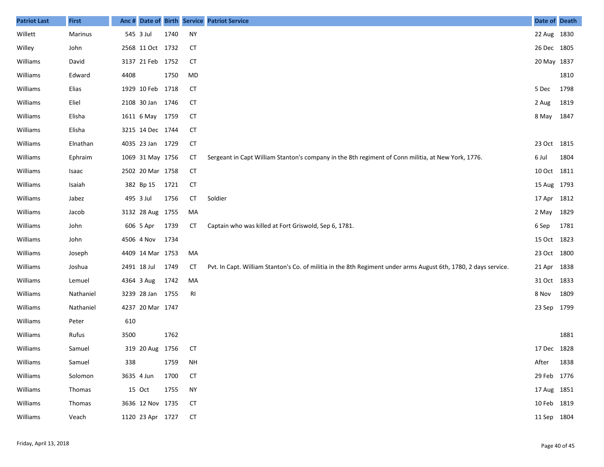| <b>Patriot Last</b> | <b>First</b> | Anc #      |                  |      |           | Date of Birth Service Patriot Service                                                                           | Date of Death |      |
|---------------------|--------------|------------|------------------|------|-----------|-----------------------------------------------------------------------------------------------------------------|---------------|------|
| Willett             | Marinus      |            | 545 3 Jul        | 1740 | <b>NY</b> |                                                                                                                 | 22 Aug 1830   |      |
| Willey              | John         |            | 2568 11 Oct 1732 |      | <b>CT</b> |                                                                                                                 | 26 Dec 1805   |      |
| Williams            | David        |            | 3137 21 Feb 1752 |      | <b>CT</b> |                                                                                                                 | 20 May 1837   |      |
| Williams            | Edward       | 4408       |                  | 1750 | MD        |                                                                                                                 |               | 1810 |
| Williams            | Elias        |            | 1929 10 Feb 1718 |      | <b>CT</b> |                                                                                                                 | 5 Dec         | 1798 |
| Williams            | Eliel        |            | 2108 30 Jan 1746 |      | СT        |                                                                                                                 | 2 Aug         | 1819 |
| Williams            | Elisha       |            | 1611 6 May 1759  |      | <b>CT</b> |                                                                                                                 | 8 May 1847    |      |
| Williams            | Elisha       |            | 3215 14 Dec 1744 |      | <b>CT</b> |                                                                                                                 |               |      |
| Williams            | Elnathan     |            | 4035 23 Jan 1729 |      | <b>CT</b> |                                                                                                                 | 23 Oct 1815   |      |
| Williams            | Ephraim      |            | 1069 31 May 1756 |      | СT        | Sergeant in Capt William Stanton's company in the 8th regiment of Conn militia, at New York, 1776.              | 6 Jul         | 1804 |
| Williams            | Isaac        |            | 2502 20 Mar 1758 |      | <b>CT</b> |                                                                                                                 | 10 Oct 1811   |      |
| Williams            | Isaiah       |            | 382 Bp 15        | 1721 | <b>CT</b> |                                                                                                                 | 15 Aug 1793   |      |
| Williams            | Jabez        |            | 495 3 Jul        | 1756 | <b>CT</b> | Soldier                                                                                                         | 17 Apr 1812   |      |
| Williams            | Jacob        |            | 3132 28 Aug 1755 |      | MA        |                                                                                                                 | 2 May 1829    |      |
| Williams            | John         |            | 606 5 Apr        | 1739 | <b>CT</b> | Captain who was killed at Fort Griswold, Sep 6, 1781.                                                           | 6 Sep         | 1781 |
| Williams            | John         |            | 4506 4 Nov       | 1734 |           |                                                                                                                 | 15 Oct 1823   |      |
| Williams            | Joseph       |            | 4409 14 Mar 1753 |      | MA        |                                                                                                                 | 23 Oct 1800   |      |
| Williams            | Joshua       |            | 2491 18 Jul      | 1749 | СT        | Pvt. In Capt. William Stanton's Co. of militia in the 8th Regiment under arms August 6th, 1780, 2 days service. | 21 Apr 1838   |      |
| Williams            | Lemuel       |            | 4364 3 Aug       | 1742 | MA        |                                                                                                                 | 31 Oct 1833   |      |
| Williams            | Nathaniel    |            | 3239 28 Jan      | 1755 | RI        |                                                                                                                 | 8 Nov         | 1809 |
| Williams            | Nathaniel    |            | 4237 20 Mar 1747 |      |           |                                                                                                                 | 23 Sep 1799   |      |
| Williams            | Peter        | 610        |                  |      |           |                                                                                                                 |               |      |
| Williams            | Rufus        | 3500       |                  | 1762 |           |                                                                                                                 |               | 1881 |
| Williams            | Samuel       |            | 319 20 Aug 1756  |      | <b>CT</b> |                                                                                                                 | 17 Dec 1828   |      |
| Williams            | Samuel       | 338        |                  | 1759 | <b>NH</b> |                                                                                                                 | After         | 1838 |
| Williams            | Solomon      | 3635 4 Jun |                  | 1700 | <b>CT</b> |                                                                                                                 | 29 Feb 1776   |      |
| Williams            | Thomas       |            | 15 Oct           | 1755 | <b>NY</b> |                                                                                                                 | 17 Aug 1851   |      |
| Williams            | Thomas       |            | 3636 12 Nov 1735 |      | <b>CT</b> |                                                                                                                 | 10 Feb 1819   |      |
| Williams            | Veach        |            | 1120 23 Apr 1727 |      | <b>CT</b> |                                                                                                                 | 11 Sep 1804   |      |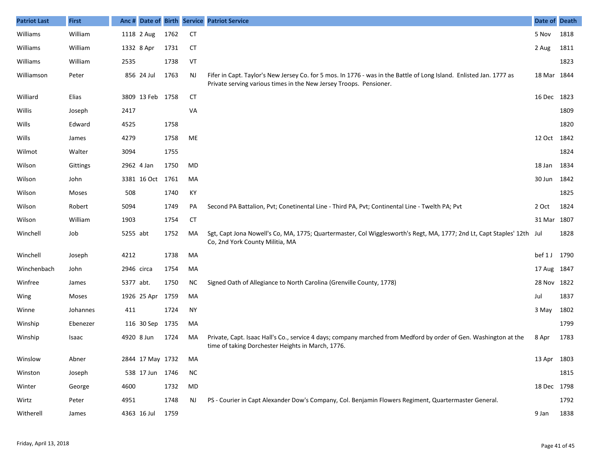| <b>Patriot Last</b> | <b>First</b> |            |                  |      |            | Anc # Date of Birth Service Patriot Service                                                                                                                                               | Date of Death |      |
|---------------------|--------------|------------|------------------|------|------------|-------------------------------------------------------------------------------------------------------------------------------------------------------------------------------------------|---------------|------|
| Williams            | William      |            | 1118 2 Aug       | 1762 | <b>CT</b>  |                                                                                                                                                                                           | 5 Nov         | 1818 |
| Williams            | William      |            | 1332 8 Apr       | 1731 | <b>CT</b>  |                                                                                                                                                                                           | 2 Aug         | 1811 |
| Williams            | William      | 2535       |                  | 1738 | VT         |                                                                                                                                                                                           |               | 1823 |
| Williamson          | Peter        |            | 856 24 Jul       | 1763 | <b>NJ</b>  | Fifer in Capt. Taylor's New Jersey Co. for 5 mos. In 1776 - was in the Battle of Long Island. Enlisted Jan. 1777 as<br>Private serving various times in the New Jersey Troops. Pensioner. | 18 Mar 1844   |      |
| Williard            | Elias        |            | 3809 13 Feb 1758 |      | <b>CT</b>  |                                                                                                                                                                                           | 16 Dec 1823   |      |
| Willis              | Joseph       | 2417       |                  |      | VA         |                                                                                                                                                                                           |               | 1809 |
| Wills               | Edward       | 4525       |                  | 1758 |            |                                                                                                                                                                                           |               | 1820 |
| Wills               | James        | 4279       |                  | 1758 | ME         |                                                                                                                                                                                           | 12 Oct 1842   |      |
| Wilmot              | Walter       | 3094       |                  | 1755 |            |                                                                                                                                                                                           |               | 1824 |
| Wilson              | Gittings     | 2962 4 Jan |                  | 1750 | MD         |                                                                                                                                                                                           | 18 Jan        | 1834 |
| Wilson              | John         |            | 3381 16 Oct      | 1761 | MA         |                                                                                                                                                                                           | 30 Jun        | 1842 |
| Wilson              | Moses        | 508        |                  | 1740 | KY         |                                                                                                                                                                                           |               | 1825 |
| Wilson              | Robert       | 5094       |                  | 1749 | PA         | Second PA Battalion, Pvt; Conetinental Line - Third PA, Pvt; Continental Line - Twelth PA; Pvt                                                                                            | 2 Oct         | 1824 |
| Wilson              | William      | 1903       |                  | 1754 | <b>CT</b>  |                                                                                                                                                                                           | 31 Mar 1807   |      |
| Winchell            | Job          | 5255 abt   |                  | 1752 | MA         | Sgt, Capt Jona Nowell's Co, MA, 1775; Quartermaster, Col Wigglesworth's Regt, MA, 1777; 2nd Lt, Capt Staples' 12th Jul<br>Co, 2nd York County Militia, MA                                 |               | 1828 |
| Winchell            | Joseph       | 4212       |                  | 1738 | MA         |                                                                                                                                                                                           | bef 1 J 1790  |      |
| Winchenbach         | John         | 2946 circa |                  | 1754 | MA         |                                                                                                                                                                                           | 17 Aug 1847   |      |
| Winfree             | James        | 5377 abt.  |                  | 1750 | ΝC         | Signed Oath of Allegiance to North Carolina (Grenville County, 1778)                                                                                                                      | 28 Nov 1822   |      |
| Wing                | Moses        |            | 1926 25 Apr      | 1759 | MA         |                                                                                                                                                                                           | Jul           | 1837 |
| Winne               | Johannes     | 411        |                  | 1724 | <b>NY</b>  |                                                                                                                                                                                           | 3 May         | 1802 |
| Winship             | Ebenezer     |            | 116 30 Sep       | 1735 | MA         |                                                                                                                                                                                           |               | 1799 |
| Winship             | Isaac        |            | 4920 8 Jun       | 1724 | MA         | Private, Capt. Isaac Hall's Co., service 4 days; company marched from Medford by order of Gen. Washington at the<br>time of taking Dorchester Heights in March, 1776.                     | 8 Apr         | 1783 |
| Winslow             | Abner        |            | 2844 17 May 1732 |      | MA         |                                                                                                                                                                                           | 13 Apr 1803   |      |
| Winston             | Joseph       |            | 538 17 Jun 1746  |      | ${\sf NC}$ |                                                                                                                                                                                           |               | 1815 |
| Winter              | George       | 4600       |                  | 1732 | MD         |                                                                                                                                                                                           | 18 Dec 1798   |      |
| Wirtz               | Peter        | 4951       |                  | 1748 | <b>NJ</b>  | PS - Courier in Capt Alexander Dow's Company, Col. Benjamin Flowers Regiment, Quartermaster General.                                                                                      |               | 1792 |
| Witherell           | James        |            | 4363 16 Jul      | 1759 |            |                                                                                                                                                                                           | 9 Jan         | 1838 |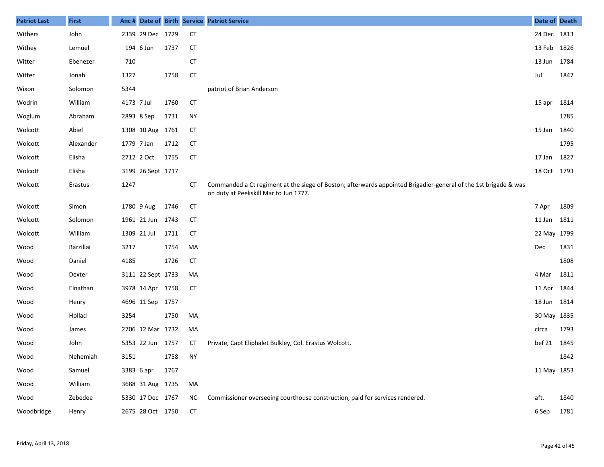| <b>Patriot Last</b> | <b>First</b> |             |                   |      |           | Anc # Date of Birth Service Patriot Service                                                                                                              | Date of Death |      |
|---------------------|--------------|-------------|-------------------|------|-----------|----------------------------------------------------------------------------------------------------------------------------------------------------------|---------------|------|
| Withers             | John         |             | 2339 29 Dec 1729  |      | <b>CT</b> |                                                                                                                                                          | 24 Dec 1813   |      |
| Withey              | Lemuel       |             | 194 6 Jun         | 1737 | CT        |                                                                                                                                                          | 13 Feb 1826   |      |
| Witter              | Ebenezer     | 710         |                   |      | <b>CT</b> |                                                                                                                                                          | 13 Jun 1784   |      |
| Witter              | Jonah        | 1327        |                   | 1758 | CT        |                                                                                                                                                          | Jul           | 1847 |
| Wixon               | Solomon      | 5344        |                   |      |           | patriot of Brian Anderson                                                                                                                                |               |      |
| Wodrin              | William      | 4173 7 Jul  |                   | 1760 | <b>CT</b> |                                                                                                                                                          | 15 apr 1814   |      |
| Woglum              | Abraham      | 2893 8 Sep  |                   | 1731 | <b>NY</b> |                                                                                                                                                          |               | 1785 |
| Wolcott             | Abiel        |             | 1308 10 Aug 1761  |      | <b>CT</b> |                                                                                                                                                          | 15 Jan        | 1840 |
| Wolcott             | Alexander    | 1779 7 Jan  |                   | 1712 | <b>CT</b> |                                                                                                                                                          |               | 1795 |
| Wolcott             | Elisha       |             | 2712 2 Oct        | 1755 | <b>CT</b> |                                                                                                                                                          | 17 Jan 1827   |      |
| Wolcott             | Elisha       |             | 3199 26 Sept 1717 |      |           |                                                                                                                                                          | 18 Oct 1793   |      |
| Wolcott             | Erastus      | 1247        |                   |      | СT        | Commanded a Ct regiment at the siege of Boston; afterwards appointed Brigadier-general of the 1st brigade & was<br>on duty at Peekskill Mar to Jun 1777. |               |      |
| Wolcott             | Simon        |             | 1780 9 Aug        | 1746 | <b>CT</b> |                                                                                                                                                          | 7 Apr         | 1809 |
| Wolcott             | Solomon      |             | 1961 21 Jun 1743  |      | <b>CT</b> |                                                                                                                                                          | 11 Jan        | 1811 |
| Wolcott             | William      | 1309 21 Jul |                   | 1711 | <b>CT</b> |                                                                                                                                                          | 22 May 1799   |      |
| Wood                | Barzillai    | 3217        |                   | 1754 | MA        |                                                                                                                                                          | Dec           | 1831 |
| Wood                | Daniel       | 4185        |                   | 1726 | <b>CT</b> |                                                                                                                                                          |               | 1808 |
| Wood                | Dexter       |             | 3111 22 Sept 1733 |      | MA        |                                                                                                                                                          | 4 Mar         | 1811 |
| Wood                | Elnathan     |             | 3978 14 Apr 1758  |      | CT        |                                                                                                                                                          | 11 Apr 1844   |      |
| Wood                | Henry        |             | 4696 11 Sep 1757  |      |           |                                                                                                                                                          | 18 Jun 1814   |      |
| Wood                | Hollad       | 3254        |                   | 1750 | MA        |                                                                                                                                                          | 30 May 1835   |      |
| Wood                | James        |             | 2706 12 Mar 1732  |      | MA        |                                                                                                                                                          | circa         | 1793 |
| Wood                | John         |             | 5353 22 Jun 1757  |      | CT        | Private, Capt Eliphalet Bulkley, Col. Erastus Wolcott.                                                                                                   | bef 21        | 1845 |
| Wood                | Nehemiah     | 3151        |                   | 1758 | NY        |                                                                                                                                                          |               | 1842 |
| Wood                | Samuel       |             | 3383 6 apr 1767   |      |           |                                                                                                                                                          | 11 May 1853   |      |
| Wood                | William      |             | 3688 31 Aug 1735  |      | MA        |                                                                                                                                                          |               |      |
| Wood                | Zebedee      |             | 5330 17 Dec 1767  |      | NC.       | Commissioner overseeing courthouse construction, paid for services rendered.                                                                             | aft.          | 1840 |
| Woodbridge          | Henry        |             | 2675 28 Oct 1750  |      | CT        |                                                                                                                                                          | 6 Sep         | 1781 |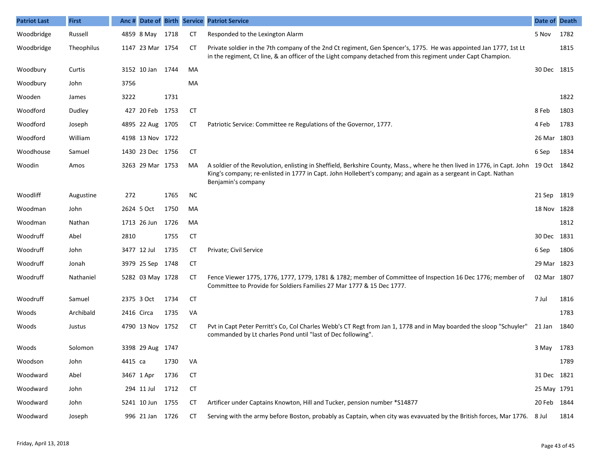| <b>Patriot Last</b> | <b>First</b> | Anc#       |                  |      |           | Date of Birth Service Patriot Service                                                                                                                                                                                                                                        | Date of Death |      |
|---------------------|--------------|------------|------------------|------|-----------|------------------------------------------------------------------------------------------------------------------------------------------------------------------------------------------------------------------------------------------------------------------------------|---------------|------|
| Woodbridge          | Russell      |            | 4859 8 May 1718  |      | СT        | Responded to the Lexington Alarm                                                                                                                                                                                                                                             | 5 Nov         | 1782 |
| Woodbridge          | Theophilus   |            | 1147 23 Mar 1754 |      | CТ        | Private soldier in the 7th company of the 2nd Ct regiment, Gen Spencer's, 1775. He was appointed Jan 1777, 1st Lt<br>in the regiment, Ct line, & an officer of the Light company detached from this regiment under Capt Champion.                                            |               | 1815 |
| Woodbury            | Curtis       |            | 3152 10 Jan 1744 |      | MA        |                                                                                                                                                                                                                                                                              | 30 Dec 1815   |      |
| Woodbury            | John         | 3756       |                  |      | MA        |                                                                                                                                                                                                                                                                              |               |      |
| Wooden              | James        | 3222       |                  | 1731 |           |                                                                                                                                                                                                                                                                              |               | 1822 |
| Woodford            | Dudley       |            | 427 20 Feb 1753  |      | СT        |                                                                                                                                                                                                                                                                              | 8 Feb         | 1803 |
| Woodford            | Joseph       |            | 4895 22 Aug 1705 |      | CТ        | Patriotic Service: Committee re Regulations of the Governor, 1777.                                                                                                                                                                                                           | 4 Feb         | 1783 |
| Woodford            | William      |            | 4198 13 Nov 1722 |      |           |                                                                                                                                                                                                                                                                              | 26 Mar        | 1803 |
| Woodhouse           | Samuel       |            | 1430 23 Dec 1756 |      | <b>CT</b> |                                                                                                                                                                                                                                                                              | 6 Sep         | 1834 |
| Woodin              | Amos         |            | 3263 29 Mar 1753 |      | MA        | A soldier of the Revolution, enlisting in Sheffield, Berkshire County, Mass., where he then lived in 1776, in Capt. John 19 Oct 1842<br>King's company; re-enlisted in 1777 in Capt. John Hollebert's company; and again as a sergeant in Capt. Nathan<br>Benjamin's company |               |      |
| Woodliff            | Augustine    | 272        |                  | 1765 | <b>NC</b> |                                                                                                                                                                                                                                                                              | 21 Sep        | 1819 |
| Woodman             | John         |            | 2624 5 Oct       | 1750 | MA        |                                                                                                                                                                                                                                                                              | 18 Nov 1828   |      |
| Woodman             | Nathan       |            | 1713 26 Jun      | 1726 | MA        |                                                                                                                                                                                                                                                                              |               | 1812 |
| Woodruff            | Abel         | 2810       |                  | 1755 | <b>CT</b> |                                                                                                                                                                                                                                                                              | 30 Dec        | 1831 |
| Woodruff            | John         |            | 3477 12 Jul      | 1735 | CT        | Private; Civil Service                                                                                                                                                                                                                                                       | 6 Sep         | 1806 |
| Woodruff            | Jonah        |            | 3979 25 Sep 1748 |      | <b>CT</b> |                                                                                                                                                                                                                                                                              | 29 Mar 1823   |      |
| Woodruff            | Nathaniel    |            | 5282 03 May 1728 |      | CT        | Fence Viewer 1775, 1776, 1777, 1779, 1781 & 1782; member of Committee of Inspection 16 Dec 1776; member of<br>Committee to Provide for Soldiers Families 27 Mar 1777 & 15 Dec 1777.                                                                                          | 02 Mar 1807   |      |
| Woodruff            | Samuel       |            | 2375 3 Oct       | 1734 | CT        |                                                                                                                                                                                                                                                                              | 7 Jul         | 1816 |
| Woods               | Archibald    | 2416 Circa |                  | 1735 | VA        |                                                                                                                                                                                                                                                                              |               | 1783 |
| Woods               | Justus       |            | 4790 13 Nov 1752 |      | CТ        | Pvt in Capt Peter Perritt's Co, Col Charles Webb's CT Regt from Jan 1, 1778 and in May boarded the sloop "Schuyler"<br>commanded by Lt charles Pond until "last of Dec following".                                                                                           | 21 Jan        | 1840 |
| Woods               | Solomon      |            | 3398 29 Aug 1747 |      |           |                                                                                                                                                                                                                                                                              | 3 May 1783    |      |
| Woodson             | John         | 4415 ca    |                  | 1730 | VA        |                                                                                                                                                                                                                                                                              |               | 1789 |
| Woodward            | Abel         |            | 3467 1 Apr       | 1736 | <b>CT</b> |                                                                                                                                                                                                                                                                              | 31 Dec 1821   |      |
| Woodward            | John         |            | 294 11 Jul       | 1712 | <b>CT</b> |                                                                                                                                                                                                                                                                              | 25 May 1791   |      |
| Woodward            | John         |            | 5241 10 Jun      | 1755 | <b>CT</b> | Artificer under Captains Knowton, Hill and Tucker, pension number *S14877                                                                                                                                                                                                    | 20 Feb 1844   |      |
| Woodward            | Joseph       |            | 996 21 Jan 1726  |      | CТ        | Serving with the army before Boston, probably as Captain, when city was evavuated by the British forces, Mar 1776. 8 Jul                                                                                                                                                     |               | 1814 |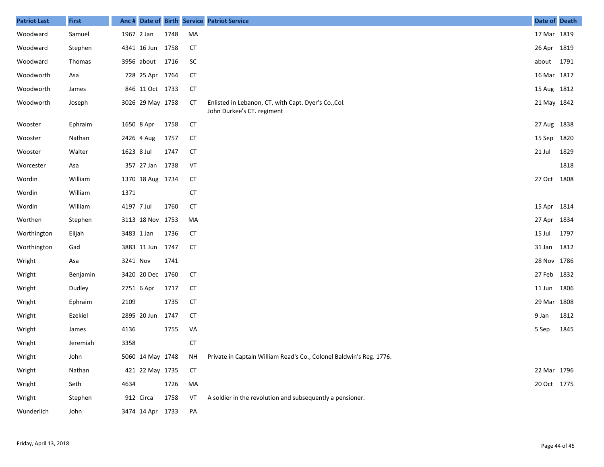| <b>Patriot Last</b> | <b>First</b> |            |                     |      |           | Anc # Date of Birth Service Patriot Service                                        | Date of Death |      |
|---------------------|--------------|------------|---------------------|------|-----------|------------------------------------------------------------------------------------|---------------|------|
| Woodward            | Samuel       |            | 1967 2 Jan          | 1748 | MA        |                                                                                    | 17 Mar 1819   |      |
| Woodward            | Stephen      |            | 4341 16 Jun 1758    |      | <b>CT</b> |                                                                                    | 26 Apr 1819   |      |
| Woodward            | Thomas       |            | 3956 about 1716     |      | <b>SC</b> |                                                                                    | about 1791    |      |
| Woodworth           | Asa          |            | 728 25 Apr 1764     |      | <b>CT</b> |                                                                                    | 16 Mar 1817   |      |
| Woodworth           | James        |            | 846 11 Oct 1733     |      | <b>CT</b> |                                                                                    | 15 Aug 1812   |      |
| Woodworth           | Joseph       |            | 3026 29 May 1758    |      | СT        | Enlisted in Lebanon, CT. with Capt. Dyer's Co., Col.<br>John Durkee's CT. regiment | 21 May 1842   |      |
| Wooster             | Ephraim      |            | 1650 8 Apr          | 1758 | <b>CT</b> |                                                                                    | 27 Aug 1838   |      |
| Wooster             | Nathan       |            | 2426 4 Aug          | 1757 | <b>CT</b> |                                                                                    | 15 Sep 1820   |      |
| Wooster             | Walter       | 1623 8 Jul |                     | 1747 | <b>CT</b> |                                                                                    | 21 Jul        | 1829 |
| Worcester           | Asa          |            | 357 27 Jan 1738     |      | VT        |                                                                                    |               | 1818 |
| Wordin              | William      |            | 1370 18 Aug 1734    |      | <b>CT</b> |                                                                                    | 27 Oct 1808   |      |
| Wordin              | William      | 1371       |                     |      | <b>CT</b> |                                                                                    |               |      |
| Wordin              | William      | 4197 7 Jul |                     | 1760 | <b>CT</b> |                                                                                    | 15 Apr 1814   |      |
| Worthen             | Stephen      |            | 3113 18 Nov 1753    |      | MA        |                                                                                    | 27 Apr 1834   |      |
| Worthington         | Elijah       |            | 3483 1 Jan          | 1736 | <b>CT</b> |                                                                                    | 15 Jul        | 1797 |
| Worthington         | Gad          |            | 3883 11 Jun 1747    |      | <b>CT</b> |                                                                                    | 31 Jan 1812   |      |
| Wright              | Asa          | 3241 Nov   |                     | 1741 |           |                                                                                    | 28 Nov 1786   |      |
| Wright              | Benjamin     |            | 3420 20 Dec 1760    |      | <b>CT</b> |                                                                                    | 27 Feb 1832   |      |
| Wright              | Dudley       |            | 2751 6 Apr          | 1717 | <b>CT</b> |                                                                                    | 11 Jun 1806   |      |
| Wright              | Ephraim      | 2109       |                     | 1735 | <b>CT</b> |                                                                                    | 29 Mar 1808   |      |
| Wright              | Ezekiel      |            | 2895 20 Jun         | 1747 | <b>CT</b> |                                                                                    | 9 Jan         | 1812 |
| Wright              | James        | 4136       |                     | 1755 | VA        |                                                                                    | 5 Sep         | 1845 |
| Wright              | Jeremiah     | 3358       |                     |      | <b>CT</b> |                                                                                    |               |      |
| Wright              | John         |            | 5060 14 May 1748 NH |      |           | Private in Captain William Read's Co., Colonel Baldwin's Reg. 1776.                |               |      |
| Wright              | Nathan       |            | 421 22 May 1735     |      | CT        |                                                                                    | 22 Mar 1796   |      |
| Wright              | Seth         | 4634       |                     | 1726 | MA        |                                                                                    | 20 Oct 1775   |      |
| Wright              | Stephen      |            | 912 Circa           | 1758 | VT        | A soldier in the revolution and subsequently a pensioner.                          |               |      |
| Wunderlich          | John         |            | 3474 14 Apr 1733    |      | PA        |                                                                                    |               |      |